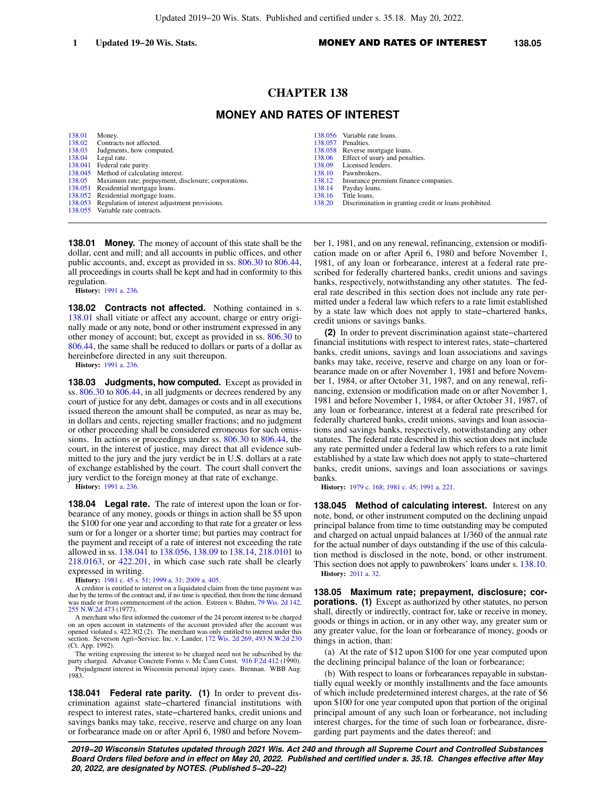# **CHAPTER 138**

## **MONEY AND RATES OF INTEREST**

| 138.01 | Money.                                                     |        | 138.056 Variable rate loans.                                  |
|--------|------------------------------------------------------------|--------|---------------------------------------------------------------|
|        | 138.02 Contracts not affected.                             |        | 138,057 Penalties.                                            |
| 138.03 | Judgments, how computed.                                   |        | 138.058 Reverse mortgage loans.                               |
|        | 138.04 Legal rate.                                         |        | 138.06 Effect of usury and penalties.                         |
|        | 138.041 Federal rate parity.                               | 138.09 | Licensed lenders.                                             |
|        | 138.045 Method of calculating interest.                    | 138.10 | Pawnbrokers.                                                  |
|        | 138.05 Maximum rate; prepayment, disclosure; corporations. |        | 138.12 Insurance premium finance companies.                   |
|        | 138.051 Residential mortgage loans.                        | 138.14 | Payday loans.                                                 |
|        | 138.052 Residential mortgage loans.                        | 138.16 | Title loans.                                                  |
|        | 138.053 Regulation of interest adjustment provisions.      |        | 138.20 Discrimination in granting credit or loans prohibited. |
|        | 138.055 Variable rate contracts.                           |        |                                                               |

**138.01 Money.** The money of account of this state shall be the dollar, cent and mill; and all accounts in public offices, and other public accounts, and, except as provided in ss. [806.30](https://docs-preview.legis.wisconsin.gov/document/statutes/806.30) to [806.44,](https://docs-preview.legis.wisconsin.gov/document/statutes/806.44) all proceedings in courts shall be kept and had in conformity to this regulation.

**History:** [1991 a. 236](https://docs-preview.legis.wisconsin.gov/document/acts/1991/236).

**138.02 Contracts not affected.** Nothing contained in s. [138.01](https://docs-preview.legis.wisconsin.gov/document/statutes/138.01) shall vitiate or affect any account, charge or entry originally made or any note, bond or other instrument expressed in any other money of account; but, except as provided in ss. [806.30](https://docs-preview.legis.wisconsin.gov/document/statutes/806.30) to [806.44,](https://docs-preview.legis.wisconsin.gov/document/statutes/806.44) the same shall be reduced to dollars or parts of a dollar as hereinbefore directed in any suit thereupon.

**History:** [1991 a. 236](https://docs-preview.legis.wisconsin.gov/document/acts/1991/236).

**138.03 Judgments, how computed.** Except as provided in ss. [806.30](https://docs-preview.legis.wisconsin.gov/document/statutes/806.30) to [806.44,](https://docs-preview.legis.wisconsin.gov/document/statutes/806.44) in all judgments or decrees rendered by any court of justice for any debt, damages or costs and in all executions issued thereon the amount shall be computed, as near as may be, in dollars and cents, rejecting smaller fractions; and no judgment or other proceeding shall be considered erroneous for such omissions. In actions or proceedings under ss. [806.30](https://docs-preview.legis.wisconsin.gov/document/statutes/806.30) to [806.44](https://docs-preview.legis.wisconsin.gov/document/statutes/806.44), the court, in the interest of justice, may direct that all evidence submitted to the jury and the jury verdict be in U.S. dollars at a rate of exchange established by the court. The court shall convert the jury verdict to the foreign money at that rate of exchange.

**History:** [1991 a. 236](https://docs-preview.legis.wisconsin.gov/document/acts/1991/236).

**138.04 Legal rate.** The rate of interest upon the loan or forbearance of any money, goods or things in action shall be \$5 upon the \$100 for one year and according to that rate for a greater or less sum or for a longer or a shorter time; but parties may contract for the payment and receipt of a rate of interest not exceeding the rate allowed in ss. [138.041](https://docs-preview.legis.wisconsin.gov/document/statutes/138.041) to [138.056](https://docs-preview.legis.wisconsin.gov/document/statutes/138.056), [138.09](https://docs-preview.legis.wisconsin.gov/document/statutes/138.09) to [138.14,](https://docs-preview.legis.wisconsin.gov/document/statutes/138.14) [218.0101](https://docs-preview.legis.wisconsin.gov/document/statutes/218.0101) to [218.0163,](https://docs-preview.legis.wisconsin.gov/document/statutes/218.0163) or [422.201](https://docs-preview.legis.wisconsin.gov/document/statutes/422.201), in which case such rate shall be clearly expressed in writing.

**History:** [1981 c. 45](https://docs-preview.legis.wisconsin.gov/document/acts/1981/45) s. [51;](https://docs-preview.legis.wisconsin.gov/document/acts/1981/45,%20s.%2051) [1999 a. 31](https://docs-preview.legis.wisconsin.gov/document/acts/1999/31); [2009 a. 405.](https://docs-preview.legis.wisconsin.gov/document/acts/2009/405)

A creditor is entitled to interest on a liquidated claim from the time payment was due by the terms of the contract and, if no time is specified, then from the time demand<br>was made or from commencement of the action. Estre [255 N.W.2d 473](https://docs-preview.legis.wisconsin.gov/document/courts/255%20N.W.2d%20473) (1977).

A merchant who first informed the customer of the 24 percent interest to be charged on an open account in statements of the account provided after the account was opened violated s. 422.302 (2). The merchant was only entitled to interest under this section. Severson Agri−Service, Inc. v. Lander, [172 Wis. 2d 269](https://docs-preview.legis.wisconsin.gov/document/courts/172%20Wis.%202d%20269), [493 N.W.2d 230](https://docs-preview.legis.wisconsin.gov/document/courts/493%20N.W.2d%20230) (Ct. App. 1992).

The writing expressing the interest to be charged need not be subscribed by the party charged. Advance Concrete Forms v. Mc Cann Const. [916 F.2d 412](https://docs-preview.legis.wisconsin.gov/document/courts/916%20F.2d%20412) (1990). Prejudgment interest in Wisconsin personal injury cases. Brennan. WBB Aug. 1983.

**138.041 Federal rate parity. (1)** In order to prevent discrimination against state−chartered financial institutions with respect to interest rates, state−chartered banks, credit unions and savings banks may take, receive, reserve and charge on any loan or forbearance made on or after April 6, 1980 and before November 1, 1981, and on any renewal, refinancing, extension or modification made on or after April 6, 1980 and before November 1, 1981, of any loan or forbearance, interest at a federal rate prescribed for federally chartered banks, credit unions and savings banks, respectively, notwithstanding any other statutes. The federal rate described in this section does not include any rate permitted under a federal law which refers to a rate limit established by a state law which does not apply to state−chartered banks, credit unions or savings banks.

**(2)** In order to prevent discrimination against state−chartered financial institutions with respect to interest rates, state−chartered banks, credit unions, savings and loan associations and savings banks may take, receive, reserve and charge on any loan or forbearance made on or after November 1, 1981 and before November 1, 1984, or after October 31, 1987, and on any renewal, refinancing, extension or modification made on or after November 1, 1981 and before November 1, 1984, or after October 31, 1987, of any loan or forbearance, interest at a federal rate prescribed for federally chartered banks, credit unions, savings and loan associations and savings banks, respectively, notwithstanding any other statutes. The federal rate described in this section does not include any rate permitted under a federal law which refers to a rate limit established by a state law which does not apply to state−chartered banks, credit unions, savings and loan associations or savings banks.

**History:** [1979 c. 168;](https://docs-preview.legis.wisconsin.gov/document/acts/1979/168) [1981 c. 45;](https://docs-preview.legis.wisconsin.gov/document/acts/1981/45) [1991 a. 221](https://docs-preview.legis.wisconsin.gov/document/acts/1991/221).

**138.045 Method of calculating interest.** Interest on any note, bond, or other instrument computed on the declining unpaid principal balance from time to time outstanding may be computed and charged on actual unpaid balances at 1/360 of the annual rate for the actual number of days outstanding if the use of this calculation method is disclosed in the note, bond, or other instrument. This section does not apply to pawnbrokers' loans under s. [138.10.](https://docs-preview.legis.wisconsin.gov/document/statutes/138.10) **History:** [2011 a. 32.](https://docs-preview.legis.wisconsin.gov/document/acts/2011/32)

**138.05 Maximum rate; prepayment, disclosure; corporations.** (1) Except as authorized by other statutes, no person shall, directly or indirectly, contract for, take or receive in money, goods or things in action, or in any other way, any greater sum or any greater value, for the loan or forbearance of money, goods or things in action, than:

(a) At the rate of \$12 upon \$100 for one year computed upon the declining principal balance of the loan or forbearance;

(b) With respect to loans or forbearances repayable in substantially equal weekly or monthly installments and the face amounts of which include predetermined interest charges, at the rate of \$6 upon \$100 for one year computed upon that portion of the original principal amount of any such loan or forbearance, not including interest charges, for the time of such loan or forbearance, disregarding part payments and the dates thereof; and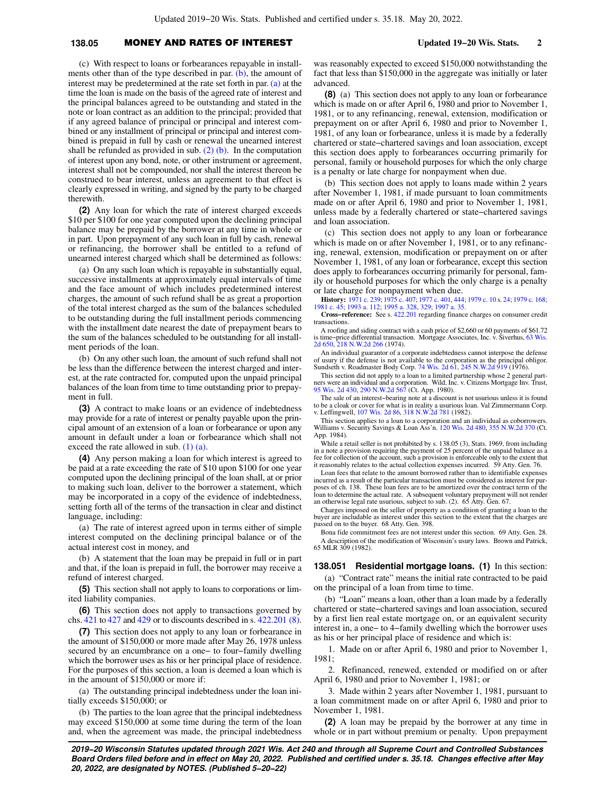# **138.05** MONEY AND RATES OF INTEREST **Updated 19−20 Wis. Stats. 2**

(c) With respect to loans or forbearances repayable in installments other than of the type described in par.  $(b)$ , the amount of interest may be predetermined at the rate set forth in par. [\(a\)](https://docs-preview.legis.wisconsin.gov/document/statutes/138.05(1)(a)) at the time the loan is made on the basis of the agreed rate of interest and the principal balances agreed to be outstanding and stated in the note or loan contract as an addition to the principal; provided that if any agreed balance of principal or principal and interest combined or any installment of principal or principal and interest combined is prepaid in full by cash or renewal the unearned interest shall be refunded as provided in sub.  $(2)$  (b). In the computation of interest upon any bond, note, or other instrument or agreement, interest shall not be compounded, nor shall the interest thereon be construed to bear interest, unless an agreement to that effect is clearly expressed in writing, and signed by the party to be charged therewith.

**(2)** Any loan for which the rate of interest charged exceeds \$10 per \$100 for one year computed upon the declining principal balance may be prepaid by the borrower at any time in whole or in part. Upon prepayment of any such loan in full by cash, renewal or refinancing, the borrower shall be entitled to a refund of unearned interest charged which shall be determined as follows:

(a) On any such loan which is repayable in substantially equal, successive installments at approximately equal intervals of time and the face amount of which includes predetermined interest charges, the amount of such refund shall be as great a proportion of the total interest charged as the sum of the balances scheduled to be outstanding during the full installment periods commencing with the installment date nearest the date of prepayment bears to the sum of the balances scheduled to be outstanding for all installment periods of the loan.

(b) On any other such loan, the amount of such refund shall not be less than the difference between the interest charged and interest, at the rate contracted for, computed upon the unpaid principal balances of the loan from time to time outstanding prior to prepayment in full.

**(3)** A contract to make loans or an evidence of indebtedness may provide for a rate of interest or penalty payable upon the principal amount of an extension of a loan or forbearance or upon any amount in default under a loan or forbearance which shall not exceed the rate allowed in sub. [\(1\) \(a\)](https://docs-preview.legis.wisconsin.gov/document/statutes/138.05(1)(a)).

**(4)** Any person making a loan for which interest is agreed to be paid at a rate exceeding the rate of \$10 upon \$100 for one year computed upon the declining principal of the loan shall, at or prior to making such loan, deliver to the borrower a statement, which may be incorporated in a copy of the evidence of indebtedness, setting forth all of the terms of the transaction in clear and distinct language, including:

(a) The rate of interest agreed upon in terms either of simple interest computed on the declining principal balance or of the actual interest cost in money, and

(b) A statement that the loan may be prepaid in full or in part and that, if the loan is prepaid in full, the borrower may receive a refund of interest charged.

**(5)** This section shall not apply to loans to corporations or limited liability companies.

**(6)** This section does not apply to transactions governed by chs. [421](https://docs-preview.legis.wisconsin.gov/document/statutes/ch.%20421) to [427](https://docs-preview.legis.wisconsin.gov/document/statutes/ch.%20427) and [429](https://docs-preview.legis.wisconsin.gov/document/statutes/ch.%20429) or to discounts described in s. [422.201 \(8\).](https://docs-preview.legis.wisconsin.gov/document/statutes/422.201(8))

**(7)** This section does not apply to any loan or forbearance in the amount of \$150,000 or more made after May 26, 1978 unless secured by an encumbrance on a one− to four−family dwelling which the borrower uses as his or her principal place of residence. For the purposes of this section, a loan is deemed a loan which is in the amount of \$150,000 or more if:

(a) The outstanding principal indebtedness under the loan initially exceeds \$150,000; or

(b) The parties to the loan agree that the principal indebtedness may exceed \$150,000 at some time during the term of the loan and, when the agreement was made, the principal indebtedness

was reasonably expected to exceed \$150,000 notwithstanding the fact that less than \$150,000 in the aggregate was initially or later advanced.

**(8)** (a) This section does not apply to any loan or forbearance which is made on or after April 6, 1980 and prior to November 1, 1981, or to any refinancing, renewal, extension, modification or prepayment on or after April 6, 1980 and prior to November 1, 1981, of any loan or forbearance, unless it is made by a federally chartered or state−chartered savings and loan association, except this section does apply to forbearances occurring primarily for personal, family or household purposes for which the only charge is a penalty or late charge for nonpayment when due.

(b) This section does not apply to loans made within 2 years after November 1, 1981, if made pursuant to loan commitments made on or after April 6, 1980 and prior to November 1, 1981, unless made by a federally chartered or state−chartered savings and loan association.

(c) This section does not apply to any loan or forbearance which is made on or after November 1, 1981, or to any refinancing, renewal, extension, modification or prepayment on or after November 1, 1981, of any loan or forbearance, except this section does apply to forbearances occurring primarily for personal, family or household purposes for which the only charge is a penalty or late charge for nonpayment when due.

**History:** [1971 c. 239](https://docs-preview.legis.wisconsin.gov/document/acts/1971/239); [1975 c. 407](https://docs-preview.legis.wisconsin.gov/document/acts/1975/407); [1977 c. 401](https://docs-preview.legis.wisconsin.gov/document/acts/1977/401), [444;](https://docs-preview.legis.wisconsin.gov/document/acts/1977/444) [1979 c. 10](https://docs-preview.legis.wisconsin.gov/document/acts/1979/10) s. [24](https://docs-preview.legis.wisconsin.gov/document/acts/1979/10,%20s.%2024); [1979 c. 168](https://docs-preview.legis.wisconsin.gov/document/acts/1979/168); [1981 c. 45](https://docs-preview.legis.wisconsin.gov/document/acts/1981/45); [1993 a. 112;](https://docs-preview.legis.wisconsin.gov/document/acts/1993/112) [1995 a. 328,](https://docs-preview.legis.wisconsin.gov/document/acts/1995/328) [329;](https://docs-preview.legis.wisconsin.gov/document/acts/1995/329) [1997 a. 35.](https://docs-preview.legis.wisconsin.gov/document/acts/1997/35)

**Cross−reference:** See s. [422.201](https://docs-preview.legis.wisconsin.gov/document/statutes/422.201) regarding finance charges on consumer credit transactions.

A roofing and siding contract with a cash price of \$2,660 or 60 payments of \$61.72 is time−price differential transaction. Mortgage Associates, Inc. v. Siverhus, [63 Wis.](https://docs-preview.legis.wisconsin.gov/document/courts/63%20Wis.%202d%20650) [2d 650](https://docs-preview.legis.wisconsin.gov/document/courts/63%20Wis.%202d%20650), [218 N.W.2d 266](https://docs-preview.legis.wisconsin.gov/document/courts/218%20N.W.2d%20266) (1974).

An individual guarantor of a corporate indebtedness cannot interpose the defense of usury if the defense is not available to the corporation as the principal obligor. Sundseth v. Roadmaster Body Corp. [74 Wis. 2d 61,](https://docs-preview.legis.wisconsin.gov/document/courts/74%20Wis.%202d%2061) [245 N.W.2d 919](https://docs-preview.legis.wisconsin.gov/document/courts/245%20N.W.2d%20919) (1976).

This section did not apply to a loan to a limited partnership whose 2 general part-ners were an individual and a corporation. Wild, Inc. v. Citizens Mortgage Inv. Trust, [95 Wis. 2d 430,](https://docs-preview.legis.wisconsin.gov/document/courts/95%20Wis.%202d%20430) [290 N.W.2d 567](https://docs-preview.legis.wisconsin.gov/document/courts/290%20N.W.2d%20567) (Ct. App. 1980).

The sale of an interest−bearing note at a discount is not usurious unless it is found to be a cloak or cover for what is in reality a usurious loan. Val Zimmermann Corp. v. Leffingwell, [107 Wis. 2d 86,](https://docs-preview.legis.wisconsin.gov/document/courts/107%20Wis.%202d%2086) [318 N.W.2d 781](https://docs-preview.legis.wisconsin.gov/document/courts/318%20N.W.2d%20781) (1982).

This section applies to a loan to a corporation and an individual as coborrowers. Williams v. Security Savings & Loan Ass'n. [120 Wis. 2d 480,](https://docs-preview.legis.wisconsin.gov/document/courts/120%20Wis.%202d%20480) [355 N.W.2d 370](https://docs-preview.legis.wisconsin.gov/document/courts/355%20N.W.2d%20370) (Ct. App. 1984).

While a retail seller is not prohibited by s. 138.05 (3), Stats. 1969, from including in a note a provision requiring the payment of 25 percent of the unpaid balance as a fee for collection of the account, such a provision is enforceable only to the extent that it reasonably relates to the actual collection expenses incurred. 59 Atty. Gen. 76.

Loan fees that relate to the amount borrowed rather than to identifiable expenses incurred as a result of the particular transaction must be considered as interest for purposes of ch. 138. These loan fees are to be amortized over the contract term of the loan to determine the actual rate. A subsequent voluntary prepayment will not render an otherwise legal rate usurious, subject to sub. (2). 65 Atty. Gen. 67.

Charges imposed on the seller of property as a condition of granting a loan to the buyer are includable as interest under this section to the extent that the charges are passed on to the buyer. 68 Atty. Gen. 398.

Bona fide commitment fees are not interest under this section. 69 Atty. Gen. 28. A description of the modification of Wisconsin's usury laws. Brown and Patrick, 65 MLR 309 (1982).

**138.051 Residential mortgage loans. (1)** In this section: (a) "Contract rate" means the initial rate contracted to be paid on the principal of a loan from time to time.

(b) "Loan" means a loan, other than a loan made by a federally chartered or state−chartered savings and loan association, secured by a first lien real estate mortgage on, or an equivalent security interest in, a one− to 4−family dwelling which the borrower uses as his or her principal place of residence and which is:

1. Made on or after April 6, 1980 and prior to November 1, 1981;

2. Refinanced, renewed, extended or modified on or after April 6, 1980 and prior to November 1, 1981; or

3. Made within 2 years after November 1, 1981, pursuant to a loan commitment made on or after April 6, 1980 and prior to November 1, 1981.

**(2)** A loan may be prepaid by the borrower at any time in whole or in part without premium or penalty. Upon prepayment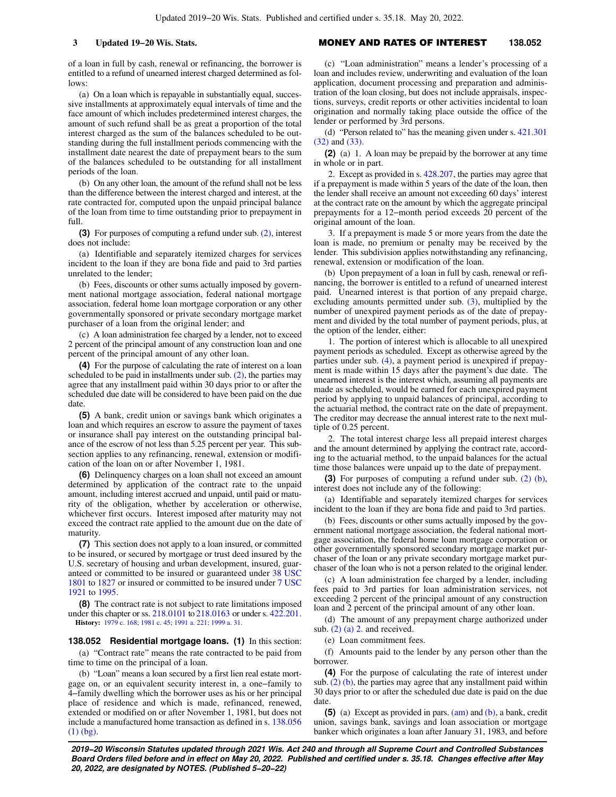of a loan in full by cash, renewal or refinancing, the borrower is entitled to a refund of unearned interest charged determined as follows:

(a) On a loan which is repayable in substantially equal, successive installments at approximately equal intervals of time and the face amount of which includes predetermined interest charges, the amount of such refund shall be as great a proportion of the total interest charged as the sum of the balances scheduled to be outstanding during the full installment periods commencing with the installment date nearest the date of prepayment bears to the sum of the balances scheduled to be outstanding for all installment periods of the loan.

(b) On any other loan, the amount of the refund shall not be less than the difference between the interest charged and interest, at the rate contracted for, computed upon the unpaid principal balance of the loan from time to time outstanding prior to prepayment in full.

**(3)** For purposes of computing a refund under sub. [\(2\),](https://docs-preview.legis.wisconsin.gov/document/statutes/138.051(2)) interest does not include:

(a) Identifiable and separately itemized charges for services incident to the loan if they are bona fide and paid to 3rd parties unrelated to the lender;

(b) Fees, discounts or other sums actually imposed by government national mortgage association, federal national mortgage association, federal home loan mortgage corporation or any other governmentally sponsored or private secondary mortgage market purchaser of a loan from the original lender; and

(c) A loan administration fee charged by a lender, not to exceed 2 percent of the principal amount of any construction loan and one percent of the principal amount of any other loan.

**(4)** For the purpose of calculating the rate of interest on a loan scheduled to be paid in installments under sub. [\(2\),](https://docs-preview.legis.wisconsin.gov/document/statutes/138.051(2)) the parties may agree that any installment paid within 30 days prior to or after the scheduled due date will be considered to have been paid on the due date.

**(5)** A bank, credit union or savings bank which originates a loan and which requires an escrow to assure the payment of taxes or insurance shall pay interest on the outstanding principal balance of the escrow of not less than 5.25 percent per year. This subsection applies to any refinancing, renewal, extension or modification of the loan on or after November 1, 1981.

**(6)** Delinquency charges on a loan shall not exceed an amount determined by application of the contract rate to the unpaid amount, including interest accrued and unpaid, until paid or maturity of the obligation, whether by acceleration or otherwise, whichever first occurs. Interest imposed after maturity may not exceed the contract rate applied to the amount due on the date of maturity

**(7)** This section does not apply to a loan insured, or committed to be insured, or secured by mortgage or trust deed insured by the U.S. secretary of housing and urban development, insured, guaranteed or committed to be insured or guaranteed under [38 USC](https://docs-preview.legis.wisconsin.gov/document/usc/38%20USC%201801) [1801](https://docs-preview.legis.wisconsin.gov/document/usc/38%20USC%201801) to [1827](https://docs-preview.legis.wisconsin.gov/document/usc/38%20USC%201827) or insured or committed to be insured under [7 USC](https://docs-preview.legis.wisconsin.gov/document/usc/7%20USC%201921) [1921](https://docs-preview.legis.wisconsin.gov/document/usc/7%20USC%201921) to [1995.](https://docs-preview.legis.wisconsin.gov/document/usc/7%20USC%201995)

**(8)** The contract rate is not subject to rate limitations imposed under this chapter or ss. [218.0101](https://docs-preview.legis.wisconsin.gov/document/statutes/218.0101) to [218.0163](https://docs-preview.legis.wisconsin.gov/document/statutes/218.0163) or under s. [422.201.](https://docs-preview.legis.wisconsin.gov/document/statutes/422.201) **History:** [1979 c. 168](https://docs-preview.legis.wisconsin.gov/document/acts/1979/168); [1981 c. 45;](https://docs-preview.legis.wisconsin.gov/document/acts/1981/45) [1991 a. 221](https://docs-preview.legis.wisconsin.gov/document/acts/1991/221); [1999 a. 31](https://docs-preview.legis.wisconsin.gov/document/acts/1999/31).

# **138.052 Residential mortgage loans. (1)** In this section:

(a) "Contract rate" means the rate contracted to be paid from time to time on the principal of a loan.

(b) "Loan" means a loan secured by a first lien real estate mortgage on, or an equivalent security interest in, a one−family to 4−family dwelling which the borrower uses as his or her principal place of residence and which is made, refinanced, renewed, extended or modified on or after November 1, 1981, but does not include a manufactured home transaction as defined in s. [138.056](https://docs-preview.legis.wisconsin.gov/document/statutes/138.056(1)(bg)) [\(1\) \(bg\).](https://docs-preview.legis.wisconsin.gov/document/statutes/138.056(1)(bg))

### **3 Updated 19−20 Wis. Stats.** MONEY AND RATES OF INTEREST **138.052**

(c) "Loan administration" means a lender's processing of a loan and includes review, underwriting and evaluation of the loan application, document processing and preparation and administration of the loan closing, but does not include appraisals, inspections, surveys, credit reports or other activities incidental to loan origination and normally taking place outside the office of the lender or performed by 3rd persons.

(d) "Person related to" has the meaning given under s. [421.301](https://docs-preview.legis.wisconsin.gov/document/statutes/421.301(32)) [\(32\)](https://docs-preview.legis.wisconsin.gov/document/statutes/421.301(32)) and [\(33\).](https://docs-preview.legis.wisconsin.gov/document/statutes/421.301(33))

**(2)** (a) 1. A loan may be prepaid by the borrower at any time in whole or in part.

2. Except as provided in s. [428.207,](https://docs-preview.legis.wisconsin.gov/document/statutes/428.207) the parties may agree that if a prepayment is made within 5 years of the date of the loan, then the lender shall receive an amount not exceeding 60 days' interest at the contract rate on the amount by which the aggregate principal prepayments for a 12−month period exceeds 20 percent of the original amount of the loan.

3. If a prepayment is made 5 or more years from the date the loan is made, no premium or penalty may be received by the lender. This subdivision applies notwithstanding any refinancing, renewal, extension or modification of the loan.

(b) Upon prepayment of a loan in full by cash, renewal or refinancing, the borrower is entitled to a refund of unearned interest paid. Unearned interest is that portion of any prepaid charge, excluding amounts permitted under sub.  $(3)$ , multiplied by the number of unexpired payment periods as of the date of prepayment and divided by the total number of payment periods, plus, at the option of the lender, either:

1. The portion of interest which is allocable to all unexpired payment periods as scheduled. Except as otherwise agreed by the parties under sub. [\(4\),](https://docs-preview.legis.wisconsin.gov/document/statutes/138.052(4)) a payment period is unexpired if prepayment is made within 15 days after the payment's due date. The unearned interest is the interest which, assuming all payments are made as scheduled, would be earned for each unexpired payment period by applying to unpaid balances of principal, according to the actuarial method, the contract rate on the date of prepayment. The creditor may decrease the annual interest rate to the next multiple of 0.25 percent.

2. The total interest charge less all prepaid interest charges and the amount determined by applying the contract rate, according to the actuarial method, to the unpaid balances for the actual time those balances were unpaid up to the date of prepayment.

**(3)** For purposes of computing a refund under sub. [\(2\) \(b\),](https://docs-preview.legis.wisconsin.gov/document/statutes/138.052(2)(b)) interest does not include any of the following:

(a) Identifiable and separately itemized charges for services incident to the loan if they are bona fide and paid to 3rd parties.

(b) Fees, discounts or other sums actually imposed by the government national mortgage association, the federal national mortgage association, the federal home loan mortgage corporation or other governmentally sponsored secondary mortgage market purchaser of the loan or any private secondary mortgage market purchaser of the loan who is not a person related to the original lender.

(c) A loan administration fee charged by a lender, including fees paid to 3rd parties for loan administration services, not exceeding 2 percent of the principal amount of any construction loan and 2 percent of the principal amount of any other loan.

(d) The amount of any prepayment charge authorized under sub.  $(2)$  (a) 2. and received.

(e) Loan commitment fees.

(f) Amounts paid to the lender by any person other than the borrower.

**(4)** For the purpose of calculating the rate of interest under sub.  $(2)$  (b), the parties may agree that any installment paid within 30 days prior to or after the scheduled due date is paid on the due date.

**(5)** (a) Except as provided in pars. [\(am\)](https://docs-preview.legis.wisconsin.gov/document/statutes/138.052(5)(am)) and [\(b\),](https://docs-preview.legis.wisconsin.gov/document/statutes/138.052(5)(b)) a bank, credit union, savings bank, savings and loan association or mortgage banker which originates a loan after January 31, 1983, and before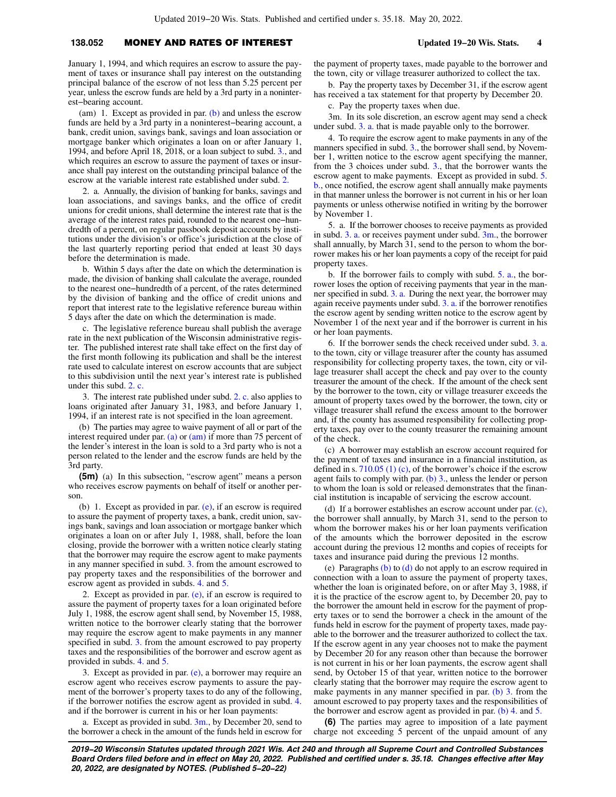## **138.052** MONEY AND RATES OF INTEREST **Updated 19−20 Wis. Stats. 4**

January 1, 1994, and which requires an escrow to assure the payment of taxes or insurance shall pay interest on the outstanding principal balance of the escrow of not less than 5.25 percent per year, unless the escrow funds are held by a 3rd party in a noninterest−bearing account.

(am) 1. Except as provided in par.  $(b)$  and unless the escrow funds are held by a 3rd party in a noninterest−bearing account, a bank, credit union, savings bank, savings and loan association or mortgage banker which originates a loan on or after January 1, 1994, and before April 18, 2018, or a loan subject to subd. [3.,](https://docs-preview.legis.wisconsin.gov/document/statutes/138.052(5)(am)3.) and which requires an escrow to assure the payment of taxes or insurance shall pay interest on the outstanding principal balance of the escrow at the variable interest rate established under subd. [2.](https://docs-preview.legis.wisconsin.gov/document/statutes/138.052(5)(am)2.)

2. a. Annually, the division of banking for banks, savings and loan associations, and savings banks, and the office of credit unions for credit unions, shall determine the interest rate that is the average of the interest rates paid, rounded to the nearest one−hundredth of a percent, on regular passbook deposit accounts by institutions under the division's or office's jurisdiction at the close of the last quarterly reporting period that ended at least 30 days before the determination is made.

b. Within 5 days after the date on which the determination is made, the division of banking shall calculate the average, rounded to the nearest one−hundredth of a percent, of the rates determined by the division of banking and the office of credit unions and report that interest rate to the legislative reference bureau within 5 days after the date on which the determination is made.

c. The legislative reference bureau shall publish the average rate in the next publication of the Wisconsin administrative register. The published interest rate shall take effect on the first day of the first month following its publication and shall be the interest rate used to calculate interest on escrow accounts that are subject to this subdivision until the next year's interest rate is published under this subd. [2. c.](https://docs-preview.legis.wisconsin.gov/document/statutes/138.052(5)(am)2.c.)

3. The interest rate published under subd. [2. c.](https://docs-preview.legis.wisconsin.gov/document/statutes/138.052(5)(am)2.c.) also applies to loans originated after January 31, 1983, and before January 1, 1994, if an interest rate is not specified in the loan agreement.

(b) The parties may agree to waive payment of all or part of the interest required under par.  $(a)$  or  $(am)$  if more than 75 percent of the lender's interest in the loan is sold to a 3rd party who is not a person related to the lender and the escrow funds are held by the 3rd party.

**(5m)** (a) In this subsection, "escrow agent" means a person who receives escrow payments on behalf of itself or another person.

(b) 1. Except as provided in par. [\(e\)](https://docs-preview.legis.wisconsin.gov/document/statutes/138.052(5m)(e)), if an escrow is required to assure the payment of property taxes, a bank, credit union, savings bank, savings and loan association or mortgage banker which originates a loan on or after July 1, 1988, shall, before the loan closing, provide the borrower with a written notice clearly stating that the borrower may require the escrow agent to make payments in any manner specified in subd. [3.](https://docs-preview.legis.wisconsin.gov/document/statutes/138.052(5m)(b)3.) from the amount escrowed to pay property taxes and the responsibilities of the borrower and escrow agent as provided in subds. [4.](https://docs-preview.legis.wisconsin.gov/document/statutes/138.052(5m)(b)4.) and [5.](https://docs-preview.legis.wisconsin.gov/document/statutes/138.052(5m)(b)5.)

2. Except as provided in par.  $(e)$ , if an escrow is required to assure the payment of property taxes for a loan originated before July 1, 1988, the escrow agent shall send, by November 15, 1988, written notice to the borrower clearly stating that the borrower may require the escrow agent to make payments in any manner specified in subd. [3.](https://docs-preview.legis.wisconsin.gov/document/statutes/138.052(5m)(b)3.) from the amount escrowed to pay property taxes and the responsibilities of the borrower and escrow agent as provided in subds. [4.](https://docs-preview.legis.wisconsin.gov/document/statutes/138.052(5m)(b)4.) and [5.](https://docs-preview.legis.wisconsin.gov/document/statutes/138.052(5m)(b)5.)

3. Except as provided in par. [\(e\),](https://docs-preview.legis.wisconsin.gov/document/statutes/138.052(5m)(e)) a borrower may require an escrow agent who receives escrow payments to assure the payment of the borrower's property taxes to do any of the following, if the borrower notifies the escrow agent as provided in subd. [4.](https://docs-preview.legis.wisconsin.gov/document/statutes/138.052(5m)(b)4.) and if the borrower is current in his or her loan payments:

a. Except as provided in subd.  $3m$ , by December 20, send to the borrower a check in the amount of the funds held in escrow for the payment of property taxes, made payable to the borrower and the town, city or village treasurer authorized to collect the tax.

b. Pay the property taxes by December 31, if the escrow agent has received a tax statement for that property by December 20.

c. Pay the property taxes when due.

3m. In its sole discretion, an escrow agent may send a check under subd. [3. a.](https://docs-preview.legis.wisconsin.gov/document/statutes/138.052(5m)(b)3.a.) that is made payable only to the borrower.

4. To require the escrow agent to make payments in any of the manners specified in subd. [3.](https://docs-preview.legis.wisconsin.gov/document/statutes/138.052(5m)(b)3.), the borrower shall send, by November 1, written notice to the escrow agent specifying the manner, from the 3 choices under subd. [3.](https://docs-preview.legis.wisconsin.gov/document/statutes/138.052(5m)(b)3.), that the borrower wants the escrow agent to make payments. Except as provided in subd. [5.](https://docs-preview.legis.wisconsin.gov/document/statutes/138.052(5m)(b)5.b.) [b.,](https://docs-preview.legis.wisconsin.gov/document/statutes/138.052(5m)(b)5.b.) once notified, the escrow agent shall annually make payments in that manner unless the borrower is not current in his or her loan payments or unless otherwise notified in writing by the borrower by November 1.

5. a. If the borrower chooses to receive payments as provided in subd.  $3.$  a. or receives payment under subd.  $3m$ , the borrower shall annually, by March 31, send to the person to whom the borrower makes his or her loan payments a copy of the receipt for paid property taxes.

b. If the borrower fails to comply with subd. [5. a.,](https://docs-preview.legis.wisconsin.gov/document/statutes/138.052(5m)(b)5.a.) the borrower loses the option of receiving payments that year in the manner specified in subd. [3. a.](https://docs-preview.legis.wisconsin.gov/document/statutes/138.052(5m)(b)3.a.) During the next year, the borrower may again receive payments under subd. [3. a.](https://docs-preview.legis.wisconsin.gov/document/statutes/138.052(5m)(b)3.a.) if the borrower renotifies the escrow agent by sending written notice to the escrow agent by November 1 of the next year and if the borrower is current in his or her loan payments.

6. If the borrower sends the check received under subd. [3. a.](https://docs-preview.legis.wisconsin.gov/document/statutes/138.052(5m)(b)3.a.) to the town, city or village treasurer after the county has assumed responsibility for collecting property taxes, the town, city or village treasurer shall accept the check and pay over to the county treasurer the amount of the check. If the amount of the check sent by the borrower to the town, city or village treasurer exceeds the amount of property taxes owed by the borrower, the town, city or village treasurer shall refund the excess amount to the borrower and, if the county has assumed responsibility for collecting property taxes, pay over to the county treasurer the remaining amount of the check.

(c) A borrower may establish an escrow account required for the payment of taxes and insurance in a financial institution, as defined in s.  $710.05$  (1) (c), of the borrower's choice if the escrow agent fails to comply with par.  $(b)$  3., unless the lender or person to whom the loan is sold or released demonstrates that the financial institution is incapable of servicing the escrow account.

(d) If a borrower establishes an escrow account under par. [\(c\),](https://docs-preview.legis.wisconsin.gov/document/statutes/138.052(5m)(c)) the borrower shall annually, by March 31, send to the person to whom the borrower makes his or her loan payments verification of the amounts which the borrower deposited in the escrow account during the previous 12 months and copies of receipts for taxes and insurance paid during the previous 12 months.

(e) Paragraphs [\(b\)](https://docs-preview.legis.wisconsin.gov/document/statutes/138.052(5m)(b)) to [\(d\)](https://docs-preview.legis.wisconsin.gov/document/statutes/138.052(5m)(d)) do not apply to an escrow required in connection with a loan to assure the payment of property taxes, whether the loan is originated before, on or after May 3, 1988, if it is the practice of the escrow agent to, by December 20, pay to the borrower the amount held in escrow for the payment of property taxes or to send the borrower a check in the amount of the funds held in escrow for the payment of property taxes, made payable to the borrower and the treasurer authorized to collect the tax. If the escrow agent in any year chooses not to make the payment by December 20 for any reason other than because the borrower is not current in his or her loan payments, the escrow agent shall send, by October 15 of that year, written notice to the borrower clearly stating that the borrower may require the escrow agent to make payments in any manner specified in par. [\(b\) 3.](https://docs-preview.legis.wisconsin.gov/document/statutes/138.052(5m)(b)3.) from the amount escrowed to pay property taxes and the responsibilities of the borrower and escrow agent as provided in par. [\(b\) 4.](https://docs-preview.legis.wisconsin.gov/document/statutes/138.052(5m)(b)4.) and [5.](https://docs-preview.legis.wisconsin.gov/document/statutes/138.052(5m)(b)5.)

**(6)** The parties may agree to imposition of a late payment charge not exceeding 5 percent of the unpaid amount of any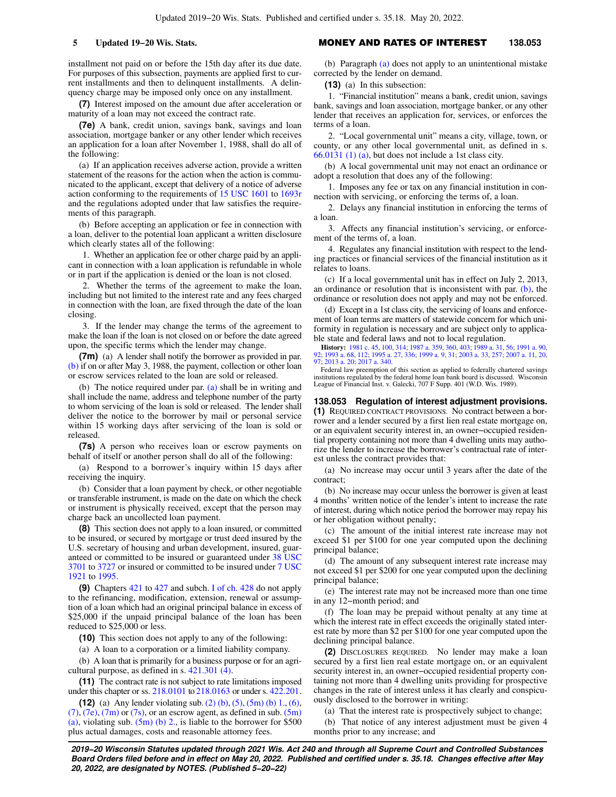installment not paid on or before the 15th day after its due date. For purposes of this subsection, payments are applied first to current installments and then to delinquent installments. A delinquency charge may be imposed only once on any installment.

**(7)** Interest imposed on the amount due after acceleration or maturity of a loan may not exceed the contract rate.

**(7e)** A bank, credit union, savings bank, savings and loan association, mortgage banker or any other lender which receives an application for a loan after November 1, 1988, shall do all of the following:

(a) If an application receives adverse action, provide a written statement of the reasons for the action when the action is communicated to the applicant, except that delivery of a notice of adverse action conforming to the requirements of [15 USC 1601](https://docs-preview.legis.wisconsin.gov/document/usc/15%20USC%201601) to [1693r](https://docs-preview.legis.wisconsin.gov/document/usc/15%20USC%201693r) and the regulations adopted under that law satisfies the requirements of this paragraph.

(b) Before accepting an application or fee in connection with a loan, deliver to the potential loan applicant a written disclosure which clearly states all of the following:

1. Whether an application fee or other charge paid by an applicant in connection with a loan application is refundable in whole or in part if the application is denied or the loan is not closed.

2. Whether the terms of the agreement to make the loan, including but not limited to the interest rate and any fees charged in connection with the loan, are fixed through the date of the loan closing.

3. If the lender may change the terms of the agreement to make the loan if the loan is not closed on or before the date agreed upon, the specific terms which the lender may change.

**(7m)** (a) A lender shall notify the borrower as provided in par. [\(b\)](https://docs-preview.legis.wisconsin.gov/document/statutes/138.052(7m)(b)) if on or after May 3, 1988, the payment, collection or other loan or escrow services related to the loan are sold or released.

(b) The notice required under par. [\(a\)](https://docs-preview.legis.wisconsin.gov/document/statutes/138.052(7m)(a)) shall be in writing and shall include the name, address and telephone number of the party to whom servicing of the loan is sold or released. The lender shall deliver the notice to the borrower by mail or personal service within 15 working days after servicing of the loan is sold or released.

**(7s)** A person who receives loan or escrow payments on behalf of itself or another person shall do all of the following:

(a) Respond to a borrower's inquiry within 15 days after receiving the inquiry.

(b) Consider that a loan payment by check, or other negotiable or transferable instrument, is made on the date on which the check or instrument is physically received, except that the person may charge back an uncollected loan payment.

**(8)** This section does not apply to a loan insured, or committed to be insured, or secured by mortgage or trust deed insured by the U.S. secretary of housing and urban development, insured, guaranteed or committed to be insured or guaranteed under [38 USC](https://docs-preview.legis.wisconsin.gov/document/usc/38%20USC%203701) [3701](https://docs-preview.legis.wisconsin.gov/document/usc/38%20USC%203701) to [3727](https://docs-preview.legis.wisconsin.gov/document/usc/38%20USC%203727) or insured or committed to be insured under [7 USC](https://docs-preview.legis.wisconsin.gov/document/usc/7%20USC%201921) [1921](https://docs-preview.legis.wisconsin.gov/document/usc/7%20USC%201921) to [1995.](https://docs-preview.legis.wisconsin.gov/document/usc/7%20USC%201995)

**(9)** Chapters [421](https://docs-preview.legis.wisconsin.gov/document/statutes/ch.%20421) to [427](https://docs-preview.legis.wisconsin.gov/document/statutes/ch.%20427) and subch. [I of ch. 428](https://docs-preview.legis.wisconsin.gov/document/statutes/subch.%20I%20of%20ch.%20428) do not apply to the refinancing, modification, extension, renewal or assumption of a loan which had an original principal balance in excess of \$25,000 if the unpaid principal balance of the loan has been reduced to \$25,000 or less.

**(10)** This section does not apply to any of the following:

(a) A loan to a corporation or a limited liability company.

(b) A loan that is primarily for a business purpose or for an agricultural purpose, as defined in s. [421.301 \(4\).](https://docs-preview.legis.wisconsin.gov/document/statutes/421.301(4))

**(11)** The contract rate is not subject to rate limitations imposed under this chapter or ss. [218.0101](https://docs-preview.legis.wisconsin.gov/document/statutes/218.0101) to [218.0163](https://docs-preview.legis.wisconsin.gov/document/statutes/218.0163) or under s. [422.201.](https://docs-preview.legis.wisconsin.gov/document/statutes/422.201)

**(12)** (a) Any lender violating sub.[\(2\) \(b\),](https://docs-preview.legis.wisconsin.gov/document/statutes/138.052(2)(b)) [\(5\)](https://docs-preview.legis.wisconsin.gov/document/statutes/138.052(5)), [\(5m\) \(b\) 1.](https://docs-preview.legis.wisconsin.gov/document/statutes/138.052(5m)(b)1.), [\(6\),](https://docs-preview.legis.wisconsin.gov/document/statutes/138.052(6))  $(7)$ ,  $(7e)$ ,  $(7m)$  or  $(7s)$ , or an escrow agent, as defined in sub.  $(5m)$ [\(a\),](https://docs-preview.legis.wisconsin.gov/document/statutes/138.052(5m)(a)) violating sub.  $(5m)$  (b) 2., is liable to the borrower for \$500 plus actual damages, costs and reasonable attorney fees.

### **5 Updated 19−20 Wis. Stats.** MONEY AND RATES OF INTEREST **138.053**

(b) Paragraph [\(a\)](https://docs-preview.legis.wisconsin.gov/document/statutes/138.052(12)(a)) does not apply to an unintentional mistake corrected by the lender on demand.

**(13)** (a) In this subsection:

1. "Financial institution" means a bank, credit union, savings bank, savings and loan association, mortgage banker, or any other lender that receives an application for, services, or enforces the terms of a loan.

2. "Local governmental unit" means a city, village, town, or county, or any other local governmental unit, as defined in s. [66.0131 \(1\) \(a\),](https://docs-preview.legis.wisconsin.gov/document/statutes/66.0131(1)(a)) but does not include a 1st class city.

(b) A local governmental unit may not enact an ordinance or adopt a resolution that does any of the following:

1. Imposes any fee or tax on any financial institution in connection with servicing, or enforcing the terms of, a loan.

2. Delays any financial institution in enforcing the terms of a loan.

3. Affects any financial institution's servicing, or enforcement of the terms of, a loan.

4. Regulates any financial institution with respect to the lending practices or financial services of the financial institution as it relates to loans.

(c) If a local governmental unit has in effect on July 2, 2013, an ordinance or resolution that is inconsistent with par. [\(b\)](https://docs-preview.legis.wisconsin.gov/document/statutes/138.052(13)(b)), the ordinance or resolution does not apply and may not be enforced.

(d) Except in a 1st class city, the servicing of loans and enforcement of loan terms are matters of statewide concern for which uniformity in regulation is necessary and are subject only to applicable state and federal laws and not to local regulation.

**History:** [1981 c. 45](https://docs-preview.legis.wisconsin.gov/document/acts/1981/45), [100,](https://docs-preview.legis.wisconsin.gov/document/acts/1981/100) [314;](https://docs-preview.legis.wisconsin.gov/document/acts/1981/314) [1987 a. 359,](https://docs-preview.legis.wisconsin.gov/document/acts/1987/359) [360,](https://docs-preview.legis.wisconsin.gov/document/acts/1987/360) [403](https://docs-preview.legis.wisconsin.gov/document/acts/1987/403); [1989 a. 31,](https://docs-preview.legis.wisconsin.gov/document/acts/1989/31) [56](https://docs-preview.legis.wisconsin.gov/document/acts/1989/56); [1991 a. 90](https://docs-preview.legis.wisconsin.gov/document/acts/1991/90), [92](https://docs-preview.legis.wisconsin.gov/document/acts/1991/92); [1993 a. 68](https://docs-preview.legis.wisconsin.gov/document/acts/1993/68), [112;](https://docs-preview.legis.wisconsin.gov/document/acts/1993/112) [1995 a. 27,](https://docs-preview.legis.wisconsin.gov/document/acts/1995/27) [336;](https://docs-preview.legis.wisconsin.gov/document/acts/1995/336) [1999 a. 9](https://docs-preview.legis.wisconsin.gov/document/acts/1999/9), [31;](https://docs-preview.legis.wisconsin.gov/document/acts/1999/31) [2003 a. 33](https://docs-preview.legis.wisconsin.gov/document/acts/2003/33), [257](https://docs-preview.legis.wisconsin.gov/document/acts/2003/257); [2007 a. 11](https://docs-preview.legis.wisconsin.gov/document/acts/2007/11), [20](https://docs-preview.legis.wisconsin.gov/document/acts/2007/20), [97](https://docs-preview.legis.wisconsin.gov/document/acts/2007/97); [2013 a. 20](https://docs-preview.legis.wisconsin.gov/document/acts/2013/20); [2017 a. 340.](https://docs-preview.legis.wisconsin.gov/document/acts/2017/340)

Federal law preemption of this section as applied to federally chartered savings institutions regulated by the federal home loan bank board is discussed. Wisconsin League of Financial Inst. v. Galecki, 707 F Supp. 401 (W.D. Wis. 1989).

**138.053 Regulation of interest adjustment provisions. (1)** REQUIRED CONTRACT PROVISIONS. No contract between a borrower and a lender secured by a first lien real estate mortgage on, or an equivalent security interest in, an owner−occupied residential property containing not more than 4 dwelling units may authorize the lender to increase the borrower's contractual rate of interest unless the contract provides that:

(a) No increase may occur until 3 years after the date of the contract;

(b) No increase may occur unless the borrower is given at least 4 months' written notice of the lender's intent to increase the rate of interest, during which notice period the borrower may repay his or her obligation without penalty;

(c) The amount of the initial interest rate increase may not exceed \$1 per \$100 for one year computed upon the declining principal balance;

(d) The amount of any subsequent interest rate increase may not exceed \$1 per \$200 for one year computed upon the declining principal balance;

(e) The interest rate may not be increased more than one time in any 12−month period; and

(f) The loan may be prepaid without penalty at any time at which the interest rate in effect exceeds the originally stated interest rate by more than \$2 per \$100 for one year computed upon the declining principal balance.

**(2)** DISCLOSURES REQUIRED. No lender may make a loan secured by a first lien real estate mortgage on, or an equivalent security interest in, an owner−occupied residential property containing not more than 4 dwelling units providing for prospective changes in the rate of interest unless it has clearly and conspicuously disclosed to the borrower in writing:

(a) That the interest rate is prospectively subject to change;

(b) That notice of any interest adjustment must be given 4 months prior to any increase; and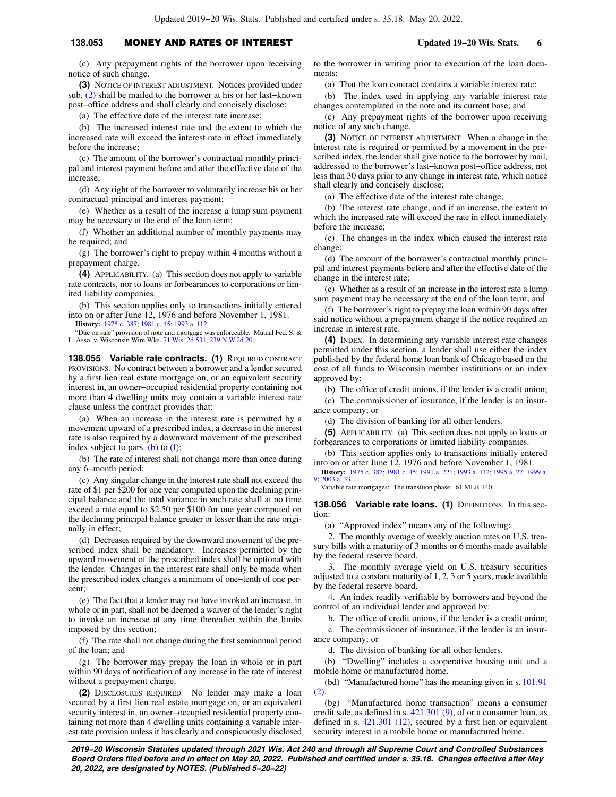### **138.053** MONEY AND RATES OF INTEREST **Updated 19−20 Wis. Stats. 6**

(c) Any prepayment rights of the borrower upon receiving notice of such change.

**(3)** NOTICE OF INTEREST ADJUSTMENT. Notices provided under sub. [\(2\)](https://docs-preview.legis.wisconsin.gov/document/statutes/138.053(2)) shall be mailed to the borrower at his or her last−known post−office address and shall clearly and concisely disclose:

(a) The effective date of the interest rate increase;

(b) The increased interest rate and the extent to which the increased rate will exceed the interest rate in effect immediately before the increase;

(c) The amount of the borrower's contractual monthly principal and interest payment before and after the effective date of the increase;

(d) Any right of the borrower to voluntarily increase his or her contractual principal and interest payment;

(e) Whether as a result of the increase a lump sum payment may be necessary at the end of the loan term;

(f) Whether an additional number of monthly payments may be required; and

(g) The borrower's right to prepay within 4 months without a prepayment charge.

**(4)** APPLICABILITY. (a) This section does not apply to variable rate contracts, nor to loans or forbearances to corporations or limited liability companies.

(b) This section applies only to transactions initially entered into on or after June 12, 1976 and before November 1, 1981.

**History:** [1975 c. 387](https://docs-preview.legis.wisconsin.gov/document/acts/1975/387); [1981 c. 45;](https://docs-preview.legis.wisconsin.gov/document/acts/1981/45) [1993 a. 112.](https://docs-preview.legis.wisconsin.gov/document/acts/1993/112)

"Due on sale" provision of note and mortgage was enforceable. Mutual Fed. S. & L. Asso. v. Wisconsin Wire Wks. [71 Wis. 2d 531,](https://docs-preview.legis.wisconsin.gov/document/courts/71%20Wis.%202d%20531) [239 N.W.2d 20](https://docs-preview.legis.wisconsin.gov/document/courts/239%20N.W.2d%2020).

**138.055 Variable rate contracts. (1)** REQUIRED CONTRACT PROVISIONS. No contract between a borrower and a lender secured by a first lien real estate mortgage on, or an equivalent security interest in, an owner−occupied residential property containing not more than 4 dwelling units may contain a variable interest rate clause unless the contract provides that:

(a) When an increase in the interest rate is permitted by a movement upward of a prescribed index, a decrease in the interest rate is also required by a downward movement of the prescribed index subject to pars. [\(b\)](https://docs-preview.legis.wisconsin.gov/document/statutes/138.055(1)(b)) to  $(f)$ ;

(b) The rate of interest shall not change more than once during any 6−month period;

(c) Any singular change in the interest rate shall not exceed the rate of \$1 per \$200 for one year computed upon the declining principal balance and the total variance in such rate shall at no time exceed a rate equal to \$2.50 per \$100 for one year computed on the declining principal balance greater or lesser than the rate originally in effect;

(d) Decreases required by the downward movement of the prescribed index shall be mandatory. Increases permitted by the upward movement of the prescribed index shall be optional with the lender. Changes in the interest rate shall only be made when the prescribed index changes a minimum of one−tenth of one percent;

(e) The fact that a lender may not have invoked an increase, in whole or in part, shall not be deemed a waiver of the lender's right to invoke an increase at any time thereafter within the limits imposed by this section;

(f) The rate shall not change during the first semiannual period of the loan; and

(g) The borrower may prepay the loan in whole or in part within 90 days of notification of any increase in the rate of interest without a prepayment charge.

**(2)** DISCLOSURES REQUIRED. No lender may make a loan secured by a first lien real estate mortgage on, or an equivalent security interest in, an owner−occupied residential property containing not more than 4 dwelling units containing a variable interest rate provision unless it has clearly and conspicuously disclosed to the borrower in writing prior to execution of the loan documents:

(a) That the loan contract contains a variable interest rate;

(b) The index used in applying any variable interest rate changes contemplated in the note and its current base; and

(c) Any prepayment rights of the borrower upon receiving notice of any such change.

**(3)** NOTICE OF INTEREST ADJUSTMENT. When a change in the interest rate is required or permitted by a movement in the prescribed index, the lender shall give notice to the borrower by mail, addressed to the borrower's last−known post−office address, not less than 30 days prior to any change in interest rate, which notice shall clearly and concisely disclose:

(a) The effective date of the interest rate change;

(b) The interest rate change, and if an increase, the extent to which the increased rate will exceed the rate in effect immediately before the increase;

(c) The changes in the index which caused the interest rate change;

(d) The amount of the borrower's contractual monthly principal and interest payments before and after the effective date of the change in the interest rate;

(e) Whether as a result of an increase in the interest rate a lump sum payment may be necessary at the end of the loan term; and

(f) The borrower's right to prepay the loan within 90 days after said notice without a prepayment charge if the notice required an increase in interest rate.

**(4)** INDEX. In determining any variable interest rate changes permitted under this section, a lender shall use either the index published by the federal home loan bank of Chicago based on the cost of all funds to Wisconsin member institutions or an index approved by:

(b) The office of credit unions, if the lender is a credit union;

(c) The commissioner of insurance, if the lender is an insurance company; or

(d) The division of banking for all other lenders.

**(5)** APPLICABILITY. (a) This section does not apply to loans or forbearances to corporations or limited liability companies.

(b) This section applies only to transactions initially entered into on or after June 12, 1976 and before November 1, 1981.

**History:** [1975 c. 387;](https://docs-preview.legis.wisconsin.gov/document/acts/1975/387) [1981 c. 45;](https://docs-preview.legis.wisconsin.gov/document/acts/1981/45) [1991 a. 221](https://docs-preview.legis.wisconsin.gov/document/acts/1991/221); [1993 a. 112;](https://docs-preview.legis.wisconsin.gov/document/acts/1993/112) [1995 a. 27;](https://docs-preview.legis.wisconsin.gov/document/acts/1995/27) [1999 a.](https://docs-preview.legis.wisconsin.gov/document/acts/1999/9) [9](https://docs-preview.legis.wisconsin.gov/document/acts/1999/9); [2003 a. 33.](https://docs-preview.legis.wisconsin.gov/document/acts/2003/33)

Variable rate mortgages: The transition phase. 61 MLR 140.

**138.056 Variable rate loans. (1)** DEFINITIONS. In this section:

(a) "Approved index" means any of the following:

2. The monthly average of weekly auction rates on U.S. treasury bills with a maturity of 3 months or 6 months made available by the federal reserve board.

3. The monthly average yield on U.S. treasury securities adjusted to a constant maturity of 1, 2, 3 or 5 years, made available by the federal reserve board.

4. An index readily verifiable by borrowers and beyond the control of an individual lender and approved by:

b. The office of credit unions, if the lender is a credit union; c. The commissioner of insurance, if the lender is an insur-

ance company; or

d. The division of banking for all other lenders.

(b) "Dwelling" includes a cooperative housing unit and a mobile home or manufactured home.

(bd) "Manufactured home" has the meaning given in s. [101.91](https://docs-preview.legis.wisconsin.gov/document/statutes/101.91(2)) [\(2\).](https://docs-preview.legis.wisconsin.gov/document/statutes/101.91(2))

(bg) "Manufactured home transaction" means a consumer credit sale, as defined in s. [421.301 \(9\)](https://docs-preview.legis.wisconsin.gov/document/statutes/421.301(9)), of or a consumer loan, as defined in s. [421.301 \(12\),](https://docs-preview.legis.wisconsin.gov/document/statutes/421.301(12)) secured by a first lien or equivalent security interest in a mobile home or manufactured home.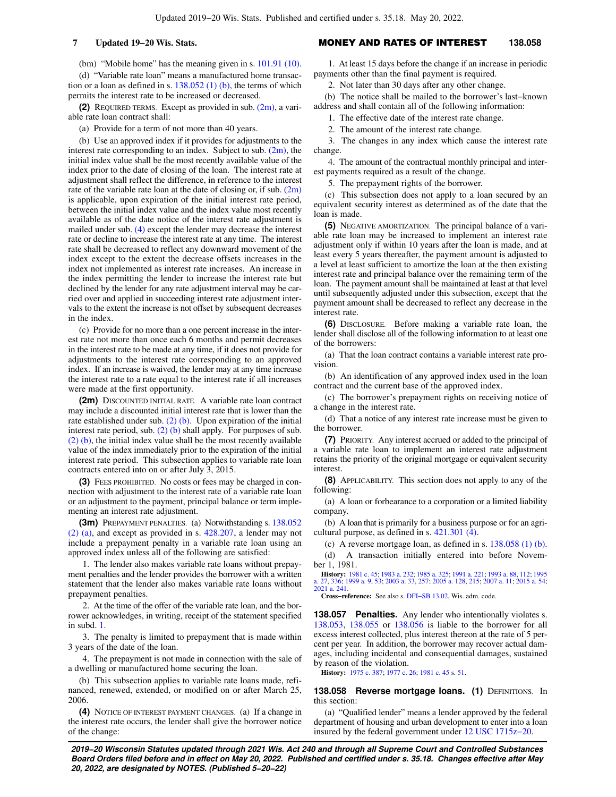(bm) "Mobile home" has the meaning given in s. [101.91 \(10\).](https://docs-preview.legis.wisconsin.gov/document/statutes/101.91(10))

(d) "Variable rate loan" means a manufactured home transaction or a loan as defined in s.  $138.052(1)$  (b), the terms of which permits the interest rate to be increased or decreased.

**(2)** REQUIRED TERMS. Except as provided in sub. [\(2m\)](https://docs-preview.legis.wisconsin.gov/document/statutes/138.056(2m)), a variable rate loan contract shall:

(a) Provide for a term of not more than 40 years.

(b) Use an approved index if it provides for adjustments to the interest rate corresponding to an index. Subject to sub.  $(2m)$ , the initial index value shall be the most recently available value of the index prior to the date of closing of the loan. The interest rate at adjustment shall reflect the difference, in reference to the interest rate of the variable rate loan at the date of closing or, if sub.  $(2m)$ is applicable, upon expiration of the initial interest rate period, between the initial index value and the index value most recently available as of the date notice of the interest rate adjustment is mailed under sub. [\(4\)](https://docs-preview.legis.wisconsin.gov/document/statutes/138.056(4)) except the lender may decrease the interest rate or decline to increase the interest rate at any time. The interest rate shall be decreased to reflect any downward movement of the index except to the extent the decrease offsets increases in the index not implemented as interest rate increases. An increase in the index permitting the lender to increase the interest rate but declined by the lender for any rate adjustment interval may be carried over and applied in succeeding interest rate adjustment intervals to the extent the increase is not offset by subsequent decreases in the index.

(c) Provide for no more than a one percent increase in the interest rate not more than once each 6 months and permit decreases in the interest rate to be made at any time, if it does not provide for adjustments to the interest rate corresponding to an approved index. If an increase is waived, the lender may at any time increase the interest rate to a rate equal to the interest rate if all increases were made at the first opportunity.

**(2m)** DISCOUNTED INITIAL RATE. A variable rate loan contract may include a discounted initial interest rate that is lower than the rate established under sub. [\(2\) \(b\).](https://docs-preview.legis.wisconsin.gov/document/statutes/138.056(2)(b)) Upon expiration of the initial interest rate period, sub.  $(2)$  (b) shall apply. For purposes of sub. [\(2\) \(b\),](https://docs-preview.legis.wisconsin.gov/document/statutes/138.056(2)(b)) the initial index value shall be the most recently available value of the index immediately prior to the expiration of the initial interest rate period. This subsection applies to variable rate loan contracts entered into on or after July 3, 2015.

**(3)** FEES PROHIBITED. No costs or fees may be charged in connection with adjustment to the interest rate of a variable rate loan or an adjustment to the payment, principal balance or term implementing an interest rate adjustment.

**(3m)** PREPAYMENT PENALTIES. (a) Notwithstanding s. [138.052](https://docs-preview.legis.wisconsin.gov/document/statutes/138.052(2)(a)) [\(2\) \(a\)](https://docs-preview.legis.wisconsin.gov/document/statutes/138.052(2)(a)), and except as provided in s. [428.207](https://docs-preview.legis.wisconsin.gov/document/statutes/428.207), a lender may not include a prepayment penalty in a variable rate loan using an approved index unless all of the following are satisfied:

1. The lender also makes variable rate loans without prepayment penalties and the lender provides the borrower with a written statement that the lender also makes variable rate loans without prepayment penalties.

2. At the time of the offer of the variable rate loan, and the borrower acknowledges, in writing, receipt of the statement specified in subd. [1.](https://docs-preview.legis.wisconsin.gov/document/statutes/138.056(3m)(a)1.)

3. The penalty is limited to prepayment that is made within 3 years of the date of the loan.

4. The prepayment is not made in connection with the sale of a dwelling or manufactured home securing the loan.

(b) This subsection applies to variable rate loans made, refinanced, renewed, extended, or modified on or after March 25, 2006.

**(4)** NOTICE OF INTEREST PAYMENT CHANGES. (a) If a change in the interest rate occurs, the lender shall give the borrower notice of the change:

### **7 Updated 19−20 Wis. Stats.** MONEY AND RATES OF INTEREST **138.058**

1. At least 15 days before the change if an increase in periodic payments other than the final payment is required.

2. Not later than 30 days after any other change.

(b) The notice shall be mailed to the borrower's last−known address and shall contain all of the following information:

1. The effective date of the interest rate change.

2. The amount of the interest rate change.

3. The changes in any index which cause the interest rate change.

4. The amount of the contractual monthly principal and interest payments required as a result of the change.

5. The prepayment rights of the borrower.

(c) This subsection does not apply to a loan secured by an equivalent security interest as determined as of the date that the loan is made.

**(5)** NEGATIVE AMORTIZATION. The principal balance of a variable rate loan may be increased to implement an interest rate adjustment only if within 10 years after the loan is made, and at least every 5 years thereafter, the payment amount is adjusted to a level at least sufficient to amortize the loan at the then existing interest rate and principal balance over the remaining term of the loan. The payment amount shall be maintained at least at that level until subsequently adjusted under this subsection, except that the payment amount shall be decreased to reflect any decrease in the interest rate.

**(6)** DISCLOSURE. Before making a variable rate loan, the lender shall disclose all of the following information to at least one of the borrowers:

(a) That the loan contract contains a variable interest rate provision.

(b) An identification of any approved index used in the loan contract and the current base of the approved index.

(c) The borrower's prepayment rights on receiving notice of a change in the interest rate.

(d) That a notice of any interest rate increase must be given to the borrower.

**(7)** PRIORITY. Any interest accrued or added to the principal of a variable rate loan to implement an interest rate adjustment retains the priority of the original mortgage or equivalent security interest.

**(8)** APPLICABILITY. This section does not apply to any of the following:

(a) A loan or forbearance to a corporation or a limited liability company.

(b) A loan that is primarily for a business purpose or for an agricultural purpose, as defined in s.  $421.301\,(4)$ .

(c) A reverse mortgage loan, as defined in s. [138.058 \(1\) \(b\).](https://docs-preview.legis.wisconsin.gov/document/statutes/138.058(1)(b))

(d) A transaction initially entered into before November 1, 1981.

**History:** [1981 c. 45](https://docs-preview.legis.wisconsin.gov/document/acts/1981/45); [1983 a. 232;](https://docs-preview.legis.wisconsin.gov/document/acts/1983/232) [1985 a. 325](https://docs-preview.legis.wisconsin.gov/document/acts/1985/325); [1991 a. 221;](https://docs-preview.legis.wisconsin.gov/document/acts/1991/221) [1993 a. 88,](https://docs-preview.legis.wisconsin.gov/document/acts/1993/88) [112;](https://docs-preview.legis.wisconsin.gov/document/acts/1993/112) [1995](https://docs-preview.legis.wisconsin.gov/document/acts/1995/27) [a. 27,](https://docs-preview.legis.wisconsin.gov/document/acts/1995/27) [336;](https://docs-preview.legis.wisconsin.gov/document/acts/1995/336) [1999 a. 9](https://docs-preview.legis.wisconsin.gov/document/acts/1999/9), [53;](https://docs-preview.legis.wisconsin.gov/document/acts/1999/53) [2003 a. 33](https://docs-preview.legis.wisconsin.gov/document/acts/2003/33), [257](https://docs-preview.legis.wisconsin.gov/document/acts/2003/257); [2005 a. 128,](https://docs-preview.legis.wisconsin.gov/document/acts/2005/128) [215;](https://docs-preview.legis.wisconsin.gov/document/acts/2005/215) [2007 a. 11](https://docs-preview.legis.wisconsin.gov/document/acts/2007/11); [2015 a. 54](https://docs-preview.legis.wisconsin.gov/document/acts/2015/54); [2021 a. 241.](https://docs-preview.legis.wisconsin.gov/document/acts/2021/241)

**Cross−reference:** See also s. [DFI−SB 13.02](https://docs-preview.legis.wisconsin.gov/document/administrativecode/DFI-SB%2013.02), Wis. adm. code.

**138.057 Penalties.** Any lender who intentionally violates s. [138.053](https://docs-preview.legis.wisconsin.gov/document/statutes/138.053), [138.055](https://docs-preview.legis.wisconsin.gov/document/statutes/138.055) or [138.056](https://docs-preview.legis.wisconsin.gov/document/statutes/138.056) is liable to the borrower for all excess interest collected, plus interest thereon at the rate of 5 percent per year. In addition, the borrower may recover actual damages, including incidental and consequential damages, sustained by reason of the violation.

**History:** [1975 c. 387;](https://docs-preview.legis.wisconsin.gov/document/acts/1975/387) [1977 c. 26;](https://docs-preview.legis.wisconsin.gov/document/acts/1977/26) [1981 c. 45](https://docs-preview.legis.wisconsin.gov/document/acts/1981/45) s. [51.](https://docs-preview.legis.wisconsin.gov/document/acts/1981/45,%20s.%2051)

**138.058 Reverse mortgage loans. (1) DEFINITIONS. In** this section:

(a) "Qualified lender" means a lender approved by the federal department of housing and urban development to enter into a loan insured by the federal government under [12 USC 1715z−20](https://docs-preview.legis.wisconsin.gov/document/usc/12%20USC%201715z-20).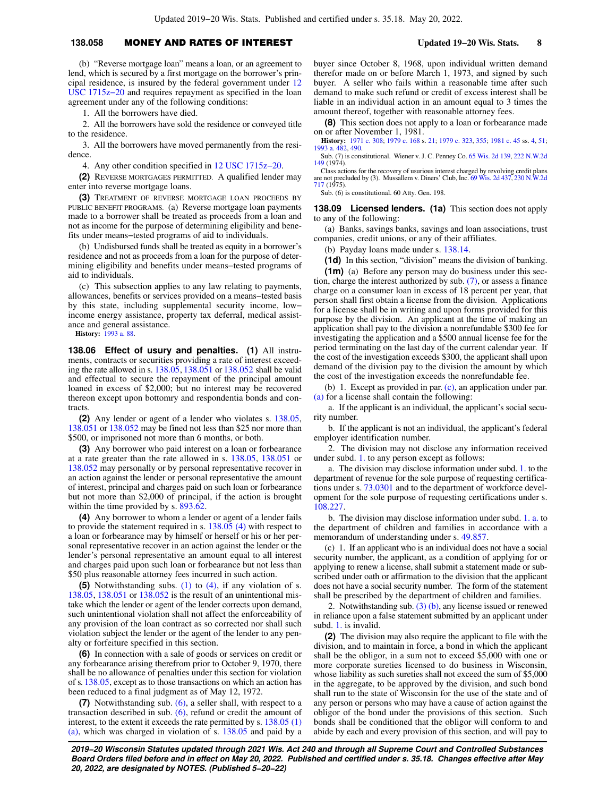# **138.058** MONEY AND RATES OF INTEREST **Updated 19−20 Wis. Stats. 8**

(b) "Reverse mortgage loan" means a loan, or an agreement to lend, which is secured by a first mortgage on the borrower's principal residence, is insured by the federal government under [12](https://docs-preview.legis.wisconsin.gov/document/usc/12%20USC%201715z-20) [USC 1715z−20](https://docs-preview.legis.wisconsin.gov/document/usc/12%20USC%201715z-20) and requires repayment as specified in the loan agreement under any of the following conditions:

1. All the borrowers have died.

2. All the borrowers have sold the residence or conveyed title to the residence.

3. All the borrowers have moved permanently from the residence.

4. Any other condition specified in [12 USC 1715z−20.](https://docs-preview.legis.wisconsin.gov/document/usc/12%20USC%201715z-20)

**(2)** REVERSE MORTGAGES PERMITTED. A qualified lender may enter into reverse mortgage loans.

**(3)** TREATMENT OF REVERSE MORTGAGE LOAN PROCEEDS BY PUBLIC BENEFIT PROGRAMS. (a) Reverse mortgage loan payments made to a borrower shall be treated as proceeds from a loan and not as income for the purpose of determining eligibility and benefits under means−tested programs of aid to individuals.

(b) Undisbursed funds shall be treated as equity in a borrower's residence and not as proceeds from a loan for the purpose of determining eligibility and benefits under means−tested programs of aid to individuals.

(c) This subsection applies to any law relating to payments, allowances, benefits or services provided on a means−tested basis by this state, including supplemental security income, low− income energy assistance, property tax deferral, medical assistance and general assistance.

**History:** [1993 a. 88.](https://docs-preview.legis.wisconsin.gov/document/acts/1993/88)

**138.06 Effect of usury and penalties. (1)** All instruments, contracts or securities providing a rate of interest exceeding the rate allowed in s. [138.05,](https://docs-preview.legis.wisconsin.gov/document/statutes/138.05) [138.051](https://docs-preview.legis.wisconsin.gov/document/statutes/138.051) or [138.052](https://docs-preview.legis.wisconsin.gov/document/statutes/138.052) shall be valid and effectual to secure the repayment of the principal amount loaned in excess of \$2,000; but no interest may be recovered thereon except upon bottomry and respondentia bonds and contracts.

**(2)** Any lender or agent of a lender who violates s. [138.05,](https://docs-preview.legis.wisconsin.gov/document/statutes/138.05) [138.051](https://docs-preview.legis.wisconsin.gov/document/statutes/138.051) or [138.052](https://docs-preview.legis.wisconsin.gov/document/statutes/138.052) may be fined not less than \$25 nor more than \$500, or imprisoned not more than 6 months, or both.

**(3)** Any borrower who paid interest on a loan or forbearance at a rate greater than the rate allowed in s. [138.05,](https://docs-preview.legis.wisconsin.gov/document/statutes/138.05) [138.051](https://docs-preview.legis.wisconsin.gov/document/statutes/138.051) or [138.052](https://docs-preview.legis.wisconsin.gov/document/statutes/138.052) may personally or by personal representative recover in an action against the lender or personal representative the amount of interest, principal and charges paid on such loan or forbearance but not more than \$2,000 of principal, if the action is brought within the time provided by s. [893.62.](https://docs-preview.legis.wisconsin.gov/document/statutes/893.62)

**(4)** Any borrower to whom a lender or agent of a lender fails to provide the statement required in s. [138.05 \(4\)](https://docs-preview.legis.wisconsin.gov/document/statutes/138.05(4)) with respect to a loan or forbearance may by himself or herself or his or her personal representative recover in an action against the lender or the lender's personal representative an amount equal to all interest and charges paid upon such loan or forbearance but not less than \$50 plus reasonable attorney fees incurred in such action.

**(5)** Notwithstanding subs. [\(1\)](https://docs-preview.legis.wisconsin.gov/document/statutes/138.06(1)) to [\(4\)](https://docs-preview.legis.wisconsin.gov/document/statutes/138.06(4)), if any violation of s. [138.05,](https://docs-preview.legis.wisconsin.gov/document/statutes/138.05) [138.051](https://docs-preview.legis.wisconsin.gov/document/statutes/138.051) or [138.052](https://docs-preview.legis.wisconsin.gov/document/statutes/138.052) is the result of an unintentional mistake which the lender or agent of the lender corrects upon demand, such unintentional violation shall not affect the enforceability of any provision of the loan contract as so corrected nor shall such violation subject the lender or the agent of the lender to any penalty or forfeiture specified in this section.

**(6)** In connection with a sale of goods or services on credit or any forbearance arising therefrom prior to October 9, 1970, there shall be no allowance of penalties under this section for violation of s. [138.05,](https://docs-preview.legis.wisconsin.gov/document/statutes/138.05) except as to those transactions on which an action has been reduced to a final judgment as of May 12, 1972.

**(7)** Notwithstanding sub. [\(6\),](https://docs-preview.legis.wisconsin.gov/document/statutes/138.06(6)) a seller shall, with respect to a transaction described in sub. [\(6\),](https://docs-preview.legis.wisconsin.gov/document/statutes/138.06(6)) refund or credit the amount of interest, to the extent it exceeds the rate permitted by s. [138.05 \(1\)](https://docs-preview.legis.wisconsin.gov/document/statutes/138.05(1)(a)) [\(a\),](https://docs-preview.legis.wisconsin.gov/document/statutes/138.05(1)(a)) which was charged in violation of s. [138.05](https://docs-preview.legis.wisconsin.gov/document/statutes/138.05) and paid by a buyer since October 8, 1968, upon individual written demand therefor made on or before March 1, 1973, and signed by such buyer. A seller who fails within a reasonable time after such demand to make such refund or credit of excess interest shall be liable in an individual action in an amount equal to 3 times the amount thereof, together with reasonable attorney fees.

**(8)** This section does not apply to a loan or forbearance made on or after November 1, 1981.

**History:** [1971 c. 308;](https://docs-preview.legis.wisconsin.gov/document/acts/1971/308) [1979 c. 168](https://docs-preview.legis.wisconsin.gov/document/acts/1979/168) s. [21;](https://docs-preview.legis.wisconsin.gov/document/acts/1979/168,%20s.%2021) [1979 c. 323,](https://docs-preview.legis.wisconsin.gov/document/acts/1979/323) [355;](https://docs-preview.legis.wisconsin.gov/document/acts/1979/355) [1981 c. 45](https://docs-preview.legis.wisconsin.gov/document/acts/1981/45) ss. [4,](https://docs-preview.legis.wisconsin.gov/document/acts/1981/45,%20s.%204) [51](https://docs-preview.legis.wisconsin.gov/document/acts/1981/45,%20s.%2051); [1993 a. 482,](https://docs-preview.legis.wisconsin.gov/document/acts/1993/482) [490](https://docs-preview.legis.wisconsin.gov/document/acts/1993/490).

Sub. (7) is constitutional. Wiener v. J. C. Penney Co. [65 Wis. 2d 139,](https://docs-preview.legis.wisconsin.gov/document/courts/65%20Wis.%202d%20139) [222 N.W.2d](https://docs-preview.legis.wisconsin.gov/document/courts/222%20N.W.2d%20149) [149](https://docs-preview.legis.wisconsin.gov/document/courts/222%20N.W.2d%20149) (1974).

Class actions for the recovery of usurious interest charged by revolving credit plans are not precluded by (3). Mussallem v. Diners' Club, Inc. [69 Wis. 2d 437](https://docs-preview.legis.wisconsin.gov/document/courts/69%20Wis.%202d%20437), [230 N.W.2d](https://docs-preview.legis.wisconsin.gov/document/courts/230%20N.W.2d%20717) [717](https://docs-preview.legis.wisconsin.gov/document/courts/230%20N.W.2d%20717) (1975).

Sub. (6) is constitutional. 60 Atty. Gen. 198.

**138.09 Licensed lenders. (1a)** This section does not apply to any of the following:

(a) Banks, savings banks, savings and loan associations, trust companies, credit unions, or any of their affiliates.

(b) Payday loans made under s. [138.14.](https://docs-preview.legis.wisconsin.gov/document/statutes/138.14)

**(1d)** In this section, "division" means the division of banking.

**(1m)** (a) Before any person may do business under this section, charge the interest authorized by sub. [\(7\),](https://docs-preview.legis.wisconsin.gov/document/statutes/138.09(7)) or assess a finance charge on a consumer loan in excess of 18 percent per year, that person shall first obtain a license from the division. Applications for a license shall be in writing and upon forms provided for this purpose by the division. An applicant at the time of making an application shall pay to the division a nonrefundable \$300 fee for investigating the application and a \$500 annual license fee for the period terminating on the last day of the current calendar year. If the cost of the investigation exceeds \$300, the applicant shall upon demand of the division pay to the division the amount by which the cost of the investigation exceeds the nonrefundable fee.

(b) 1. Except as provided in par. [\(c\),](https://docs-preview.legis.wisconsin.gov/document/statutes/138.09(1m)(c)) an application under par. [\(a\)](https://docs-preview.legis.wisconsin.gov/document/statutes/138.09(1m)(a)) for a license shall contain the following:

a. If the applicant is an individual, the applicant's social security number.

b. If the applicant is not an individual, the applicant's federal employer identification number.

2. The division may not disclose any information received under subd. [1.](https://docs-preview.legis.wisconsin.gov/document/statutes/138.09(1m)(b)1.) to any person except as follows:

a. The division may disclose information under subd. [1.](https://docs-preview.legis.wisconsin.gov/document/statutes/138.09(1m)(b)1.) to the department of revenue for the sole purpose of requesting certifications under s. [73.0301](https://docs-preview.legis.wisconsin.gov/document/statutes/73.0301) and to the department of workforce development for the sole purpose of requesting certifications under s. [108.227](https://docs-preview.legis.wisconsin.gov/document/statutes/108.227).

b. The division may disclose information under subd. [1. a.](https://docs-preview.legis.wisconsin.gov/document/statutes/138.09(1m)(b)1.a.) to the department of children and families in accordance with a memorandum of understanding under s. [49.857.](https://docs-preview.legis.wisconsin.gov/document/statutes/49.857)

(c) 1. If an applicant who is an individual does not have a social security number, the applicant, as a condition of applying for or applying to renew a license, shall submit a statement made or subscribed under oath or affirmation to the division that the applicant does not have a social security number. The form of the statement shall be prescribed by the department of children and families.

2. Notwithstanding sub. [\(3\) \(b\)](https://docs-preview.legis.wisconsin.gov/document/statutes/138.09(3)(b)), any license issued or renewed in reliance upon a false statement submitted by an applicant under subd. [1.](https://docs-preview.legis.wisconsin.gov/document/statutes/138.09(1m)(c)1.) is invalid.

**(2)** The division may also require the applicant to file with the division, and to maintain in force, a bond in which the applicant shall be the obligor, in a sum not to exceed \$5,000 with one or more corporate sureties licensed to do business in Wisconsin, whose liability as such sureties shall not exceed the sum of \$5,000 in the aggregate, to be approved by the division, and such bond shall run to the state of Wisconsin for the use of the state and of any person or persons who may have a cause of action against the obligor of the bond under the provisions of this section. Such bonds shall be conditioned that the obligor will conform to and abide by each and every provision of this section, and will pay to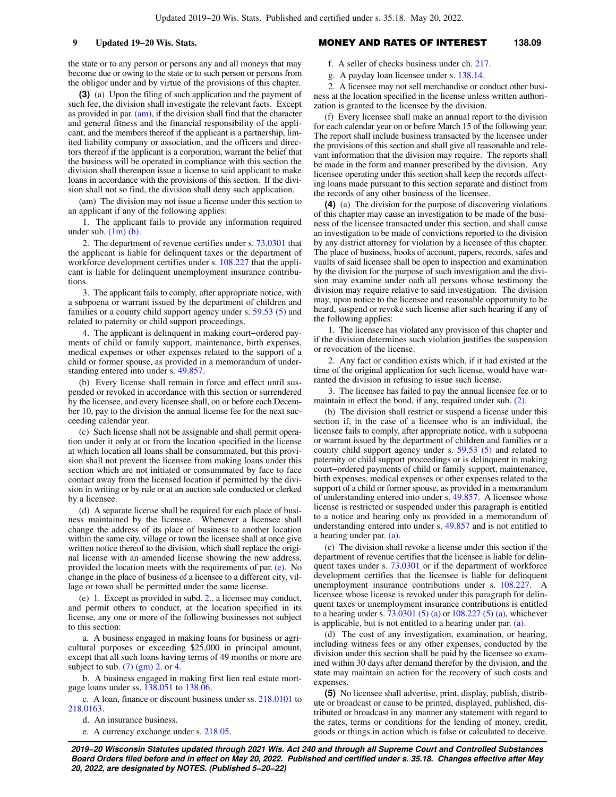the state or to any person or persons any and all moneys that may become due or owing to the state or to such person or persons from the obligor under and by virtue of the provisions of this chapter.

**(3)** (a) Upon the filing of such application and the payment of such fee, the division shall investigate the relevant facts. Except as provided in par. [\(am\),](https://docs-preview.legis.wisconsin.gov/document/statutes/138.09(3)(am)) if the division shall find that the character and general fitness and the financial responsibility of the applicant, and the members thereof if the applicant is a partnership, limited liability company or association, and the officers and directors thereof if the applicant is a corporation, warrant the belief that the business will be operated in compliance with this section the division shall thereupon issue a license to said applicant to make loans in accordance with the provisions of this section. If the division shall not so find, the division shall deny such application.

(am) The division may not issue a license under this section to an applicant if any of the following applies:

1. The applicant fails to provide any information required under sub.  $(1m)$  (b).

2. The department of revenue certifies under s. [73.0301](https://docs-preview.legis.wisconsin.gov/document/statutes/73.0301) that the applicant is liable for delinquent taxes or the department of workforce development certifies under s. [108.227](https://docs-preview.legis.wisconsin.gov/document/statutes/108.227) that the applicant is liable for delinquent unemployment insurance contributions.

3. The applicant fails to comply, after appropriate notice, with a subpoena or warrant issued by the department of children and families or a county child support agency under s. [59.53 \(5\)](https://docs-preview.legis.wisconsin.gov/document/statutes/59.53(5)) and related to paternity or child support proceedings.

4. The applicant is delinquent in making court−ordered payments of child or family support, maintenance, birth expenses, medical expenses or other expenses related to the support of a child or former spouse, as provided in a memorandum of understanding entered into under s. [49.857.](https://docs-preview.legis.wisconsin.gov/document/statutes/49.857)

(b) Every license shall remain in force and effect until suspended or revoked in accordance with this section or surrendered by the licensee, and every licensee shall, on or before each December 10, pay to the division the annual license fee for the next succeeding calendar year.

(c) Such license shall not be assignable and shall permit operation under it only at or from the location specified in the license at which location all loans shall be consummated, but this provision shall not prevent the licensee from making loans under this section which are not initiated or consummated by face to face contact away from the licensed location if permitted by the division in writing or by rule or at an auction sale conducted or clerked by a licensee.

(d) A separate license shall be required for each place of business maintained by the licensee. Whenever a licensee shall change the address of its place of business to another location within the same city, village or town the licensee shall at once give written notice thereof to the division, which shall replace the original license with an amended license showing the new address, provided the location meets with the requirements of par. [\(e\)](https://docs-preview.legis.wisconsin.gov/document/statutes/138.09(3)(e)). No change in the place of business of a licensee to a different city, village or town shall be permitted under the same license.

(e) 1. Except as provided in subd. [2.](https://docs-preview.legis.wisconsin.gov/document/statutes/138.09(3)(e)2.), a licensee may conduct, and permit others to conduct, at the location specified in its license, any one or more of the following businesses not subject to this section:

a. A business engaged in making loans for business or agricultural purposes or exceeding \$25,000 in principal amount, except that all such loans having terms of 49 months or more are subject to sub.  $(7)$  (gm) 2. or [4.](https://docs-preview.legis.wisconsin.gov/document/statutes/138.09(7)(gm)4.)

b. A business engaged in making first lien real estate mortgage loans under ss. [138.051](https://docs-preview.legis.wisconsin.gov/document/statutes/138.051) to [138.06.](https://docs-preview.legis.wisconsin.gov/document/statutes/138.06)

c. A loan, finance or discount business under ss. [218.0101](https://docs-preview.legis.wisconsin.gov/document/statutes/218.0101) to [218.0163.](https://docs-preview.legis.wisconsin.gov/document/statutes/218.0163)

d. An insurance business.

e. A currency exchange under s. [218.05](https://docs-preview.legis.wisconsin.gov/document/statutes/218.05).

### **9 Updated 19−20 Wis. Stats.** MONEY AND RATES OF INTEREST **138.09**

f. A seller of checks business under ch. [217](https://docs-preview.legis.wisconsin.gov/document/statutes/ch.%20217).

g. A payday loan licensee under s. [138.14](https://docs-preview.legis.wisconsin.gov/document/statutes/138.14).

2. A licensee may not sell merchandise or conduct other business at the location specified in the license unless written authorization is granted to the licensee by the division.

(f) Every licensee shall make an annual report to the division for each calendar year on or before March 15 of the following year. The report shall include business transacted by the licensee under the provisions of this section and shall give all reasonable and relevant information that the division may require. The reports shall be made in the form and manner prescribed by the division. Any licensee operating under this section shall keep the records affecting loans made pursuant to this section separate and distinct from the records of any other business of the licensee.

**(4)** (a) The division for the purpose of discovering violations of this chapter may cause an investigation to be made of the business of the licensee transacted under this section, and shall cause an investigation to be made of convictions reported to the division by any district attorney for violation by a licensee of this chapter. The place of business, books of account, papers, records, safes and vaults of said licensee shall be open to inspection and examination by the division for the purpose of such investigation and the division may examine under oath all persons whose testimony the division may require relative to said investigation. The division may, upon notice to the licensee and reasonable opportunity to be heard, suspend or revoke such license after such hearing if any of the following applies:

1. The licensee has violated any provision of this chapter and if the division determines such violation justifies the suspension or revocation of the license.

2. Any fact or condition exists which, if it had existed at the time of the original application for such license, would have warranted the division in refusing to issue such license.

3. The licensee has failed to pay the annual licensee fee or to maintain in effect the bond, if any, required under sub. [\(2\).](https://docs-preview.legis.wisconsin.gov/document/statutes/138.09(2))

(b) The division shall restrict or suspend a license under this section if, in the case of a licensee who is an individual, the licensee fails to comply, after appropriate notice, with a subpoena or warrant issued by the department of children and families or a county child support agency under s. [59.53 \(5\)](https://docs-preview.legis.wisconsin.gov/document/statutes/59.53(5)) and related to paternity or child support proceedings or is delinquent in making court−ordered payments of child or family support, maintenance, birth expenses, medical expenses or other expenses related to the support of a child or former spouse, as provided in a memorandum of understanding entered into under s. [49.857](https://docs-preview.legis.wisconsin.gov/document/statutes/49.857). A licensee whose license is restricted or suspended under this paragraph is entitled to a notice and hearing only as provided in a memorandum of understanding entered into under s. [49.857](https://docs-preview.legis.wisconsin.gov/document/statutes/49.857) and is not entitled to a hearing under par. [\(a\)](https://docs-preview.legis.wisconsin.gov/document/statutes/138.09(4)(a)).

(c) The division shall revoke a license under this section if the department of revenue certifies that the licensee is liable for delinquent taxes under s. [73.0301](https://docs-preview.legis.wisconsin.gov/document/statutes/73.0301) or if the department of workforce development certifies that the licensee is liable for delinquent unemployment insurance contributions under s. [108.227.](https://docs-preview.legis.wisconsin.gov/document/statutes/108.227) A licensee whose license is revoked under this paragraph for delinquent taxes or unemployment insurance contributions is entitled to a hearing under s.  $73.0301(5)(a)$  or  $108.227(5)(a)$ , whichever is applicable, but is not entitled to a hearing under par. [\(a\).](https://docs-preview.legis.wisconsin.gov/document/statutes/138.09(4)(a))

(d) The cost of any investigation, examination, or hearing, including witness fees or any other expenses, conducted by the division under this section shall be paid by the licensee so examined within 30 days after demand therefor by the division, and the state may maintain an action for the recovery of such costs and expenses.

**(5)** No licensee shall advertise, print, display, publish, distribute or broadcast or cause to be printed, displayed, published, distributed or broadcast in any manner any statement with regard to the rates, terms or conditions for the lending of money, credit, goods or things in action which is false or calculated to deceive.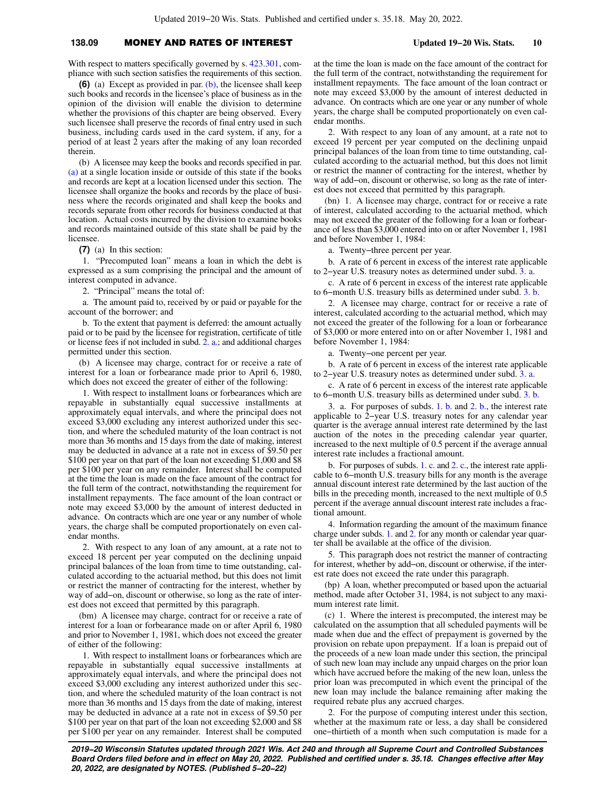## **138.09** MONEY AND RATES OF INTEREST **Updated 19−20 Wis. Stats. 10**

With respect to matters specifically governed by s. [423.301,](https://docs-preview.legis.wisconsin.gov/document/statutes/423.301) compliance with such section satisfies the requirements of this section.

**(6)** (a) Except as provided in par. [\(b\),](https://docs-preview.legis.wisconsin.gov/document/statutes/138.09(6)(b)) the licensee shall keep such books and records in the licensee's place of business as in the opinion of the division will enable the division to determine whether the provisions of this chapter are being observed. Every such licensee shall preserve the records of final entry used in such business, including cards used in the card system, if any, for a period of at least 2 years after the making of any loan recorded therein.

(b) A licensee may keep the books and records specified in par. [\(a\)](https://docs-preview.legis.wisconsin.gov/document/statutes/138.09(6)(a)) at a single location inside or outside of this state if the books and records are kept at a location licensed under this section. The licensee shall organize the books and records by the place of business where the records originated and shall keep the books and records separate from other records for business conducted at that location. Actual costs incurred by the division to examine books and records maintained outside of this state shall be paid by the licensee.

**(7)** (a) In this section:

1. "Precomputed loan" means a loan in which the debt is expressed as a sum comprising the principal and the amount of interest computed in advance.

2. "Principal" means the total of:

a. The amount paid to, received by or paid or payable for the account of the borrower; and

b. To the extent that payment is deferred: the amount actually paid or to be paid by the licensee for registration, certificate of title or license fees if not included in subd. [2. a.](https://docs-preview.legis.wisconsin.gov/document/statutes/138.09(7)(a)2.a.); and additional charges permitted under this section.

(b) A licensee may charge, contract for or receive a rate of interest for a loan or forbearance made prior to April 6, 1980, which does not exceed the greater of either of the following:

1. With respect to installment loans or forbearances which are repayable in substantially equal successive installments at approximately equal intervals, and where the principal does not exceed \$3,000 excluding any interest authorized under this section, and where the scheduled maturity of the loan contract is not more than 36 months and 15 days from the date of making, interest may be deducted in advance at a rate not in excess of \$9.50 per \$100 per year on that part of the loan not exceeding \$1,000 and \$8 per \$100 per year on any remainder. Interest shall be computed at the time the loan is made on the face amount of the contract for the full term of the contract, notwithstanding the requirement for installment repayments. The face amount of the loan contract or note may exceed \$3,000 by the amount of interest deducted in advance. On contracts which are one year or any number of whole years, the charge shall be computed proportionately on even calendar months.

2. With respect to any loan of any amount, at a rate not to exceed 18 percent per year computed on the declining unpaid principal balances of the loan from time to time outstanding, calculated according to the actuarial method, but this does not limit or restrict the manner of contracting for the interest, whether by way of add−on, discount or otherwise, so long as the rate of interest does not exceed that permitted by this paragraph.

(bm) A licensee may charge, contract for or receive a rate of interest for a loan or forbearance made on or after April 6, 1980 and prior to November 1, 1981, which does not exceed the greater of either of the following:

1. With respect to installment loans or forbearances which are repayable in substantially equal successive installments at approximately equal intervals, and where the principal does not exceed \$3,000 excluding any interest authorized under this section, and where the scheduled maturity of the loan contract is not more than 36 months and 15 days from the date of making, interest may be deducted in advance at a rate not in excess of \$9.50 per \$100 per year on that part of the loan not exceeding \$2,000 and \$8 per \$100 per year on any remainder. Interest shall be computed

at the time the loan is made on the face amount of the contract for the full term of the contract, notwithstanding the requirement for installment repayments. The face amount of the loan contract or note may exceed \$3,000 by the amount of interest deducted in advance. On contracts which are one year or any number of whole years, the charge shall be computed proportionately on even calendar months.

2. With respect to any loan of any amount, at a rate not to exceed 19 percent per year computed on the declining unpaid principal balances of the loan from time to time outstanding, calculated according to the actuarial method, but this does not limit or restrict the manner of contracting for the interest, whether by way of add−on, discount or otherwise, so long as the rate of interest does not exceed that permitted by this paragraph.

(bn) 1. A licensee may charge, contract for or receive a rate of interest, calculated according to the actuarial method, which may not exceed the greater of the following for a loan or forbearance of less than \$3,000 entered into on or after November 1, 1981 and before November 1, 1984:

a. Twenty−three percent per year.

b. A rate of 6 percent in excess of the interest rate applicable to 2−year U.S. treasury notes as determined under subd. [3. a.](https://docs-preview.legis.wisconsin.gov/document/statutes/138.09(7)(bn)3.a.)

c. A rate of 6 percent in excess of the interest rate applicable to 6−month U.S. treasury bills as determined under subd. [3. b.](https://docs-preview.legis.wisconsin.gov/document/statutes/138.09(7)(bn)3.b.)

2. A licensee may charge, contract for or receive a rate of interest, calculated according to the actuarial method, which may not exceed the greater of the following for a loan or forbearance of \$3,000 or more entered into on or after November 1, 1981 and before November 1, 1984:

a. Twenty−one percent per year.

b. A rate of 6 percent in excess of the interest rate applicable to 2−year U.S. treasury notes as determined under subd. [3. a.](https://docs-preview.legis.wisconsin.gov/document/statutes/138.09(7)(bn)3.a.)

c. A rate of 6 percent in excess of the interest rate applicable to 6−month U.S. treasury bills as determined under subd. [3. b.](https://docs-preview.legis.wisconsin.gov/document/statutes/138.09(7)(bn)3.b.)

3. a. For purposes of subds. [1. b.](https://docs-preview.legis.wisconsin.gov/document/statutes/138.09(7)(bn)1.b.) and [2. b.,](https://docs-preview.legis.wisconsin.gov/document/statutes/138.09(7)(bn)2.b.) the interest rate applicable to 2−year U.S. treasury notes for any calendar year quarter is the average annual interest rate determined by the last auction of the notes in the preceding calendar year quarter, increased to the next multiple of 0.5 percent if the average annual interest rate includes a fractional amount.

b. For purposes of subds. [1. c.](https://docs-preview.legis.wisconsin.gov/document/statutes/138.09(7)(bn)1.c.) and [2. c.](https://docs-preview.legis.wisconsin.gov/document/statutes/138.09(7)(bn)2.c.), the interest rate applicable to 6−month U.S. treasury bills for any month is the average annual discount interest rate determined by the last auction of the bills in the preceding month, increased to the next multiple of 0.5 percent if the average annual discount interest rate includes a fractional amount.

4. Information regarding the amount of the maximum finance charge under subds. [1.](https://docs-preview.legis.wisconsin.gov/document/statutes/138.09(7)(bn)1.) and [2.](https://docs-preview.legis.wisconsin.gov/document/statutes/138.09(7)(bn)2.) for any month or calendar year quarter shall be available at the office of the division.

5. This paragraph does not restrict the manner of contracting for interest, whether by add−on, discount or otherwise, if the interest rate does not exceed the rate under this paragraph.

(bp) A loan, whether precomputed or based upon the actuarial method, made after October 31, 1984, is not subject to any maximum interest rate limit.

(c) 1. Where the interest is precomputed, the interest may be calculated on the assumption that all scheduled payments will be made when due and the effect of prepayment is governed by the provision on rebate upon prepayment. If a loan is prepaid out of the proceeds of a new loan made under this section, the principal of such new loan may include any unpaid charges on the prior loan which have accrued before the making of the new loan, unless the prior loan was precomputed in which event the principal of the new loan may include the balance remaining after making the required rebate plus any accrued charges.

2. For the purpose of computing interest under this section, whether at the maximum rate or less, a day shall be considered one−thirtieth of a month when such computation is made for a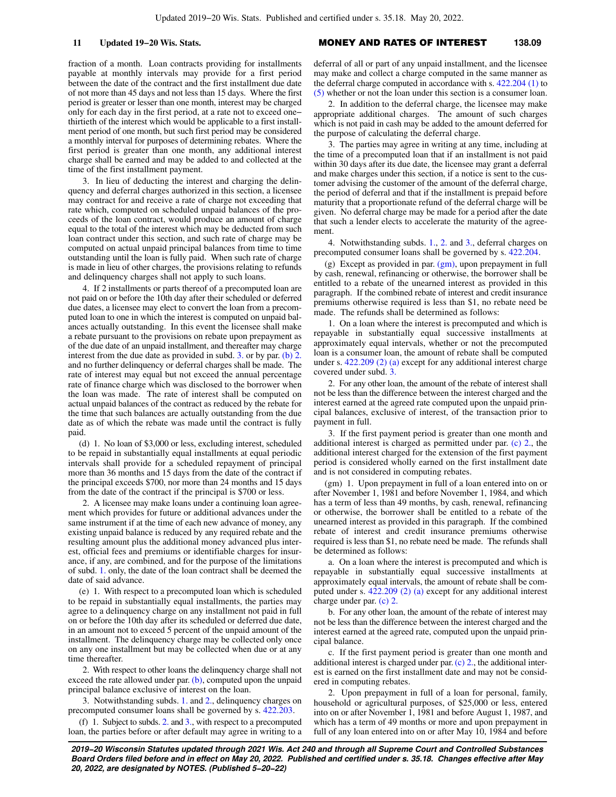fraction of a month. Loan contracts providing for installments payable at monthly intervals may provide for a first period between the date of the contract and the first installment due date of not more than 45 days and not less than 15 days. Where the first period is greater or lesser than one month, interest may be charged only for each day in the first period, at a rate not to exceed one− thirtieth of the interest which would be applicable to a first installment period of one month, but such first period may be considered a monthly interval for purposes of determining rebates. Where the first period is greater than one month, any additional interest charge shall be earned and may be added to and collected at the time of the first installment payment.

3. In lieu of deducting the interest and charging the delinquency and deferral charges authorized in this section, a licensee may contract for and receive a rate of charge not exceeding that rate which, computed on scheduled unpaid balances of the proceeds of the loan contract, would produce an amount of charge equal to the total of the interest which may be deducted from such loan contract under this section, and such rate of charge may be computed on actual unpaid principal balances from time to time outstanding until the loan is fully paid. When such rate of charge is made in lieu of other charges, the provisions relating to refunds and delinquency charges shall not apply to such loans.

4. If 2 installments or parts thereof of a precomputed loan are not paid on or before the 10th day after their scheduled or deferred due dates, a licensee may elect to convert the loan from a precomputed loan to one in which the interest is computed on unpaid balances actually outstanding. In this event the licensee shall make a rebate pursuant to the provisions on rebate upon prepayment as of the due date of an unpaid installment, and thereafter may charge interest from the due date as provided in subd. [3.](https://docs-preview.legis.wisconsin.gov/document/statutes/138.09(7)(c)3.) or by par. [\(b\) 2.](https://docs-preview.legis.wisconsin.gov/document/statutes/138.09(7)(b)2.) and no further delinquency or deferral charges shall be made. The rate of interest may equal but not exceed the annual percentage rate of finance charge which was disclosed to the borrower when the loan was made. The rate of interest shall be computed on actual unpaid balances of the contract as reduced by the rebate for the time that such balances are actually outstanding from the due date as of which the rebate was made until the contract is fully paid.

(d) 1. No loan of \$3,000 or less, excluding interest, scheduled to be repaid in substantially equal installments at equal periodic intervals shall provide for a scheduled repayment of principal more than 36 months and 15 days from the date of the contract if the principal exceeds \$700, nor more than 24 months and 15 days from the date of the contract if the principal is \$700 or less.

2. A licensee may make loans under a continuing loan agreement which provides for future or additional advances under the same instrument if at the time of each new advance of money, any existing unpaid balance is reduced by any required rebate and the resulting amount plus the additional money advanced plus interest, official fees and premiums or identifiable charges for insurance, if any, are combined, and for the purpose of the limitations of subd. [1.](https://docs-preview.legis.wisconsin.gov/document/statutes/138.09(7)(d)1.) only, the date of the loan contract shall be deemed the date of said advance.

(e) 1. With respect to a precomputed loan which is scheduled to be repaid in substantially equal installments, the parties may agree to a delinquency charge on any installment not paid in full on or before the 10th day after its scheduled or deferred due date, in an amount not to exceed 5 percent of the unpaid amount of the installment. The delinquency charge may be collected only once on any one installment but may be collected when due or at any time thereafter.

2. With respect to other loans the delinquency charge shall not exceed the rate allowed under par.  $(b)$ , computed upon the unpaid principal balance exclusive of interest on the loan.

3. Notwithstanding subds. [1.](https://docs-preview.legis.wisconsin.gov/document/statutes/138.09(7)(e)1.) and [2.,](https://docs-preview.legis.wisconsin.gov/document/statutes/138.09(7)(e)2.) delinquency charges on precomputed consumer loans shall be governed by s. [422.203](https://docs-preview.legis.wisconsin.gov/document/statutes/422.203).

(f) 1. Subject to subds. [2.](https://docs-preview.legis.wisconsin.gov/document/statutes/138.09(7)(f)2.) and [3.,](https://docs-preview.legis.wisconsin.gov/document/statutes/138.09(7)(f)3.) with respect to a precomputed loan, the parties before or after default may agree in writing to a

### **11 Updated 19−20 Wis. Stats.** MONEY AND RATES OF INTEREST **138.09**

deferral of all or part of any unpaid installment, and the licensee may make and collect a charge computed in the same manner as the deferral charge computed in accordance with s. [422.204 \(1\)](https://docs-preview.legis.wisconsin.gov/document/statutes/422.204(1)) to [\(5\)](https://docs-preview.legis.wisconsin.gov/document/statutes/422.204(5)) whether or not the loan under this section is a consumer loan.

2. In addition to the deferral charge, the licensee may make appropriate additional charges. The amount of such charges which is not paid in cash may be added to the amount deferred for the purpose of calculating the deferral charge.

3. The parties may agree in writing at any time, including at the time of a precomputed loan that if an installment is not paid within 30 days after its due date, the licensee may grant a deferral and make charges under this section, if a notice is sent to the customer advising the customer of the amount of the deferral charge, the period of deferral and that if the installment is prepaid before maturity that a proportionate refund of the deferral charge will be given. No deferral charge may be made for a period after the date that such a lender elects to accelerate the maturity of the agreement.

4. Notwithstanding subds. [1.](https://docs-preview.legis.wisconsin.gov/document/statutes/138.09(7)(f)1.), [2.](https://docs-preview.legis.wisconsin.gov/document/statutes/138.09(7)(f)2.) and [3.,](https://docs-preview.legis.wisconsin.gov/document/statutes/138.09(7)(f)3.) deferral charges on precomputed consumer loans shall be governed by s. [422.204](https://docs-preview.legis.wisconsin.gov/document/statutes/422.204).

(g) Except as provided in par.  $(gm)$ , upon prepayment in full by cash, renewal, refinancing or otherwise, the borrower shall be entitled to a rebate of the unearned interest as provided in this paragraph. If the combined rebate of interest and credit insurance premiums otherwise required is less than \$1, no rebate need be made. The refunds shall be determined as follows:

1. On a loan where the interest is precomputed and which is repayable in substantially equal successive installments at approximately equal intervals, whether or not the precomputed loan is a consumer loan, the amount of rebate shall be computed under s. [422.209 \(2\) \(a\)](https://docs-preview.legis.wisconsin.gov/document/statutes/422.209(2)(a)) except for any additional interest charge covered under subd. [3.](https://docs-preview.legis.wisconsin.gov/document/statutes/138.09(7)(g)3.)

2. For any other loan, the amount of the rebate of interest shall not be less than the difference between the interest charged and the interest earned at the agreed rate computed upon the unpaid principal balances, exclusive of interest, of the transaction prior to payment in full.

3. If the first payment period is greater than one month and additional interest is charged as permitted under par. [\(c\) 2.](https://docs-preview.legis.wisconsin.gov/document/statutes/138.09(7)(c)2.), the additional interest charged for the extension of the first payment period is considered wholly earned on the first installment date and is not considered in computing rebates.

(gm) 1. Upon prepayment in full of a loan entered into on or after November 1, 1981 and before November 1, 1984, and which has a term of less than 49 months, by cash, renewal, refinancing or otherwise, the borrower shall be entitled to a rebate of the unearned interest as provided in this paragraph. If the combined rebate of interest and credit insurance premiums otherwise required is less than \$1, no rebate need be made. The refunds shall be determined as follows:

a. On a loan where the interest is precomputed and which is repayable in substantially equal successive installments at approximately equal intervals, the amount of rebate shall be computed under s. [422.209 \(2\) \(a\)](https://docs-preview.legis.wisconsin.gov/document/statutes/422.209(2)(a)) except for any additional interest charge under par. [\(c\) 2.](https://docs-preview.legis.wisconsin.gov/document/statutes/138.09(7)(c)2.)

b. For any other loan, the amount of the rebate of interest may not be less than the difference between the interest charged and the interest earned at the agreed rate, computed upon the unpaid principal balance.

c. If the first payment period is greater than one month and additional interest is charged under par.  $(c)$  2., the additional interest is earned on the first installment date and may not be considered in computing rebates.

2. Upon prepayment in full of a loan for personal, family, household or agricultural purposes, of \$25,000 or less, entered into on or after November 1, 1981 and before August 1, 1987, and which has a term of 49 months or more and upon prepayment in full of any loan entered into on or after May 10, 1984 and before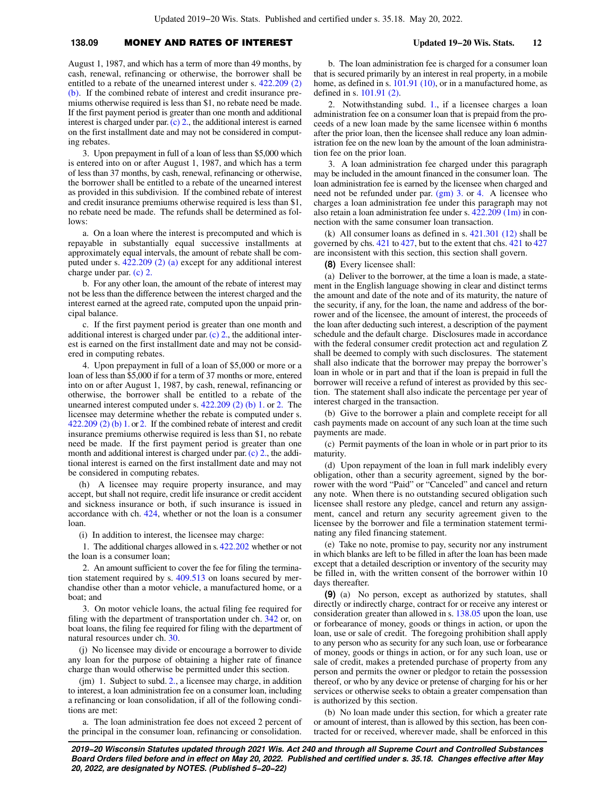### **138.09** MONEY AND RATES OF INTEREST **Updated 19−20 Wis. Stats. 12**

August 1, 1987, and which has a term of more than 49 months, by cash, renewal, refinancing or otherwise, the borrower shall be entitled to a rebate of the unearned interest under s. [422.209 \(2\)](https://docs-preview.legis.wisconsin.gov/document/statutes/422.209(2)(b)) [\(b\)](https://docs-preview.legis.wisconsin.gov/document/statutes/422.209(2)(b)). If the combined rebate of interest and credit insurance premiums otherwise required is less than \$1, no rebate need be made. If the first payment period is greater than one month and additional interest is charged under par. [\(c\) 2.](https://docs-preview.legis.wisconsin.gov/document/statutes/138.09(7)(c)2.), the additional interest is earned on the first installment date and may not be considered in computing rebates.

3. Upon prepayment in full of a loan of less than \$5,000 which is entered into on or after August 1, 1987, and which has a term of less than 37 months, by cash, renewal, refinancing or otherwise, the borrower shall be entitled to a rebate of the unearned interest as provided in this subdivision. If the combined rebate of interest and credit insurance premiums otherwise required is less than \$1, no rebate need be made. The refunds shall be determined as follows:

a. On a loan where the interest is precomputed and which is repayable in substantially equal successive installments at approximately equal intervals, the amount of rebate shall be computed under s. [422.209 \(2\) \(a\)](https://docs-preview.legis.wisconsin.gov/document/statutes/422.209(2)(a)) except for any additional interest charge under par. [\(c\) 2.](https://docs-preview.legis.wisconsin.gov/document/statutes/138.09(7)(c)2.)

b. For any other loan, the amount of the rebate of interest may not be less than the difference between the interest charged and the interest earned at the agreed rate, computed upon the unpaid principal balance.

c. If the first payment period is greater than one month and additional interest is charged under par.[\(c\) 2.](https://docs-preview.legis.wisconsin.gov/document/statutes/138.09(7)(c)2.), the additional interest is earned on the first installment date and may not be considered in computing rebates.

4. Upon prepayment in full of a loan of \$5,000 or more or a loan of less than \$5,000 if for a term of 37 months or more, entered into on or after August 1, 1987, by cash, renewal, refinancing or otherwise, the borrower shall be entitled to a rebate of the unearned interest computed under s. [422.209 \(2\) \(b\) 1.](https://docs-preview.legis.wisconsin.gov/document/statutes/422.209(2)(b)1.) or [2.](https://docs-preview.legis.wisconsin.gov/document/statutes/422.209(2)(b)2.) The licensee may determine whether the rebate is computed under s. [422.209 \(2\) \(b\) 1.](https://docs-preview.legis.wisconsin.gov/document/statutes/422.209(2)(b)1.) or [2.](https://docs-preview.legis.wisconsin.gov/document/statutes/422.209(2)(b)2.) If the combined rebate of interest and credit insurance premiums otherwise required is less than \$1, no rebate need be made. If the first payment period is greater than one month and additional interest is charged under par. [\(c\) 2.](https://docs-preview.legis.wisconsin.gov/document/statutes/138.09(7)(c)2.), the additional interest is earned on the first installment date and may not be considered in computing rebates.

(h) A licensee may require property insurance, and may accept, but shall not require, credit life insurance or credit accident and sickness insurance or both, if such insurance is issued in accordance with ch. [424,](https://docs-preview.legis.wisconsin.gov/document/statutes/ch.%20424) whether or not the loan is a consumer loan.

(i) In addition to interest, the licensee may charge:

1. The additional charges allowed in s. [422.202](https://docs-preview.legis.wisconsin.gov/document/statutes/422.202) whether or not the loan is a consumer loan;

2. An amount sufficient to cover the fee for filing the termination statement required by s. [409.513](https://docs-preview.legis.wisconsin.gov/document/statutes/409.513) on loans secured by merchandise other than a motor vehicle, a manufactured home, or a boat; and

3. On motor vehicle loans, the actual filing fee required for filing with the department of transportation under ch. [342](https://docs-preview.legis.wisconsin.gov/document/statutes/ch.%20342) or, on boat loans, the filing fee required for filing with the department of natural resources under ch. [30.](https://docs-preview.legis.wisconsin.gov/document/statutes/ch.%2030)

(j) No licensee may divide or encourage a borrower to divide any loan for the purpose of obtaining a higher rate of finance charge than would otherwise be permitted under this section.

(jm) 1. Subject to subd. [2.,](https://docs-preview.legis.wisconsin.gov/document/statutes/138.09(7)(jm)2.) a licensee may charge, in addition to interest, a loan administration fee on a consumer loan, including a refinancing or loan consolidation, if all of the following conditions are met:

a. The loan administration fee does not exceed 2 percent of the principal in the consumer loan, refinancing or consolidation.

b. The loan administration fee is charged for a consumer loan that is secured primarily by an interest in real property, in a mobile home, as defined in s. [101.91 \(10\),](https://docs-preview.legis.wisconsin.gov/document/statutes/101.91(10)) or in a manufactured home, as defined in s. [101.91 \(2\).](https://docs-preview.legis.wisconsin.gov/document/statutes/101.91(2))

2. Notwithstanding subd. [1.](https://docs-preview.legis.wisconsin.gov/document/statutes/138.09(7)(jm)1.), if a licensee charges a loan administration fee on a consumer loan that is prepaid from the proceeds of a new loan made by the same licensee within 6 months after the prior loan, then the licensee shall reduce any loan administration fee on the new loan by the amount of the loan administration fee on the prior loan.

3. A loan administration fee charged under this paragraph may be included in the amount financed in the consumer loan. The loan administration fee is earned by the licensee when charged and need not be refunded under par. [\(gm\) 3.](https://docs-preview.legis.wisconsin.gov/document/statutes/138.09(7)(gm)3.) or [4.](https://docs-preview.legis.wisconsin.gov/document/statutes/138.09(7)(gm)4.) A licensee who charges a loan administration fee under this paragraph may not also retain a loan administration fee under s. [422.209 \(1m\)](https://docs-preview.legis.wisconsin.gov/document/statutes/422.209(1m)) in connection with the same consumer loan transaction.

(k) All consumer loans as defined in s. [421.301 \(12\)](https://docs-preview.legis.wisconsin.gov/document/statutes/421.301(12)) shall be governed by chs. [421](https://docs-preview.legis.wisconsin.gov/document/statutes/ch.%20421) to [427](https://docs-preview.legis.wisconsin.gov/document/statutes/ch.%20427), but to the extent that chs. [421](https://docs-preview.legis.wisconsin.gov/document/statutes/ch.%20421) to [427](https://docs-preview.legis.wisconsin.gov/document/statutes/ch.%20427) are inconsistent with this section, this section shall govern.

**(8)** Every licensee shall:

(a) Deliver to the borrower, at the time a loan is made, a statement in the English language showing in clear and distinct terms the amount and date of the note and of its maturity, the nature of the security, if any, for the loan, the name and address of the borrower and of the licensee, the amount of interest, the proceeds of the loan after deducting such interest, a description of the payment schedule and the default charge. Disclosures made in accordance with the federal consumer credit protection act and regulation Z shall be deemed to comply with such disclosures. The statement shall also indicate that the borrower may prepay the borrower's loan in whole or in part and that if the loan is prepaid in full the borrower will receive a refund of interest as provided by this section. The statement shall also indicate the percentage per year of interest charged in the transaction.

(b) Give to the borrower a plain and complete receipt for all cash payments made on account of any such loan at the time such payments are made.

(c) Permit payments of the loan in whole or in part prior to its maturity.

(d) Upon repayment of the loan in full mark indelibly every obligation, other than a security agreement, signed by the borrower with the word "Paid" or "Canceled" and cancel and return any note. When there is no outstanding secured obligation such licensee shall restore any pledge, cancel and return any assignment, cancel and return any security agreement given to the licensee by the borrower and file a termination statement terminating any filed financing statement.

(e) Take no note, promise to pay, security nor any instrument in which blanks are left to be filled in after the loan has been made except that a detailed description or inventory of the security may be filled in, with the written consent of the borrower within 10 days thereafter.

**(9)** (a) No person, except as authorized by statutes, shall directly or indirectly charge, contract for or receive any interest or consideration greater than allowed in s. [138.05](https://docs-preview.legis.wisconsin.gov/document/statutes/138.05) upon the loan, use or forbearance of money, goods or things in action, or upon the loan, use or sale of credit. The foregoing prohibition shall apply to any person who as security for any such loan, use or forbearance of money, goods or things in action, or for any such loan, use or sale of credit, makes a pretended purchase of property from any person and permits the owner or pledgor to retain the possession thereof, or who by any device or pretense of charging for his or her services or otherwise seeks to obtain a greater compensation than is authorized by this section.

(b) No loan made under this section, for which a greater rate or amount of interest, than is allowed by this section, has been contracted for or received, wherever made, shall be enforced in this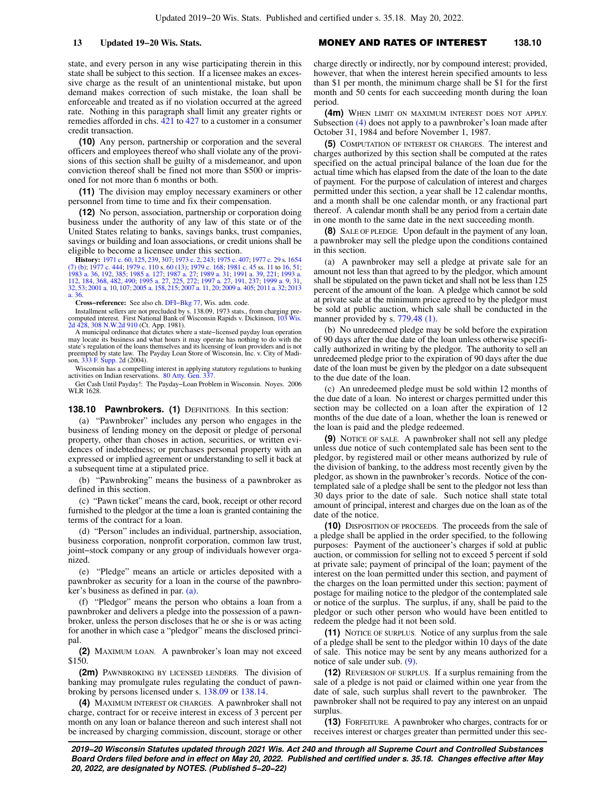state, and every person in any wise participating therein in this state shall be subject to this section. If a licensee makes an excessive charge as the result of an unintentional mistake, but upon demand makes correction of such mistake, the loan shall be enforceable and treated as if no violation occurred at the agreed rate. Nothing in this paragraph shall limit any greater rights or remedies afforded in chs. [421](https://docs-preview.legis.wisconsin.gov/document/statutes/ch.%20421) to [427](https://docs-preview.legis.wisconsin.gov/document/statutes/ch.%20427) to a customer in a consumer credit transaction.

**(10)** Any person, partnership or corporation and the several officers and employees thereof who shall violate any of the provisions of this section shall be guilty of a misdemeanor, and upon conviction thereof shall be fined not more than \$500 or imprisoned for not more than 6 months or both.

**(11)** The division may employ necessary examiners or other personnel from time to time and fix their compensation.

**(12)** No person, association, partnership or corporation doing business under the authority of any law of this state or of the United States relating to banks, savings banks, trust companies, savings or building and loan associations, or credit unions shall be eligible to become a licensee under this section.

**History:** [1971 c. 60,](https://docs-preview.legis.wisconsin.gov/document/acts/1971/60) [125](https://docs-preview.legis.wisconsin.gov/document/acts/1971/125), [239,](https://docs-preview.legis.wisconsin.gov/document/acts/1971/239) [307](https://docs-preview.legis.wisconsin.gov/document/acts/1971/307); [1973 c. 2,](https://docs-preview.legis.wisconsin.gov/document/acts/1973/2) [243](https://docs-preview.legis.wisconsin.gov/document/acts/1973/243); [1975 c. 407;](https://docs-preview.legis.wisconsin.gov/document/acts/1975/407) [1977 c. 29](https://docs-preview.legis.wisconsin.gov/document/acts/1977/29) s. [1654](https://docs-preview.legis.wisconsin.gov/document/acts/1977/29,%20s.%201654)<br>[\(7\) \(b\);](https://docs-preview.legis.wisconsin.gov/document/acts/1977/29,%20s.%201654) [1977 c. 444;](https://docs-preview.legis.wisconsin.gov/document/acts/1977/444) [1979 c. 110](https://docs-preview.legis.wisconsin.gov/document/acts/1979/110) s. [60 \(13\);](https://docs-preview.legis.wisconsin.gov/document/acts/1979/110,%20s.%2060) [1979 c. 168](https://docs-preview.legis.wisconsin.gov/document/acts/1979/168); [1981 c. 45](https://docs-preview.legis.wisconsin.gov/document/acts/1981/45) ss. [11](https://docs-preview.legis.wisconsin.gov/document/acts/1981/45,%20s.%2011) to [16,](https://docs-preview.legis.wisconsin.gov/document/acts/1981/45,%20s.%2016) [51](https://docs-preview.legis.wisconsin.gov/document/acts/1981/45,%20s.%2051);<br>[1983 a. 36](https://docs-preview.legis.wisconsin.gov/document/acts/1983/36), [192](https://docs-preview.legis.wisconsin.gov/document/acts/1983/192), [385](https://docs-preview.legis.wisconsin.gov/document/acts/1983/385); [1985 a. 127](https://docs-preview.legis.wisconsin.gov/document/acts/1985/127); [1987 a. 27](https://docs-preview.legis.wisconsin.gov/document/acts/1987/27); 1 [32,](https://docs-preview.legis.wisconsin.gov/document/acts/1999/32) [53;](https://docs-preview.legis.wisconsin.gov/document/acts/1999/53) [2001 a. 10,](https://docs-preview.legis.wisconsin.gov/document/acts/2001/10) [107](https://docs-preview.legis.wisconsin.gov/document/acts/2001/107); [2005 a. 158,](https://docs-preview.legis.wisconsin.gov/document/acts/2005/158) [215](https://docs-preview.legis.wisconsin.gov/document/acts/2005/215); [2007 a. 11,](https://docs-preview.legis.wisconsin.gov/document/acts/2007/11) [20;](https://docs-preview.legis.wisconsin.gov/document/acts/2007/20) [2009 a. 405](https://docs-preview.legis.wisconsin.gov/document/acts/2009/405); [2011 a. 32](https://docs-preview.legis.wisconsin.gov/document/acts/2011/32); [2013](https://docs-preview.legis.wisconsin.gov/document/acts/2013/36) [a. 36](https://docs-preview.legis.wisconsin.gov/document/acts/2013/36).

**Cross−reference:** See also ch. [DFI−Bkg 77](https://docs-preview.legis.wisconsin.gov/document/administrativecode/ch.%20DFI-Bkg%2077), Wis. adm. code.

Installment sellers are not precluded by s. 138.09, 1973 stats., from charging precomputed interest. First National Bank of Wisconsin Rapids v. Dickinson, [103 Wis.](https://docs-preview.legis.wisconsin.gov/document/courts/103%20Wis.%202d%20428) [2d 428](https://docs-preview.legis.wisconsin.gov/document/courts/103%20Wis.%202d%20428), [308 N.W.2d 910](https://docs-preview.legis.wisconsin.gov/document/courts/308%20N.W.2d%20910) (Ct. App. 1981). A municipal ordinance that dictates where a state−licensed payday loan operation

may locate its business and what hours it may operate has nothing to do with the state's regulation of the loans themselves and its licensing of loan providers and is not preempted by state law. The Payday Loan Store of Wisconsin, Inc. v. City of Madison, [333 F. Supp. 2d](https://docs-preview.legis.wisconsin.gov/document/courts/333%20F.%20Supp.%202) (2004).

Wisconsin has a compelling interest in applying statutory regulations to banking activities on Indian reservations. [80 Atty. Gen. 337](https://docs-preview.legis.wisconsin.gov/document/oag/vol80-337).

Get Cash Until Payday!: The Payday−Loan Problem in Wisconsin. Noyes. 2006 WLR 1628.

#### **138.10 Pawnbrokers. (1)** DEFINITIONS. In this section:

(a) "Pawnbroker" includes any person who engages in the business of lending money on the deposit or pledge of personal property, other than choses in action, securities, or written evidences of indebtedness; or purchases personal property with an expressed or implied agreement or understanding to sell it back at a subsequent time at a stipulated price.

(b) "Pawnbroking" means the business of a pawnbroker as defined in this section.

(c) "Pawn ticket" means the card, book, receipt or other record furnished to the pledgor at the time a loan is granted containing the terms of the contract for a loan.

(d) "Person" includes an individual, partnership, association, business corporation, nonprofit corporation, common law trust, joint−stock company or any group of individuals however organized.

(e) "Pledge" means an article or articles deposited with a pawnbroker as security for a loan in the course of the pawnbroker's business as defined in par. [\(a\)](https://docs-preview.legis.wisconsin.gov/document/statutes/138.10(1)(a)).

(f) "Pledgor" means the person who obtains a loan from a pawnbroker and delivers a pledge into the possession of a pawnbroker, unless the person discloses that he or she is or was acting for another in which case a "pledgor" means the disclosed principal.

**(2)** MAXIMUM LOAN. A pawnbroker's loan may not exceed \$150.

**(2m)** PAWNBROKING BY LICENSED LENDERS. The division of banking may promulgate rules regulating the conduct of pawnbroking by persons licensed under s. [138.09](https://docs-preview.legis.wisconsin.gov/document/statutes/138.09) or [138.14](https://docs-preview.legis.wisconsin.gov/document/statutes/138.14).

**(4)** MAXIMUM INTEREST OR CHARGES. A pawnbroker shall not charge, contract for or receive interest in excess of 3 percent per month on any loan or balance thereon and such interest shall not be increased by charging commission, discount, storage or other

**13 Updated 19−20 Wis. Stats.** MONEY AND RATES OF INTEREST **138.10**

charge directly or indirectly, nor by compound interest; provided, however, that when the interest herein specified amounts to less than \$1 per month, the minimum charge shall be \$1 for the first month and 50 cents for each succeeding month during the loan period.

**(4m)** WHEN LIMIT ON MAXIMUM INTEREST DOES NOT APPLY. Subsection [\(4\)](https://docs-preview.legis.wisconsin.gov/document/statutes/138.10(4)) does not apply to a pawnbroker's loan made after October 31, 1984 and before November 1, 1987.

**(5)** COMPUTATION OF INTEREST OR CHARGES. The interest and charges authorized by this section shall be computed at the rates specified on the actual principal balance of the loan due for the actual time which has elapsed from the date of the loan to the date of payment. For the purpose of calculation of interest and charges permitted under this section, a year shall be 12 calendar months, and a month shall be one calendar month, or any fractional part thereof. A calendar month shall be any period from a certain date in one month to the same date in the next succeeding month.

**(8)** SALE OF PLEDGE. Upon default in the payment of any loan, a pawnbroker may sell the pledge upon the conditions contained in this section.

(a) A pawnbroker may sell a pledge at private sale for an amount not less than that agreed to by the pledgor, which amount shall be stipulated on the pawn ticket and shall not be less than 125 percent of the amount of the loan. A pledge which cannot be sold at private sale at the minimum price agreed to by the pledgor must be sold at public auction, which sale shall be conducted in the manner provided by s. [779.48 \(1\)](https://docs-preview.legis.wisconsin.gov/document/statutes/779.48(1)).

(b) No unredeemed pledge may be sold before the expiration of 90 days after the due date of the loan unless otherwise specifically authorized in writing by the pledgor. The authority to sell an unredeemed pledge prior to the expiration of 90 days after the due date of the loan must be given by the pledgor on a date subsequent to the due date of the loan.

(c) An unredeemed pledge must be sold within 12 months of the due date of a loan. No interest or charges permitted under this section may be collected on a loan after the expiration of 12 months of the due date of a loan, whether the loan is renewed or the loan is paid and the pledge redeemed.

**(9)** NOTICE OF SALE. A pawnbroker shall not sell any pledge unless due notice of such contemplated sale has been sent to the pledgor, by registered mail or other means authorized by rule of the division of banking, to the address most recently given by the pledgor, as shown in the pawnbroker's records. Notice of the contemplated sale of a pledge shall be sent to the pledgor not less than 30 days prior to the date of sale. Such notice shall state total amount of principal, interest and charges due on the loan as of the date of the notice.

**(10)** DISPOSITION OF PROCEEDS. The proceeds from the sale of a pledge shall be applied in the order specified, to the following purposes: Payment of the auctioneer's charges if sold at public auction, or commission for selling not to exceed 5 percent if sold at private sale; payment of principal of the loan; payment of the interest on the loan permitted under this section, and payment of the charges on the loan permitted under this section; payment of postage for mailing notice to the pledgor of the contemplated sale or notice of the surplus. The surplus, if any, shall be paid to the pledgor or such other person who would have been entitled to redeem the pledge had it not been sold.

**(11)** NOTICE OF SURPLUS. Notice of any surplus from the sale of a pledge shall be sent to the pledgor within 10 days of the date of sale. This notice may be sent by any means authorized for a notice of sale under sub. [\(9\)](https://docs-preview.legis.wisconsin.gov/document/statutes/138.10(9)).

**(12)** REVERSION OF SURPLUS. If a surplus remaining from the sale of a pledge is not paid or claimed within one year from the date of sale, such surplus shall revert to the pawnbroker. The pawnbroker shall not be required to pay any interest on an unpaid surplus.

**(13)** FORFEITURE. A pawnbroker who charges, contracts for or receives interest or charges greater than permitted under this sec-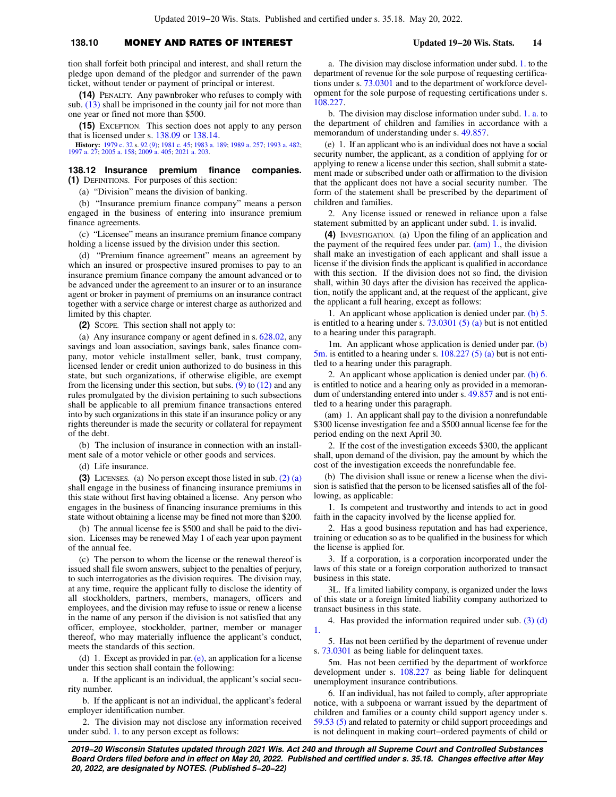### **138.10** MONEY AND RATES OF INTEREST **Updated 19−20 Wis. Stats. 14**

tion shall forfeit both principal and interest, and shall return the pledge upon demand of the pledgor and surrender of the pawn ticket, without tender or payment of principal or interest.

**(14)** PENALTY. Any pawnbroker who refuses to comply with sub. [\(13\)](https://docs-preview.legis.wisconsin.gov/document/statutes/138.10(13)) shall be imprisoned in the county jail for not more than one year or fined not more than \$500.

**(15)** EXCEPTION. This section does not apply to any person that is licensed under s. [138.09](https://docs-preview.legis.wisconsin.gov/document/statutes/138.09) or [138.14.](https://docs-preview.legis.wisconsin.gov/document/statutes/138.14)

**History:** [1979 c. 32](https://docs-preview.legis.wisconsin.gov/document/acts/1979/32) s. [92 \(9\);](https://docs-preview.legis.wisconsin.gov/document/acts/1979/32,%20s.%2092) [1981 c. 45](https://docs-preview.legis.wisconsin.gov/document/acts/1981/45); [1983 a. 189;](https://docs-preview.legis.wisconsin.gov/document/acts/1983/189) [1989 a. 257;](https://docs-preview.legis.wisconsin.gov/document/acts/1989/257) [1993 a. 482](https://docs-preview.legis.wisconsin.gov/document/acts/1993/482); [1997 a. 27](https://docs-preview.legis.wisconsin.gov/document/acts/1997/27); [2005 a. 158;](https://docs-preview.legis.wisconsin.gov/document/acts/2005/158) [2009 a. 405;](https://docs-preview.legis.wisconsin.gov/document/acts/2009/405) [2021 a. 203](https://docs-preview.legis.wisconsin.gov/document/acts/2021/203).

#### **138.12 Insurance premium finance companies. (1)** DEFINITIONS. For purposes of this section:

(a) "Division" means the division of banking.

(b) "Insurance premium finance company" means a person engaged in the business of entering into insurance premium finance agreements.

(c) "Licensee" means an insurance premium finance company holding a license issued by the division under this section.

(d) "Premium finance agreement" means an agreement by which an insured or prospective insured promises to pay to an insurance premium finance company the amount advanced or to be advanced under the agreement to an insurer or to an insurance agent or broker in payment of premiums on an insurance contract together with a service charge or interest charge as authorized and limited by this chapter.

**(2)** SCOPE. This section shall not apply to:

(a) Any insurance company or agent defined in s. [628.02,](https://docs-preview.legis.wisconsin.gov/document/statutes/628.02) any savings and loan association, savings bank, sales finance company, motor vehicle installment seller, bank, trust company, licensed lender or credit union authorized to do business in this state, but such organizations, if otherwise eligible, are exempt from the licensing under this section, but subs.  $(9)$  to  $(12)$  and any rules promulgated by the division pertaining to such subsections shall be applicable to all premium finance transactions entered into by such organizations in this state if an insurance policy or any rights thereunder is made the security or collateral for repayment of the debt.

(b) The inclusion of insurance in connection with an installment sale of a motor vehicle or other goods and services.

(d) Life insurance.

**(3)** LICENSES. (a) No person except those listed in sub. [\(2\) \(a\)](https://docs-preview.legis.wisconsin.gov/document/statutes/138.12(2)(a)) shall engage in the business of financing insurance premiums in this state without first having obtained a license. Any person who engages in the business of financing insurance premiums in this state without obtaining a license may be fined not more than \$200.

(b) The annual license fee is \$500 and shall be paid to the division. Licenses may be renewed May 1 of each year upon payment of the annual fee.

(c) The person to whom the license or the renewal thereof is issued shall file sworn answers, subject to the penalties of perjury, to such interrogatories as the division requires. The division may, at any time, require the applicant fully to disclose the identity of all stockholders, partners, members, managers, officers and employees, and the division may refuse to issue or renew a license in the name of any person if the division is not satisfied that any officer, employee, stockholder, partner, member or manager thereof, who may materially influence the applicant's conduct, meets the standards of this section.

(d) 1. Except as provided in par.  $(e)$ , an application for a license under this section shall contain the following:

a. If the applicant is an individual, the applicant's social security number.

b. If the applicant is not an individual, the applicant's federal employer identification number.

2. The division may not disclose any information received under subd. [1.](https://docs-preview.legis.wisconsin.gov/document/statutes/138.12(3)(d)1.) to any person except as follows:

a. The division may disclose information under subd. [1.](https://docs-preview.legis.wisconsin.gov/document/statutes/138.12(3)(d)1.) to the department of revenue for the sole purpose of requesting certifications under s. [73.0301](https://docs-preview.legis.wisconsin.gov/document/statutes/73.0301) and to the department of workforce development for the sole purpose of requesting certifications under s. [108.227](https://docs-preview.legis.wisconsin.gov/document/statutes/108.227).

b. The division may disclose information under subd. [1. a.](https://docs-preview.legis.wisconsin.gov/document/statutes/138.12(3)(d)1.a.) to the department of children and families in accordance with a memorandum of understanding under s. [49.857.](https://docs-preview.legis.wisconsin.gov/document/statutes/49.857)

(e) 1. If an applicant who is an individual does not have a social security number, the applicant, as a condition of applying for or applying to renew a license under this section, shall submit a statement made or subscribed under oath or affirmation to the division that the applicant does not have a social security number. The form of the statement shall be prescribed by the department of children and families.

2. Any license issued or renewed in reliance upon a false statement submitted by an applicant under subd. [1.](https://docs-preview.legis.wisconsin.gov/document/statutes/138.12(3)(e)1.) is invalid.

**(4)** INVESTIGATION. (a) Upon the filing of an application and the payment of the required fees under par. [\(am\) 1.,](https://docs-preview.legis.wisconsin.gov/document/statutes/138.12(4)(am)1.) the division shall make an investigation of each applicant and shall issue a license if the division finds the applicant is qualified in accordance with this section. If the division does not so find, the division shall, within 30 days after the division has received the application, notify the applicant and, at the request of the applicant, give the applicant a full hearing, except as follows:

1. An applicant whose application is denied under par. [\(b\) 5.](https://docs-preview.legis.wisconsin.gov/document/statutes/138.12(4)(b)5.) is entitled to a hearing under s. [73.0301 \(5\) \(a\)](https://docs-preview.legis.wisconsin.gov/document/statutes/73.0301(5)(a)) but is not entitled to a hearing under this paragraph.

1m. An applicant whose application is denied under par. [\(b\)](https://docs-preview.legis.wisconsin.gov/document/statutes/138.12(4)(b)5m.)  $5m$ . is entitled to a hearing under s.  $108.227(5)(a)$  but is not entitled to a hearing under this paragraph.

2. An applicant whose application is denied under par. [\(b\) 6.](https://docs-preview.legis.wisconsin.gov/document/statutes/138.12(4)(b)6.) is entitled to notice and a hearing only as provided in a memorandum of understanding entered into under s. [49.857](https://docs-preview.legis.wisconsin.gov/document/statutes/49.857) and is not entitled to a hearing under this paragraph.

(am) 1. An applicant shall pay to the division a nonrefundable \$300 license investigation fee and a \$500 annual license fee for the period ending on the next April 30.

2. If the cost of the investigation exceeds \$300, the applicant shall, upon demand of the division, pay the amount by which the cost of the investigation exceeds the nonrefundable fee.

(b) The division shall issue or renew a license when the division is satisfied that the person to be licensed satisfies all of the following, as applicable:

1. Is competent and trustworthy and intends to act in good faith in the capacity involved by the license applied for.

2. Has a good business reputation and has had experience, training or education so as to be qualified in the business for which the license is applied for.

3. If a corporation, is a corporation incorporated under the laws of this state or a foreign corporation authorized to transact business in this state.

3L. If a limited liability company, is organized under the laws of this state or a foreign limited liability company authorized to transact business in this state.

4. Has provided the information required under sub. [\(3\) \(d\)](https://docs-preview.legis.wisconsin.gov/document/statutes/138.12(3)(d)1.) [1.](https://docs-preview.legis.wisconsin.gov/document/statutes/138.12(3)(d)1.)

5. Has not been certified by the department of revenue under s. [73.0301](https://docs-preview.legis.wisconsin.gov/document/statutes/73.0301) as being liable for delinquent taxes.

5m. Has not been certified by the department of workforce development under s. [108.227](https://docs-preview.legis.wisconsin.gov/document/statutes/108.227) as being liable for delinquent unemployment insurance contributions.

6. If an individual, has not failed to comply, after appropriate notice, with a subpoena or warrant issued by the department of children and families or a county child support agency under s. [59.53 \(5\)](https://docs-preview.legis.wisconsin.gov/document/statutes/59.53(5)) and related to paternity or child support proceedings and is not delinquent in making court−ordered payments of child or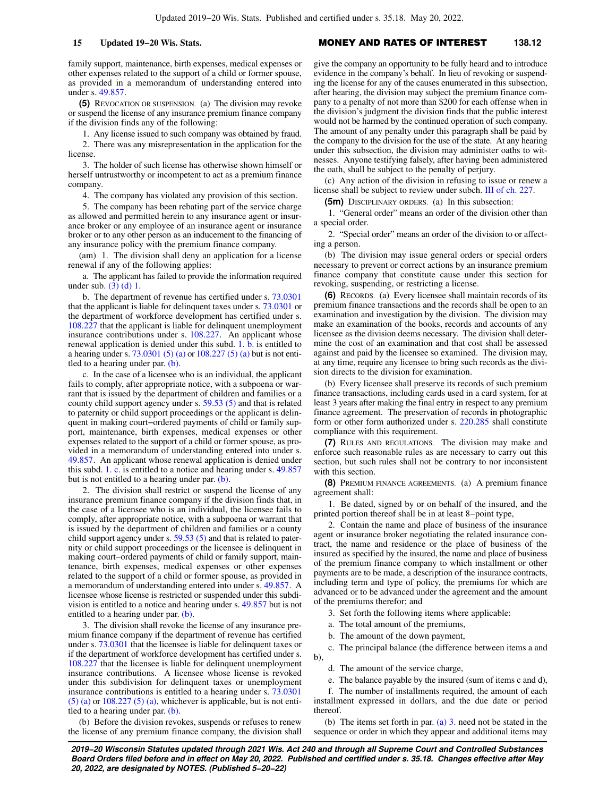family support, maintenance, birth expenses, medical expenses or other expenses related to the support of a child or former spouse, as provided in a memorandum of understanding entered into under s. [49.857.](https://docs-preview.legis.wisconsin.gov/document/statutes/49.857)

**(5)** REVOCATION OR SUSPENSION. (a) The division may revoke or suspend the license of any insurance premium finance company if the division finds any of the following:

1. Any license issued to such company was obtained by fraud.

2. There was any misrepresentation in the application for the license.

3. The holder of such license has otherwise shown himself or herself untrustworthy or incompetent to act as a premium finance company.

4. The company has violated any provision of this section.

5. The company has been rebating part of the service charge as allowed and permitted herein to any insurance agent or insurance broker or any employee of an insurance agent or insurance broker or to any other person as an inducement to the financing of any insurance policy with the premium finance company.

(am) 1. The division shall deny an application for a license renewal if any of the following applies:

a. The applicant has failed to provide the information required under sub. [\(3\) \(d\) 1.](https://docs-preview.legis.wisconsin.gov/document/statutes/138.12(3)(d)1.)

b. The department of revenue has certified under s. [73.0301](https://docs-preview.legis.wisconsin.gov/document/statutes/73.0301) that the applicant is liable for delinquent taxes under s. [73.0301](https://docs-preview.legis.wisconsin.gov/document/statutes/73.0301) or the department of workforce development has certified under s. [108.227](https://docs-preview.legis.wisconsin.gov/document/statutes/108.227) that the applicant is liable for delinquent unemployment insurance contributions under s. [108.227](https://docs-preview.legis.wisconsin.gov/document/statutes/108.227). An applicant whose renewal application is denied under this subd. [1. b.](https://docs-preview.legis.wisconsin.gov/document/statutes/138.12(5)(am)1.b.) is entitled to a hearing under s. [73.0301 \(5\) \(a\)](https://docs-preview.legis.wisconsin.gov/document/statutes/73.0301(5)(a)) or [108.227 \(5\) \(a\)](https://docs-preview.legis.wisconsin.gov/document/statutes/108.227(5)(a)) but is not entitled to a hearing under par. [\(b\).](https://docs-preview.legis.wisconsin.gov/document/statutes/138.12(5)(b))

c. In the case of a licensee who is an individual, the applicant fails to comply, after appropriate notice, with a subpoena or warrant that is issued by the department of children and families or a county child support agency under s. [59.53 \(5\)](https://docs-preview.legis.wisconsin.gov/document/statutes/59.53(5)) and that is related to paternity or child support proceedings or the applicant is delinquent in making court−ordered payments of child or family support, maintenance, birth expenses, medical expenses or other expenses related to the support of a child or former spouse, as provided in a memorandum of understanding entered into under s. [49.857.](https://docs-preview.legis.wisconsin.gov/document/statutes/49.857) An applicant whose renewal application is denied under this subd. [1. c.](https://docs-preview.legis.wisconsin.gov/document/statutes/138.12(5)(am)1.c.) is entitled to a notice and hearing under s. [49.857](https://docs-preview.legis.wisconsin.gov/document/statutes/49.857) but is not entitled to a hearing under par. [\(b\)](https://docs-preview.legis.wisconsin.gov/document/statutes/138.12(5)(b)).

2. The division shall restrict or suspend the license of any insurance premium finance company if the division finds that, in the case of a licensee who is an individual, the licensee fails to comply, after appropriate notice, with a subpoena or warrant that is issued by the department of children and families or a county child support agency under s. [59.53 \(5\)](https://docs-preview.legis.wisconsin.gov/document/statutes/59.53(5)) and that is related to paternity or child support proceedings or the licensee is delinquent in making court−ordered payments of child or family support, maintenance, birth expenses, medical expenses or other expenses related to the support of a child or former spouse, as provided in a memorandum of understanding entered into under s. [49.857.](https://docs-preview.legis.wisconsin.gov/document/statutes/49.857) A licensee whose license is restricted or suspended under this subdivision is entitled to a notice and hearing under s. [49.857](https://docs-preview.legis.wisconsin.gov/document/statutes/49.857) but is not entitled to a hearing under par. [\(b\)](https://docs-preview.legis.wisconsin.gov/document/statutes/138.12(5)(b)).

3. The division shall revoke the license of any insurance premium finance company if the department of revenue has certified under s. [73.0301](https://docs-preview.legis.wisconsin.gov/document/statutes/73.0301) that the licensee is liable for delinquent taxes or if the department of workforce development has certified under s. [108.227](https://docs-preview.legis.wisconsin.gov/document/statutes/108.227) that the licensee is liable for delinquent unemployment insurance contributions. A licensee whose license is revoked under this subdivision for delinquent taxes or unemployment insurance contributions is entitled to a hearing under s. [73.0301](https://docs-preview.legis.wisconsin.gov/document/statutes/73.0301(5)(a))  $(5)$  (a) or 108.227 [\(5\) \(a\)](https://docs-preview.legis.wisconsin.gov/document/statutes/73.0301(5)(a)), whichever is applicable, but is not entitled to a hearing under par. [\(b\).](https://docs-preview.legis.wisconsin.gov/document/statutes/138.12(5)(b))

(b) Before the division revokes, suspends or refuses to renew the license of any premium finance company, the division shall

give the company an opportunity to be fully heard and to introduce evidence in the company's behalf. In lieu of revoking or suspending the license for any of the causes enumerated in this subsection, after hearing, the division may subject the premium finance company to a penalty of not more than \$200 for each offense when in the division's judgment the division finds that the public interest would not be harmed by the continued operation of such company. The amount of any penalty under this paragraph shall be paid by the company to the division for the use of the state. At any hearing under this subsection, the division may administer oaths to witnesses. Anyone testifying falsely, after having been administered the oath, shall be subject to the penalty of perjury.

(c) Any action of the division in refusing to issue or renew a license shall be subject to review under subch. [III of ch. 227.](https://docs-preview.legis.wisconsin.gov/document/statutes/subch.%20III%20of%20ch.%20227)

**(5m)** DISCIPLINARY ORDERS. (a) In this subsection:

1. "General order" means an order of the division other than a special order.

2. "Special order" means an order of the division to or affecting a person.

(b) The division may issue general orders or special orders necessary to prevent or correct actions by an insurance premium finance company that constitute cause under this section for revoking, suspending, or restricting a license.

**(6)** RECORDS. (a) Every licensee shall maintain records of its premium finance transactions and the records shall be open to an examination and investigation by the division. The division may make an examination of the books, records and accounts of any licensee as the division deems necessary. The division shall determine the cost of an examination and that cost shall be assessed against and paid by the licensee so examined. The division may, at any time, require any licensee to bring such records as the division directs to the division for examination.

(b) Every licensee shall preserve its records of such premium finance transactions, including cards used in a card system, for at least 3 years after making the final entry in respect to any premium finance agreement. The preservation of records in photographic form or other form authorized under s. [220.285](https://docs-preview.legis.wisconsin.gov/document/statutes/220.285) shall constitute compliance with this requirement.

**(7)** RULES AND REGULATIONS. The division may make and enforce such reasonable rules as are necessary to carry out this section, but such rules shall not be contrary to nor inconsistent with this section.

**(8)** PREMIUM FINANCE AGREEMENTS. (a) A premium finance agreement shall:

1. Be dated, signed by or on behalf of the insured, and the printed portion thereof shall be in at least 8−point type,

2. Contain the name and place of business of the insurance agent or insurance broker negotiating the related insurance contract, the name and residence or the place of business of the insured as specified by the insured, the name and place of business of the premium finance company to which installment or other payments are to be made, a description of the insurance contracts, including term and type of policy, the premiums for which are advanced or to be advanced under the agreement and the amount of the premiums therefor; and

3. Set forth the following items where applicable:

a. The total amount of the premiums,

b. The amount of the down payment,

c. The principal balance (the difference between items a and b),

d. The amount of the service charge,

e. The balance payable by the insured (sum of items c and d),

f. The number of installments required, the amount of each installment expressed in dollars, and the due date or period thereof.

(b) The items set forth in par. [\(a\) 3.](https://docs-preview.legis.wisconsin.gov/document/statutes/138.12(8)(a)3.) need not be stated in the sequence or order in which they appear and additional items may

**2019−20 Wisconsin Statutes updated through 2021 Wis. Act 240 and through all Supreme Court and Controlled Substances Board Orders filed before and in effect on May 20, 2022. Published and certified under s. 35.18. Changes effective after May 20, 2022, are designated by NOTES. (Published 5−20−22)**

### **15 Updated 19−20 Wis. Stats.** MONEY AND RATES OF INTEREST **138.12**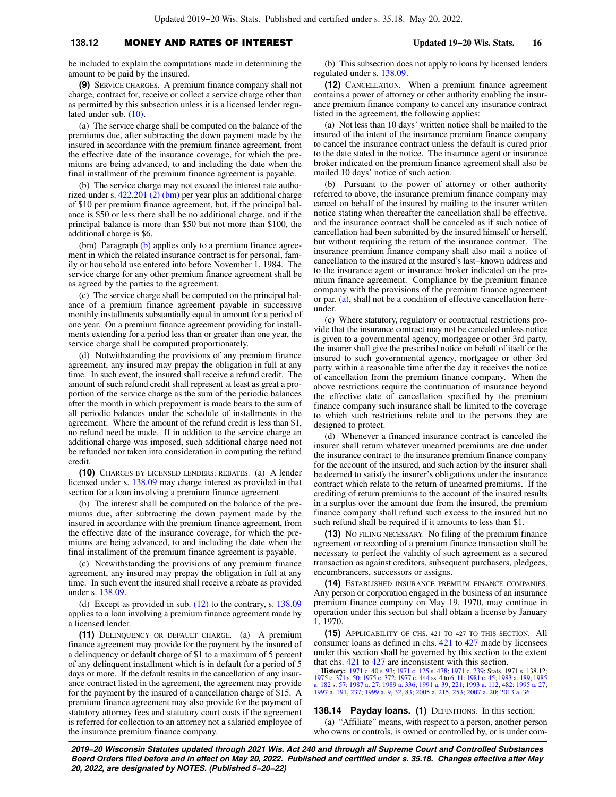### **138.12** MONEY AND RATES OF INTEREST **Updated 19−20 Wis. Stats. 16**

be included to explain the computations made in determining the amount to be paid by the insured.

**(9)** SERVICE CHARGES. A premium finance company shall not charge, contract for, receive or collect a service charge other than as permitted by this subsection unless it is a licensed lender regulated under sub. [\(10\).](https://docs-preview.legis.wisconsin.gov/document/statutes/138.12(10))

(a) The service charge shall be computed on the balance of the premiums due, after subtracting the down payment made by the insured in accordance with the premium finance agreement, from the effective date of the insurance coverage, for which the premiums are being advanced, to and including the date when the final installment of the premium finance agreement is payable.

(b) The service charge may not exceed the interest rate authorized under s. [422.201 \(2\) \(bm\)](https://docs-preview.legis.wisconsin.gov/document/statutes/422.201(2)(bm)) per year plus an additional charge of \$10 per premium finance agreement, but, if the principal balance is \$50 or less there shall be no additional charge, and if the principal balance is more than \$50 but not more than \$100, the additional charge is \$6.

(bm) Paragraph [\(b\)](https://docs-preview.legis.wisconsin.gov/document/statutes/138.12(9)(b)) applies only to a premium finance agreement in which the related insurance contract is for personal, family or household use entered into before November 1, 1984. The service charge for any other premium finance agreement shall be as agreed by the parties to the agreement.

(c) The service charge shall be computed on the principal balance of a premium finance agreement payable in successive monthly installments substantially equal in amount for a period of one year. On a premium finance agreement providing for installments extending for a period less than or greater than one year, the service charge shall be computed proportionately.

(d) Notwithstanding the provisions of any premium finance agreement, any insured may prepay the obligation in full at any time. In such event, the insured shall receive a refund credit. The amount of such refund credit shall represent at least as great a proportion of the service charge as the sum of the periodic balances after the month in which prepayment is made bears to the sum of all periodic balances under the schedule of installments in the agreement. Where the amount of the refund credit is less than \$1, no refund need be made. If in addition to the service charge an additional charge was imposed, such additional charge need not be refunded nor taken into consideration in computing the refund credit.

**(10)** CHARGES BY LICENSED LENDERS; REBATES. (a) A lender licensed under s. [138.09](https://docs-preview.legis.wisconsin.gov/document/statutes/138.09) may charge interest as provided in that section for a loan involving a premium finance agreement.

(b) The interest shall be computed on the balance of the premiums due, after subtracting the down payment made by the insured in accordance with the premium finance agreement, from the effective date of the insurance coverage, for which the premiums are being advanced, to and including the date when the final installment of the premium finance agreement is payable.

(c) Notwithstanding the provisions of any premium finance agreement, any insured may prepay the obligation in full at any time. In such event the insured shall receive a rebate as provided under s. [138.09.](https://docs-preview.legis.wisconsin.gov/document/statutes/138.09)

(d) Except as provided in sub. [\(12\)](https://docs-preview.legis.wisconsin.gov/document/statutes/138.12(12)) to the contrary, s. [138.09](https://docs-preview.legis.wisconsin.gov/document/statutes/138.09) applies to a loan involving a premium finance agreement made by a licensed lender.

**(11)** DELINQUENCY OR DEFAULT CHARGE. (a) A premium finance agreement may provide for the payment by the insured of a delinquency or default charge of \$1 to a maximum of 5 percent of any delinquent installment which is in default for a period of 5 days or more. If the default results in the cancellation of any insurance contract listed in the agreement, the agreement may provide for the payment by the insured of a cancellation charge of \$15. A premium finance agreement may also provide for the payment of statutory attorney fees and statutory court costs if the agreement is referred for collection to an attorney not a salaried employee of the insurance premium finance company.

(b) This subsection does not apply to loans by licensed lenders regulated under s. [138.09.](https://docs-preview.legis.wisconsin.gov/document/statutes/138.09)

**(12)** CANCELLATION. When a premium finance agreement contains a power of attorney or other authority enabling the insurance premium finance company to cancel any insurance contract listed in the agreement, the following applies:

(a) Not less than 10 days' written notice shall be mailed to the insured of the intent of the insurance premium finance company to cancel the insurance contract unless the default is cured prior to the date stated in the notice. The insurance agent or insurance broker indicated on the premium finance agreement shall also be mailed 10 days' notice of such action.

(b) Pursuant to the power of attorney or other authority referred to above, the insurance premium finance company may cancel on behalf of the insured by mailing to the insurer written notice stating when thereafter the cancellation shall be effective, and the insurance contract shall be canceled as if such notice of cancellation had been submitted by the insured himself or herself, but without requiring the return of the insurance contract. The insurance premium finance company shall also mail a notice of cancellation to the insured at the insured's last−known address and to the insurance agent or insurance broker indicated on the premium finance agreement. Compliance by the premium finance company with the provisions of the premium finance agreement or par.  $(a)$ , shall not be a condition of effective cancellation hereunder.

(c) Where statutory, regulatory or contractual restrictions provide that the insurance contract may not be canceled unless notice is given to a governmental agency, mortgagee or other 3rd party, the insurer shall give the prescribed notice on behalf of itself or the insured to such governmental agency, mortgagee or other 3rd party within a reasonable time after the day it receives the notice of cancellation from the premium finance company. When the above restrictions require the continuation of insurance beyond the effective date of cancellation specified by the premium finance company such insurance shall be limited to the coverage to which such restrictions relate and to the persons they are designed to protect.

(d) Whenever a financed insurance contract is canceled the insurer shall return whatever unearned premiums are due under the insurance contract to the insurance premium finance company for the account of the insured, and such action by the insurer shall be deemed to satisfy the insurer's obligations under the insurance contract which relate to the return of unearned premiums. If the crediting of return premiums to the account of the insured results in a surplus over the amount due from the insured, the premium finance company shall refund such excess to the insured but no such refund shall be required if it amounts to less than \$1.

**(13)** NO FILING NECESSARY. No filing of the premium finance agreement or recording of a premium finance transaction shall be necessary to perfect the validity of such agreement as a secured transaction as against creditors, subsequent purchasers, pledgees, encumbrancers, successors or assigns.

**(14)** ESTABLISHED INSURANCE PREMIUM FINANCE COMPANIES. Any person or corporation engaged in the business of an insurance premium finance company on May 19, 1970, may continue in operation under this section but shall obtain a license by January 1, 1970.

**(15)** APPLICABILITY OF CHS. 421 TO 427 TO THIS SECTION. All consumer loans as defined in chs. [421](https://docs-preview.legis.wisconsin.gov/document/statutes/ch.%20421) to [427](https://docs-preview.legis.wisconsin.gov/document/statutes/ch.%20427) made by licensees under this section shall be governed by this section to the extent that chs. [421](https://docs-preview.legis.wisconsin.gov/document/statutes/ch.%20421) to [427](https://docs-preview.legis.wisconsin.gov/document/statutes/ch.%20427) are inconsistent with this section.

**History:** [1971 c. 40](https://docs-preview.legis.wisconsin.gov/document/acts/1971/40) s. [93;](https://docs-preview.legis.wisconsin.gov/document/acts/1971/40,%20s.%2093) [1971 c. 125](https://docs-preview.legis.wisconsin.gov/document/acts/1971/125) s. [478;](https://docs-preview.legis.wisconsin.gov/document/acts/1971/125,%20s.%20478) [1971 c. 239;](https://docs-preview.legis.wisconsin.gov/document/acts/1971/239) Stats. 1971 s. 138.12; [1975 c. 371](https://docs-preview.legis.wisconsin.gov/document/acts/1975/371) s. [50;](https://docs-preview.legis.wisconsin.gov/document/acts/1975/371,%20s.%2050) [1975 c. 372](https://docs-preview.legis.wisconsin.gov/document/acts/1975/372); [1977 c. 444](https://docs-preview.legis.wisconsin.gov/document/acts/1977/444) ss. [4](https://docs-preview.legis.wisconsin.gov/document/acts/1977/444,%20s.%204) to [6](https://docs-preview.legis.wisconsin.gov/document/acts/1977/444,%20s.%206), [11;](https://docs-preview.legis.wisconsin.gov/document/acts/1977/444,%20s.%2011) [1981 c. 45](https://docs-preview.legis.wisconsin.gov/document/acts/1981/45); [1983 a. 189](https://docs-preview.legis.wisconsin.gov/document/acts/1983/189); [1985](https://docs-preview.legis.wisconsin.gov/document/acts/1985/182) a. 21; 1981 c. 45; 1983 [a. 182](https://docs-preview.legis.wisconsin.gov/document/acts/1985/182), 1985 a. 27; 198

#### **138.14 Payday loans. (1)** DEFINITIONS. In this section:

(a) "Affiliate" means, with respect to a person, another person who owns or controls, is owned or controlled by, or is under com-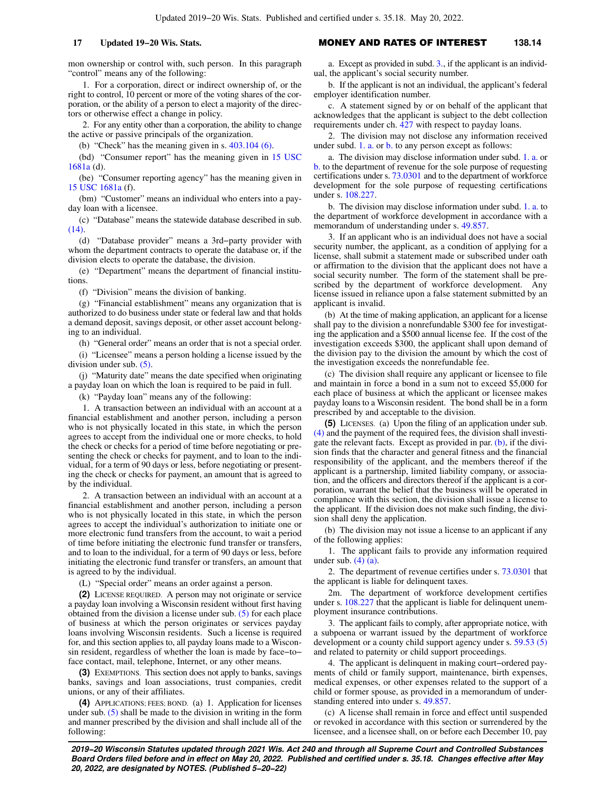mon ownership or control with, such person. In this paragraph "control" means any of the following:

1. For a corporation, direct or indirect ownership of, or the right to control, 10 percent or more of the voting shares of the corporation, or the ability of a person to elect a majority of the directors or otherwise effect a change in policy.

2. For any entity other than a corporation, the ability to change the active or passive principals of the organization.

(b) "Check" has the meaning given in s. [403.104 \(6\)](https://docs-preview.legis.wisconsin.gov/document/statutes/403.104(6)).

(bd) "Consumer report" has the meaning given in [15 USC](https://docs-preview.legis.wisconsin.gov/document/usc/15%20USC%201681a) [1681a](https://docs-preview.legis.wisconsin.gov/document/usc/15%20USC%201681a) (d).

(be) "Consumer reporting agency" has the meaning given in [15 USC 1681a](https://docs-preview.legis.wisconsin.gov/document/usc/15%20USC%201681a) (f).

(bm) "Customer" means an individual who enters into a payday loan with a licensee.

(c) "Database" means the statewide database described in sub. [\(14\).](https://docs-preview.legis.wisconsin.gov/document/statutes/138.14(14))

(d) "Database provider" means a 3rd−party provider with whom the department contracts to operate the database or, if the division elects to operate the database, the division.

(e) "Department" means the department of financial institutions.

(f) "Division" means the division of banking.

(g) "Financial establishment" means any organization that is authorized to do business under state or federal law and that holds a demand deposit, savings deposit, or other asset account belonging to an individual.

(h) "General order" means an order that is not a special order.

(i) "Licensee" means a person holding a license issued by the division under sub. [\(5\).](https://docs-preview.legis.wisconsin.gov/document/statutes/138.14(5))

(j) "Maturity date" means the date specified when originating a payday loan on which the loan is required to be paid in full.

(k) "Payday loan" means any of the following:

1. A transaction between an individual with an account at a financial establishment and another person, including a person who is not physically located in this state, in which the person agrees to accept from the individual one or more checks, to hold the check or checks for a period of time before negotiating or presenting the check or checks for payment, and to loan to the individual, for a term of 90 days or less, before negotiating or presenting the check or checks for payment, an amount that is agreed to by the individual.

2. A transaction between an individual with an account at a financial establishment and another person, including a person who is not physically located in this state, in which the person agrees to accept the individual's authorization to initiate one or more electronic fund transfers from the account, to wait a period of time before initiating the electronic fund transfer or transfers, and to loan to the individual, for a term of 90 days or less, before initiating the electronic fund transfer or transfers, an amount that is agreed to by the individual.

(L) "Special order" means an order against a person.

**(2)** LICENSE REQUIRED. A person may not originate or service a payday loan involving a Wisconsin resident without first having obtained from the division a license under sub. [\(5\)](https://docs-preview.legis.wisconsin.gov/document/statutes/138.14(5)) for each place of business at which the person originates or services payday loans involving Wisconsin residents. Such a license is required for, and this section applies to, all payday loans made to a Wisconsin resident, regardless of whether the loan is made by face−to− face contact, mail, telephone, Internet, or any other means.

**(3)** EXEMPTIONS. This section does not apply to banks, savings banks, savings and loan associations, trust companies, credit unions, or any of their affiliates.

**(4)** APPLICATIONS; FEES; BOND. (a) 1. Application for licenses under sub. [\(5\)](https://docs-preview.legis.wisconsin.gov/document/statutes/138.14(5)) shall be made to the division in writing in the form and manner prescribed by the division and shall include all of the following:

### **17 Updated 19−20 Wis. Stats.** MONEY AND RATES OF INTEREST **138.14**

a. Except as provided in subd. [3.,](https://docs-preview.legis.wisconsin.gov/document/statutes/138.14(4)(a)3.) if the applicant is an individual, the applicant's social security number.

b. If the applicant is not an individual, the applicant's federal employer identification number.

c. A statement signed by or on behalf of the applicant that acknowledges that the applicant is subject to the debt collection requirements under ch. [427](https://docs-preview.legis.wisconsin.gov/document/statutes/ch.%20427) with respect to payday loans.

2. The division may not disclose any information received under subd. [1. a.](https://docs-preview.legis.wisconsin.gov/document/statutes/138.14(4)(a)1.a.) or [b.](https://docs-preview.legis.wisconsin.gov/document/statutes/138.14(4)(a)1.b.) to any person except as follows:

a. The division may disclose information under subd. [1. a.](https://docs-preview.legis.wisconsin.gov/document/statutes/138.14(4)(a)1.a.) or [b.](https://docs-preview.legis.wisconsin.gov/document/statutes/138.14(4)(a)1.b.) to the department of revenue for the sole purpose of requesting certifications under s. [73.0301](https://docs-preview.legis.wisconsin.gov/document/statutes/73.0301) and to the department of workforce development for the sole purpose of requesting certifications under s. [108.227](https://docs-preview.legis.wisconsin.gov/document/statutes/108.227).

b. The division may disclose information under subd. [1. a.](https://docs-preview.legis.wisconsin.gov/document/statutes/138.14(4)(a)1.a.) to the department of workforce development in accordance with a memorandum of understanding under s. [49.857.](https://docs-preview.legis.wisconsin.gov/document/statutes/49.857)

3. If an applicant who is an individual does not have a social security number, the applicant, as a condition of applying for a license, shall submit a statement made or subscribed under oath or affirmation to the division that the applicant does not have a social security number. The form of the statement shall be prescribed by the department of workforce development. Any license issued in reliance upon a false statement submitted by an applicant is invalid.

(b) At the time of making application, an applicant for a license shall pay to the division a nonrefundable \$300 fee for investigating the application and a \$500 annual license fee. If the cost of the investigation exceeds \$300, the applicant shall upon demand of the division pay to the division the amount by which the cost of the investigation exceeds the nonrefundable fee.

(c) The division shall require any applicant or licensee to file and maintain in force a bond in a sum not to exceed \$5,000 for each place of business at which the applicant or licensee makes payday loans to a Wisconsin resident. The bond shall be in a form prescribed by and acceptable to the division.

**(5)** LICENSES. (a) Upon the filing of an application under sub. [\(4\)](https://docs-preview.legis.wisconsin.gov/document/statutes/138.14(4)) and the payment of the required fees, the division shall investigate the relevant facts. Except as provided in par. [\(b\)](https://docs-preview.legis.wisconsin.gov/document/statutes/138.14(5)(b)), if the division finds that the character and general fitness and the financial responsibility of the applicant, and the members thereof if the applicant is a partnership, limited liability company, or association, and the officers and directors thereof if the applicant is a corporation, warrant the belief that the business will be operated in compliance with this section, the division shall issue a license to the applicant. If the division does not make such finding, the division shall deny the application.

(b) The division may not issue a license to an applicant if any of the following applies:

1. The applicant fails to provide any information required under sub.  $(4)$   $(a)$ .

2. The department of revenue certifies under s. [73.0301](https://docs-preview.legis.wisconsin.gov/document/statutes/73.0301) that the applicant is liable for delinquent taxes.

2m. The department of workforce development certifies under s. [108.227](https://docs-preview.legis.wisconsin.gov/document/statutes/108.227) that the applicant is liable for delinquent unemployment insurance contributions.

3. The applicant fails to comply, after appropriate notice, with a subpoena or warrant issued by the department of workforce development or a county child support agency under s. [59.53 \(5\)](https://docs-preview.legis.wisconsin.gov/document/statutes/59.53(5)) and related to paternity or child support proceedings.

4. The applicant is delinquent in making court−ordered payments of child or family support, maintenance, birth expenses, medical expenses, or other expenses related to the support of a child or former spouse, as provided in a memorandum of understanding entered into under s. [49.857](https://docs-preview.legis.wisconsin.gov/document/statutes/49.857).

(c) A license shall remain in force and effect until suspended or revoked in accordance with this section or surrendered by the licensee, and a licensee shall, on or before each December 10, pay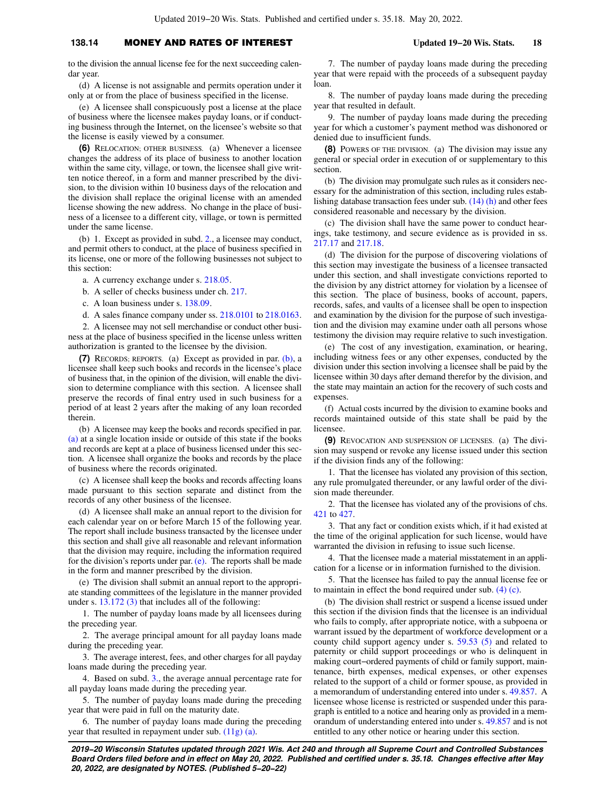### **138.14** MONEY AND RATES OF INTEREST **Updated 19−20 Wis. Stats. 18**

to the division the annual license fee for the next succeeding calendar year.

(d) A license is not assignable and permits operation under it only at or from the place of business specified in the license.

(e) A licensee shall conspicuously post a license at the place of business where the licensee makes payday loans, or if conducting business through the Internet, on the licensee's website so that the license is easily viewed by a consumer.

**(6)** RELOCATION; OTHER BUSINESS. (a) Whenever a licensee changes the address of its place of business to another location within the same city, village, or town, the licensee shall give written notice thereof, in a form and manner prescribed by the division, to the division within 10 business days of the relocation and the division shall replace the original license with an amended license showing the new address. No change in the place of business of a licensee to a different city, village, or town is permitted under the same license.

(b) 1. Except as provided in subd. [2.,](https://docs-preview.legis.wisconsin.gov/document/statutes/138.14(6)(b)2.) a licensee may conduct, and permit others to conduct, at the place of business specified in its license, one or more of the following businesses not subject to this section:

a. A currency exchange under s. [218.05](https://docs-preview.legis.wisconsin.gov/document/statutes/218.05).

- b. A seller of checks business under ch. [217](https://docs-preview.legis.wisconsin.gov/document/statutes/ch.%20217).
- c. A loan business under s. [138.09](https://docs-preview.legis.wisconsin.gov/document/statutes/138.09).

d. A sales finance company under ss. [218.0101](https://docs-preview.legis.wisconsin.gov/document/statutes/218.0101) to [218.0163.](https://docs-preview.legis.wisconsin.gov/document/statutes/218.0163)

2. A licensee may not sell merchandise or conduct other business at the place of business specified in the license unless written authorization is granted to the licensee by the division.

**(7)** RECORDS; REPORTS. (a) Except as provided in par. [\(b\)](https://docs-preview.legis.wisconsin.gov/document/statutes/138.14(7)(b)), a licensee shall keep such books and records in the licensee's place of business that, in the opinion of the division, will enable the division to determine compliance with this section. A licensee shall preserve the records of final entry used in such business for a period of at least 2 years after the making of any loan recorded therein.

(b) A licensee may keep the books and records specified in par. [\(a\)](https://docs-preview.legis.wisconsin.gov/document/statutes/138.14(7)(a)) at a single location inside or outside of this state if the books and records are kept at a place of business licensed under this section. A licensee shall organize the books and records by the place of business where the records originated.

(c) A licensee shall keep the books and records affecting loans made pursuant to this section separate and distinct from the records of any other business of the licensee.

(d) A licensee shall make an annual report to the division for each calendar year on or before March 15 of the following year. The report shall include business transacted by the licensee under this section and shall give all reasonable and relevant information that the division may require, including the information required for the division's reports under par. [\(e\)](https://docs-preview.legis.wisconsin.gov/document/statutes/138.14(7)(e)). The reports shall be made in the form and manner prescribed by the division.

(e) The division shall submit an annual report to the appropriate standing committees of the legislature in the manner provided under s. [13.172 \(3\)](https://docs-preview.legis.wisconsin.gov/document/statutes/13.172(3)) that includes all of the following:

1. The number of payday loans made by all licensees during the preceding year.

2. The average principal amount for all payday loans made during the preceding year.

3. The average interest, fees, and other charges for all payday loans made during the preceding year.

4. Based on subd. [3.,](https://docs-preview.legis.wisconsin.gov/document/statutes/138.14(7)(e)3.) the average annual percentage rate for all payday loans made during the preceding year.

5. The number of payday loans made during the preceding year that were paid in full on the maturity date.

6. The number of payday loans made during the preceding year that resulted in repayment under sub. [\(11g\) \(a\).](https://docs-preview.legis.wisconsin.gov/document/statutes/138.14(11g)(a))

7. The number of payday loans made during the preceding year that were repaid with the proceeds of a subsequent payday loan.

8. The number of payday loans made during the preceding year that resulted in default.

9. The number of payday loans made during the preceding year for which a customer's payment method was dishonored or denied due to insufficient funds.

**(8)** POWERS OF THE DIVISION. (a) The division may issue any general or special order in execution of or supplementary to this section.

(b) The division may promulgate such rules as it considers necessary for the administration of this section, including rules establishing database transaction fees under sub. [\(14\) \(h\)](https://docs-preview.legis.wisconsin.gov/document/statutes/138.14(14)(h)) and other fees considered reasonable and necessary by the division.

(c) The division shall have the same power to conduct hearings, take testimony, and secure evidence as is provided in ss. [217.17](https://docs-preview.legis.wisconsin.gov/document/statutes/217.17) and [217.18.](https://docs-preview.legis.wisconsin.gov/document/statutes/217.18)

(d) The division for the purpose of discovering violations of this section may investigate the business of a licensee transacted under this section, and shall investigate convictions reported to the division by any district attorney for violation by a licensee of this section. The place of business, books of account, papers, records, safes, and vaults of a licensee shall be open to inspection and examination by the division for the purpose of such investigation and the division may examine under oath all persons whose testimony the division may require relative to such investigation.

(e) The cost of any investigation, examination, or hearing, including witness fees or any other expenses, conducted by the division under this section involving a licensee shall be paid by the licensee within 30 days after demand therefor by the division, and the state may maintain an action for the recovery of such costs and expenses.

(f) Actual costs incurred by the division to examine books and records maintained outside of this state shall be paid by the licensee.

**(9)** REVOCATION AND SUSPENSION OF LICENSES. (a) The division may suspend or revoke any license issued under this section if the division finds any of the following:

1. That the licensee has violated any provision of this section, any rule promulgated thereunder, or any lawful order of the division made thereunder.

2. That the licensee has violated any of the provisions of chs. [421](https://docs-preview.legis.wisconsin.gov/document/statutes/ch.%20421) to [427.](https://docs-preview.legis.wisconsin.gov/document/statutes/ch.%20427)

3. That any fact or condition exists which, if it had existed at the time of the original application for such license, would have warranted the division in refusing to issue such license.

4. That the licensee made a material misstatement in an application for a license or in information furnished to the division.

5. That the licensee has failed to pay the annual license fee or to maintain in effect the bond required under sub. [\(4\) \(c\)](https://docs-preview.legis.wisconsin.gov/document/statutes/138.14(4)(c)).

(b) The division shall restrict or suspend a license issued under this section if the division finds that the licensee is an individual who fails to comply, after appropriate notice, with a subpoena or warrant issued by the department of workforce development or a county child support agency under s. [59.53 \(5\)](https://docs-preview.legis.wisconsin.gov/document/statutes/59.53(5)) and related to paternity or child support proceedings or who is delinquent in making court−ordered payments of child or family support, maintenance, birth expenses, medical expenses, or other expenses related to the support of a child or former spouse, as provided in a memorandum of understanding entered into under s. [49.857.](https://docs-preview.legis.wisconsin.gov/document/statutes/49.857) A licensee whose license is restricted or suspended under this paragraph is entitled to a notice and hearing only as provided in a memorandum of understanding entered into under s. [49.857](https://docs-preview.legis.wisconsin.gov/document/statutes/49.857) and is not entitled to any other notice or hearing under this section.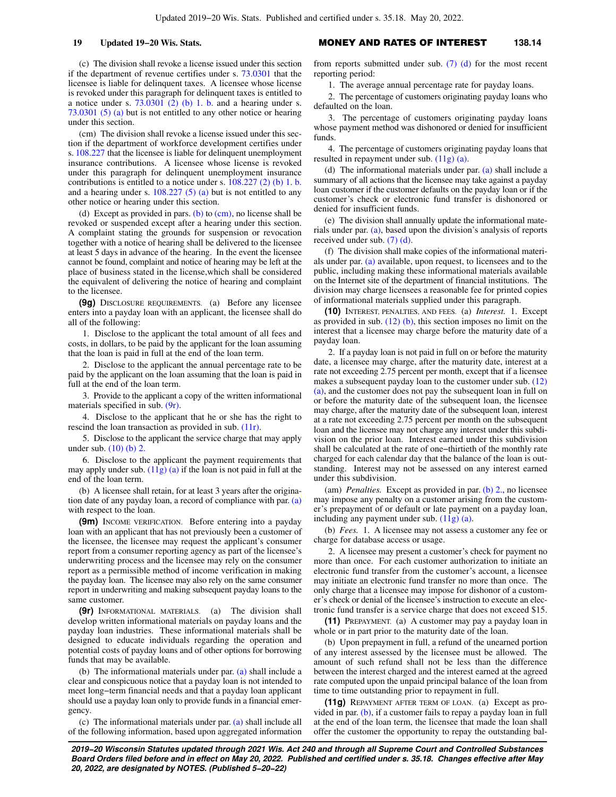(c) The division shall revoke a license issued under this section if the department of revenue certifies under s. [73.0301](https://docs-preview.legis.wisconsin.gov/document/statutes/73.0301) that the licensee is liable for delinquent taxes. A licensee whose license is revoked under this paragraph for delinquent taxes is entitled to a notice under s.  $73.0301$  (2) (b) 1. b. and a hearing under s. [73.0301 \(5\) \(a\)](https://docs-preview.legis.wisconsin.gov/document/statutes/73.0301(5)(a)) but is not entitled to any other notice or hearing under this section.

(cm) The division shall revoke a license issued under this section if the department of workforce development certifies under s. [108.227](https://docs-preview.legis.wisconsin.gov/document/statutes/108.227) that the licensee is liable for delinquent unemployment insurance contributions. A licensee whose license is revoked under this paragraph for delinquent unemployment insurance contributions is entitled to a notice under s. [108.227 \(2\) \(b\) 1. b.](https://docs-preview.legis.wisconsin.gov/document/statutes/108.227(2)(b)1.b.) and a hearing under s.  $108.227$  (5) (a) but is not entitled to any other notice or hearing under this section.

(d) Except as provided in pars. [\(b\)](https://docs-preview.legis.wisconsin.gov/document/statutes/138.14(9)(b)) to  $(cm)$ , no license shall be revoked or suspended except after a hearing under this section. A complaint stating the grounds for suspension or revocation together with a notice of hearing shall be delivered to the licensee at least 5 days in advance of the hearing. In the event the licensee cannot be found, complaint and notice of hearing may be left at the place of business stated in the license,which shall be considered the equivalent of delivering the notice of hearing and complaint to the licensee.

**(9g)** DISCLOSURE REQUIREMENTS. (a) Before any licensee enters into a payday loan with an applicant, the licensee shall do all of the following:

1. Disclose to the applicant the total amount of all fees and costs, in dollars, to be paid by the applicant for the loan assuming that the loan is paid in full at the end of the loan term.

2. Disclose to the applicant the annual percentage rate to be paid by the applicant on the loan assuming that the loan is paid in full at the end of the loan term.

3. Provide to the applicant a copy of the written informational materials specified in sub. [\(9r\)](https://docs-preview.legis.wisconsin.gov/document/statutes/138.14(9r)).

4. Disclose to the applicant that he or she has the right to rescind the loan transaction as provided in sub. [\(11r\).](https://docs-preview.legis.wisconsin.gov/document/statutes/138.14(11r))

5. Disclose to the applicant the service charge that may apply under sub. [\(10\) \(b\) 2.](https://docs-preview.legis.wisconsin.gov/document/statutes/138.14(10)(b)2.)

6. Disclose to the applicant the payment requirements that may apply under sub.  $(11g)(a)$  if the loan is not paid in full at the end of the loan term.

(b) A licensee shall retain, for at least 3 years after the origination date of any payday loan, a record of compliance with par. [\(a\)](https://docs-preview.legis.wisconsin.gov/document/statutes/138.14(9g)(a)) with respect to the loan.

**(9m)** INCOME VERIFICATION. Before entering into a payday loan with an applicant that has not previously been a customer of the licensee, the licensee may request the applicant's consumer report from a consumer reporting agency as part of the licensee's underwriting process and the licensee may rely on the consumer report as a permissible method of income verification in making the payday loan. The licensee may also rely on the same consumer report in underwriting and making subsequent payday loans to the same customer.

**(9r)** INFORMATIONAL MATERIALS. (a) The division shall develop written informational materials on payday loans and the payday loan industries. These informational materials shall be designed to educate individuals regarding the operation and potential costs of payday loans and of other options for borrowing funds that may be available.

(b) The informational materials under par. [\(a\)](https://docs-preview.legis.wisconsin.gov/document/statutes/138.14(9r)(a)) shall include a clear and conspicuous notice that a payday loan is not intended to meet long−term financial needs and that a payday loan applicant should use a payday loan only to provide funds in a financial emergency.

(c) The informational materials under par. [\(a\)](https://docs-preview.legis.wisconsin.gov/document/statutes/138.14(9r)(a)) shall include all of the following information, based upon aggregated information

### **19 Updated 19−20 Wis. Stats.** MONEY AND RATES OF INTEREST **138.14**

from reports submitted under sub.  $(7)$  (d) for the most recent reporting period:

1. The average annual percentage rate for payday loans.

2. The percentage of customers originating payday loans who defaulted on the loan.

3. The percentage of customers originating payday loans whose payment method was dishonored or denied for insufficient funds.

4. The percentage of customers originating payday loans that resulted in repayment under sub. [\(11g\) \(a\)](https://docs-preview.legis.wisconsin.gov/document/statutes/138.14(11g)(a)).

(d) The informational materials under par. [\(a\)](https://docs-preview.legis.wisconsin.gov/document/statutes/138.14(9r)(a)) shall include a summary of all actions that the licensee may take against a payday loan customer if the customer defaults on the payday loan or if the customer's check or electronic fund transfer is dishonored or denied for insufficient funds.

(e) The division shall annually update the informational materials under par. [\(a\),](https://docs-preview.legis.wisconsin.gov/document/statutes/138.14(9r)(a)) based upon the division's analysis of reports received under sub. [\(7\) \(d\)](https://docs-preview.legis.wisconsin.gov/document/statutes/138.14(7)(d)).

(f) The division shall make copies of the informational materials under par. [\(a\)](https://docs-preview.legis.wisconsin.gov/document/statutes/138.14(9r)(a)) available, upon request, to licensees and to the public, including making these informational materials available on the Internet site of the department of financial institutions. The division may charge licensees a reasonable fee for printed copies of informational materials supplied under this paragraph.

**(10)** INTEREST, PENALTIES, AND FEES. (a) *Interest.* 1. Except as provided in sub.  $(12)$  (b), this section imposes no limit on the interest that a licensee may charge before the maturity date of a payday loan.

2. If a payday loan is not paid in full on or before the maturity date, a licensee may charge, after the maturity date, interest at a rate not exceeding 2.75 percent per month, except that if a licensee makes a subsequent payday loan to the customer under sub. [\(12\)](https://docs-preview.legis.wisconsin.gov/document/statutes/138.14(12)(a)) [\(a\)](https://docs-preview.legis.wisconsin.gov/document/statutes/138.14(12)(a)), and the customer does not pay the subsequent loan in full on or before the maturity date of the subsequent loan, the licensee may charge, after the maturity date of the subsequent loan, interest at a rate not exceeding 2.75 percent per month on the subsequent loan and the licensee may not charge any interest under this subdivision on the prior loan. Interest earned under this subdivision shall be calculated at the rate of one−thirtieth of the monthly rate charged for each calendar day that the balance of the loan is outstanding. Interest may not be assessed on any interest earned under this subdivision.

(am) *Penalties.* Except as provided in par. [\(b\) 2.,](https://docs-preview.legis.wisconsin.gov/document/statutes/138.14(10)(b)2.) no licensee may impose any penalty on a customer arising from the customer's prepayment of or default or late payment on a payday loan, including any payment under sub. [\(11g\) \(a\).](https://docs-preview.legis.wisconsin.gov/document/statutes/138.14(11g)(a))

(b) *Fees.* 1. A licensee may not assess a customer any fee or charge for database access or usage.

2. A licensee may present a customer's check for payment no more than once. For each customer authorization to initiate an electronic fund transfer from the customer's account, a licensee may initiate an electronic fund transfer no more than once. The only charge that a licensee may impose for dishonor of a customer's check or denial of the licensee's instruction to execute an electronic fund transfer is a service charge that does not exceed \$15.

**(11)** PREPAYMENT. (a) A customer may pay a payday loan in whole or in part prior to the maturity date of the loan.

(b) Upon prepayment in full, a refund of the unearned portion of any interest assessed by the licensee must be allowed. The amount of such refund shall not be less than the difference between the interest charged and the interest earned at the agreed rate computed upon the unpaid principal balance of the loan from time to time outstanding prior to repayment in full.

**(11g)** REPAYMENT AFTER TERM OF LOAN. (a) Except as provided in par. [\(b\)](https://docs-preview.legis.wisconsin.gov/document/statutes/138.14(11g)(b)), if a customer fails to repay a payday loan in full at the end of the loan term, the licensee that made the loan shall offer the customer the opportunity to repay the outstanding bal-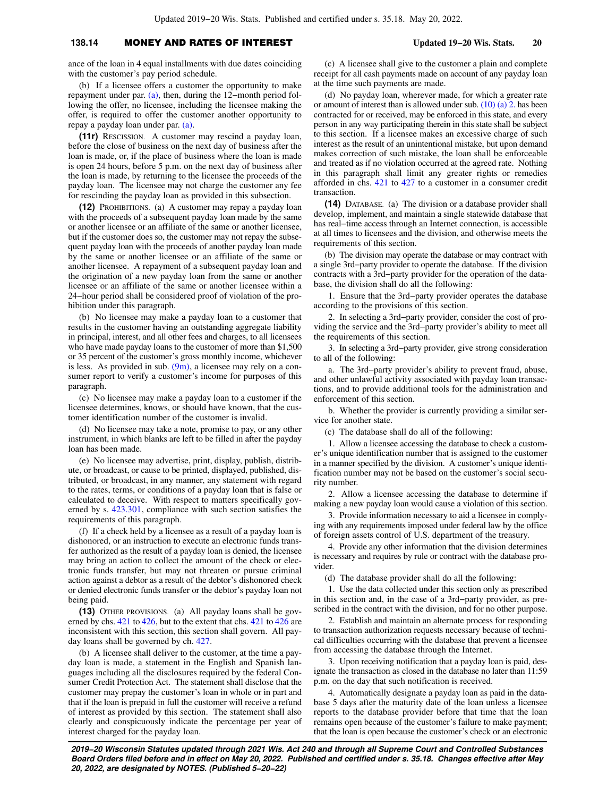## **138.14** MONEY AND RATES OF INTEREST **Updated 19−20 Wis. Stats. 20**

ance of the loan in 4 equal installments with due dates coinciding with the customer's pay period schedule.

(b) If a licensee offers a customer the opportunity to make repayment under par. [\(a\)](https://docs-preview.legis.wisconsin.gov/document/statutes/138.14(11g)(a)), then, during the 12−month period following the offer, no licensee, including the licensee making the offer, is required to offer the customer another opportunity to repay a payday loan under par. [\(a\)](https://docs-preview.legis.wisconsin.gov/document/statutes/138.14(11g)(a)).

**(11r)** RESCISSION. A customer may rescind a payday loan, before the close of business on the next day of business after the loan is made, or, if the place of business where the loan is made is open 24 hours, before 5 p.m. on the next day of business after the loan is made, by returning to the licensee the proceeds of the payday loan. The licensee may not charge the customer any fee for rescinding the payday loan as provided in this subsection.

**(12)** PROHIBITIONS. (a) A customer may repay a payday loan with the proceeds of a subsequent payday loan made by the same or another licensee or an affiliate of the same or another licensee, but if the customer does so, the customer may not repay the subsequent payday loan with the proceeds of another payday loan made by the same or another licensee or an affiliate of the same or another licensee. A repayment of a subsequent payday loan and the origination of a new payday loan from the same or another licensee or an affiliate of the same or another licensee within a 24−hour period shall be considered proof of violation of the prohibition under this paragraph.

(b) No licensee may make a payday loan to a customer that results in the customer having an outstanding aggregate liability in principal, interest, and all other fees and charges, to all licensees who have made payday loans to the customer of more than \$1,500 or 35 percent of the customer's gross monthly income, whichever is less. As provided in sub.  $(9m)$ , a licensee may rely on a consumer report to verify a customer's income for purposes of this paragraph.

(c) No licensee may make a payday loan to a customer if the licensee determines, knows, or should have known, that the customer identification number of the customer is invalid.

(d) No licensee may take a note, promise to pay, or any other instrument, in which blanks are left to be filled in after the payday loan has been made.

(e) No licensee may advertise, print, display, publish, distribute, or broadcast, or cause to be printed, displayed, published, distributed, or broadcast, in any manner, any statement with regard to the rates, terms, or conditions of a payday loan that is false or calculated to deceive. With respect to matters specifically governed by s. [423.301,](https://docs-preview.legis.wisconsin.gov/document/statutes/423.301) compliance with such section satisfies the requirements of this paragraph.

(f) If a check held by a licensee as a result of a payday loan is dishonored, or an instruction to execute an electronic funds transfer authorized as the result of a payday loan is denied, the licensee may bring an action to collect the amount of the check or electronic funds transfer, but may not threaten or pursue criminal action against a debtor as a result of the debtor's dishonored check or denied electronic funds transfer or the debtor's payday loan not being paid.

**(13)** OTHER PROVISIONS. (a) All payday loans shall be gov-erned by chs. [421](https://docs-preview.legis.wisconsin.gov/document/statutes/ch.%20421) to [426,](https://docs-preview.legis.wisconsin.gov/document/statutes/ch.%20426) but to the extent that chs. [421](https://docs-preview.legis.wisconsin.gov/document/statutes/ch.%20421) to [426](https://docs-preview.legis.wisconsin.gov/document/statutes/ch.%20426) are inconsistent with this section, this section shall govern. All payday loans shall be governed by ch. [427.](https://docs-preview.legis.wisconsin.gov/document/statutes/ch.%20427)

(b) A licensee shall deliver to the customer, at the time a payday loan is made, a statement in the English and Spanish languages including all the disclosures required by the federal Consumer Credit Protection Act. The statement shall disclose that the customer may prepay the customer's loan in whole or in part and that if the loan is prepaid in full the customer will receive a refund of interest as provided by this section. The statement shall also clearly and conspicuously indicate the percentage per year of interest charged for the payday loan.

(c) A licensee shall give to the customer a plain and complete receipt for all cash payments made on account of any payday loan at the time such payments are made.

(d) No payday loan, wherever made, for which a greater rate or amount of interest than is allowed under sub. [\(10\) \(a\) 2.](https://docs-preview.legis.wisconsin.gov/document/statutes/138.14(10)(a)2.) has been contracted for or received, may be enforced in this state, and every person in any way participating therein in this state shall be subject to this section. If a licensee makes an excessive charge of such interest as the result of an unintentional mistake, but upon demand makes correction of such mistake, the loan shall be enforceable and treated as if no violation occurred at the agreed rate. Nothing in this paragraph shall limit any greater rights or remedies afforded in chs. [421](https://docs-preview.legis.wisconsin.gov/document/statutes/ch.%20421) to [427](https://docs-preview.legis.wisconsin.gov/document/statutes/ch.%20427) to a customer in a consumer credit transaction.

**(14)** DATABASE. (a) The division or a database provider shall develop, implement, and maintain a single statewide database that has real−time access through an Internet connection, is accessible at all times to licensees and the division, and otherwise meets the requirements of this section.

(b) The division may operate the database or may contract with a single 3rd−party provider to operate the database. If the division contracts with a 3rd−party provider for the operation of the database, the division shall do all the following:

1. Ensure that the 3rd−party provider operates the database according to the provisions of this section.

2. In selecting a 3rd−party provider, consider the cost of providing the service and the 3rd−party provider's ability to meet all the requirements of this section.

3. In selecting a 3rd−party provider, give strong consideration to all of the following:

a. The 3rd−party provider's ability to prevent fraud, abuse, and other unlawful activity associated with payday loan transactions, and to provide additional tools for the administration and enforcement of this section.

b. Whether the provider is currently providing a similar service for another state.

(c) The database shall do all of the following:

1. Allow a licensee accessing the database to check a customer's unique identification number that is assigned to the customer in a manner specified by the division. A customer's unique identification number may not be based on the customer's social security number.

2. Allow a licensee accessing the database to determine if making a new payday loan would cause a violation of this section.

3. Provide information necessary to aid a licensee in complying with any requirements imposed under federal law by the office of foreign assets control of U.S. department of the treasury.

4. Provide any other information that the division determines is necessary and requires by rule or contract with the database provider.

(d) The database provider shall do all the following:

1. Use the data collected under this section only as prescribed in this section and, in the case of a 3rd−party provider, as prescribed in the contract with the division, and for no other purpose.

2. Establish and maintain an alternate process for responding to transaction authorization requests necessary because of technical difficulties occurring with the database that prevent a licensee from accessing the database through the Internet.

3. Upon receiving notification that a payday loan is paid, designate the transaction as closed in the database no later than 11:59 p.m. on the day that such notification is received.

4. Automatically designate a payday loan as paid in the database 5 days after the maturity date of the loan unless a licensee reports to the database provider before that time that the loan remains open because of the customer's failure to make payment; that the loan is open because the customer's check or an electronic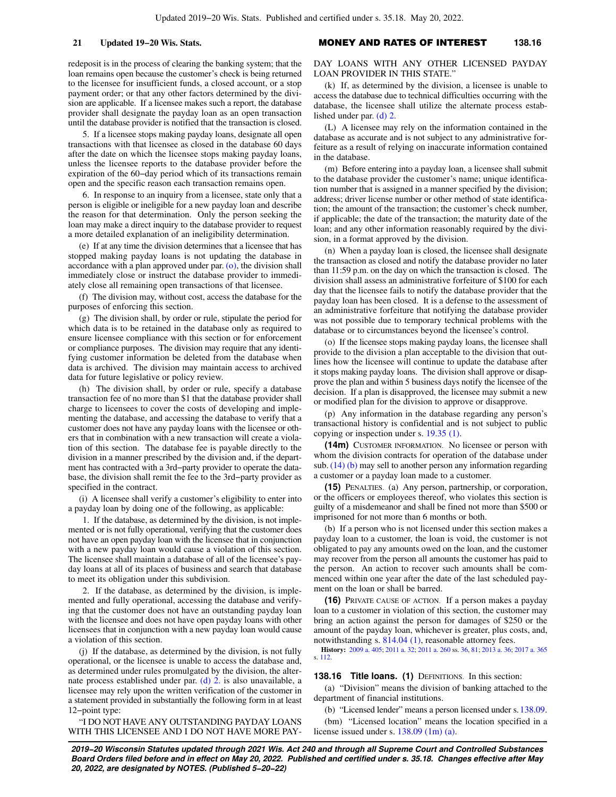redeposit is in the process of clearing the banking system; that the loan remains open because the customer's check is being returned to the licensee for insufficient funds, a closed account, or a stop payment order; or that any other factors determined by the division are applicable. If a licensee makes such a report, the database provider shall designate the payday loan as an open transaction until the database provider is notified that the transaction is closed.

5. If a licensee stops making payday loans, designate all open transactions with that licensee as closed in the database 60 days after the date on which the licensee stops making payday loans, unless the licensee reports to the database provider before the expiration of the 60−day period which of its transactions remain open and the specific reason each transaction remains open.

6. In response to an inquiry from a licensee, state only that a person is eligible or ineligible for a new payday loan and describe the reason for that determination. Only the person seeking the loan may make a direct inquiry to the database provider to request a more detailed explanation of an ineligibility determination.

(e) If at any time the division determines that a licensee that has stopped making payday loans is not updating the database in accordance with a plan approved under par. [\(o\)](https://docs-preview.legis.wisconsin.gov/document/statutes/138.14(14)(o)), the division shall immediately close or instruct the database provider to immediately close all remaining open transactions of that licensee.

(f) The division may, without cost, access the database for the purposes of enforcing this section.

(g) The division shall, by order or rule, stipulate the period for which data is to be retained in the database only as required to ensure licensee compliance with this section or for enforcement or compliance purposes. The division may require that any identifying customer information be deleted from the database when data is archived. The division may maintain access to archived data for future legislative or policy review.

(h) The division shall, by order or rule, specify a database transaction fee of no more than \$1 that the database provider shall charge to licensees to cover the costs of developing and implementing the database, and accessing the database to verify that a customer does not have any payday loans with the licensee or others that in combination with a new transaction will create a violation of this section. The database fee is payable directly to the division in a manner prescribed by the division and, if the department has contracted with a 3rd−party provider to operate the database, the division shall remit the fee to the 3rd−party provider as specified in the contract.

(i) A licensee shall verify a customer's eligibility to enter into a payday loan by doing one of the following, as applicable:

1. If the database, as determined by the division, is not implemented or is not fully operational, verifying that the customer does not have an open payday loan with the licensee that in conjunction with a new payday loan would cause a violation of this section. The licensee shall maintain a database of all of the licensee's payday loans at all of its places of business and search that database to meet its obligation under this subdivision.

2. If the database, as determined by the division, is implemented and fully operational, accessing the database and verifying that the customer does not have an outstanding payday loan with the licensee and does not have open payday loans with other licensees that in conjunction with a new payday loan would cause a violation of this section.

(j) If the database, as determined by the division, is not fully operational, or the licensee is unable to access the database and, as determined under rules promulgated by the division, the alternate process established under par. [\(d\) 2.](https://docs-preview.legis.wisconsin.gov/document/statutes/138.14(14)(d)2.) is also unavailable, a licensee may rely upon the written verification of the customer in a statement provided in substantially the following form in at least 12−point type:

"I DO NOT HAVE ANY OUTSTANDING PAYDAY LOANS WITH THIS LICENSEE AND I DO NOT HAVE MORE PAY-

**21 Updated 19−20 Wis. Stats.** MONEY AND RATES OF INTEREST **138.16**

DAY LOANS WITH ANY OTHER LICENSED PAYDAY LOAN PROVIDER IN THIS STATE."

(k) If, as determined by the division, a licensee is unable to access the database due to technical difficulties occurring with the database, the licensee shall utilize the alternate process established under par. [\(d\) 2.](https://docs-preview.legis.wisconsin.gov/document/statutes/138.14(14)(d)2.)

(L) A licensee may rely on the information contained in the database as accurate and is not subject to any administrative forfeiture as a result of relying on inaccurate information contained in the database.

(m) Before entering into a payday loan, a licensee shall submit to the database provider the customer's name; unique identification number that is assigned in a manner specified by the division; address; driver license number or other method of state identification; the amount of the transaction; the customer's check number, if applicable; the date of the transaction; the maturity date of the loan; and any other information reasonably required by the division, in a format approved by the division.

(n) When a payday loan is closed, the licensee shall designate the transaction as closed and notify the database provider no later than 11:59 p.m. on the day on which the transaction is closed. The division shall assess an administrative forfeiture of \$100 for each day that the licensee fails to notify the database provider that the payday loan has been closed. It is a defense to the assessment of an administrative forfeiture that notifying the database provider was not possible due to temporary technical problems with the database or to circumstances beyond the licensee's control.

(o) If the licensee stops making payday loans, the licensee shall provide to the division a plan acceptable to the division that outlines how the licensee will continue to update the database after it stops making payday loans. The division shall approve or disapprove the plan and within 5 business days notify the licensee of the decision. If a plan is disapproved, the licensee may submit a new or modified plan for the division to approve or disapprove.

(p) Any information in the database regarding any person's transactional history is confidential and is not subject to public copying or inspection under s. [19.35 \(1\).](https://docs-preview.legis.wisconsin.gov/document/statutes/19.35(1))

**(14m)** CUSTOMER INFORMATION. No licensee or person with whom the division contracts for operation of the database under sub. [\(14\) \(b\)](https://docs-preview.legis.wisconsin.gov/document/statutes/138.14(14)(b)) may sell to another person any information regarding a customer or a payday loan made to a customer.

**(15)** PENALTIES. (a) Any person, partnership, or corporation, or the officers or employees thereof, who violates this section is guilty of a misdemeanor and shall be fined not more than \$500 or imprisoned for not more than 6 months or both.

(b) If a person who is not licensed under this section makes a payday loan to a customer, the loan is void, the customer is not obligated to pay any amounts owed on the loan, and the customer may recover from the person all amounts the customer has paid to the person. An action to recover such amounts shall be commenced within one year after the date of the last scheduled payment on the loan or shall be barred.

**(16)** PRIVATE CAUSE OF ACTION. If a person makes a payday loan to a customer in violation of this section, the customer may bring an action against the person for damages of \$250 or the amount of the payday loan, whichever is greater, plus costs, and, notwithstanding s. [814.04 \(1\)](https://docs-preview.legis.wisconsin.gov/document/statutes/814.04(1)), reasonable attorney fees.

**History:** [2009 a. 405;](https://docs-preview.legis.wisconsin.gov/document/acts/2009/405) [2011 a. 32](https://docs-preview.legis.wisconsin.gov/document/acts/2011/32); [2011 a. 260](https://docs-preview.legis.wisconsin.gov/document/acts/2011/260) ss. [36](https://docs-preview.legis.wisconsin.gov/document/acts/2011/260,%20s.%2036), [81;](https://docs-preview.legis.wisconsin.gov/document/acts/2011/260,%20s.%2081) [2013 a. 36](https://docs-preview.legis.wisconsin.gov/document/acts/2013/36); [2017 a. 365](https://docs-preview.legis.wisconsin.gov/document/acts/2017/365) s. [112](https://docs-preview.legis.wisconsin.gov/document/acts/2017/365,%20s.%20112).

**138.16 Title loans.** (1) DEFINITIONS. In this section:

(a) "Division" means the division of banking attached to the department of financial institutions.

(b) "Licensed lender" means a person licensed under s.[138.09.](https://docs-preview.legis.wisconsin.gov/document/statutes/138.09)

(bm) "Licensed location" means the location specified in a license issued under s. [138.09 \(1m\) \(a\)](https://docs-preview.legis.wisconsin.gov/document/statutes/138.09(1m)(a)).